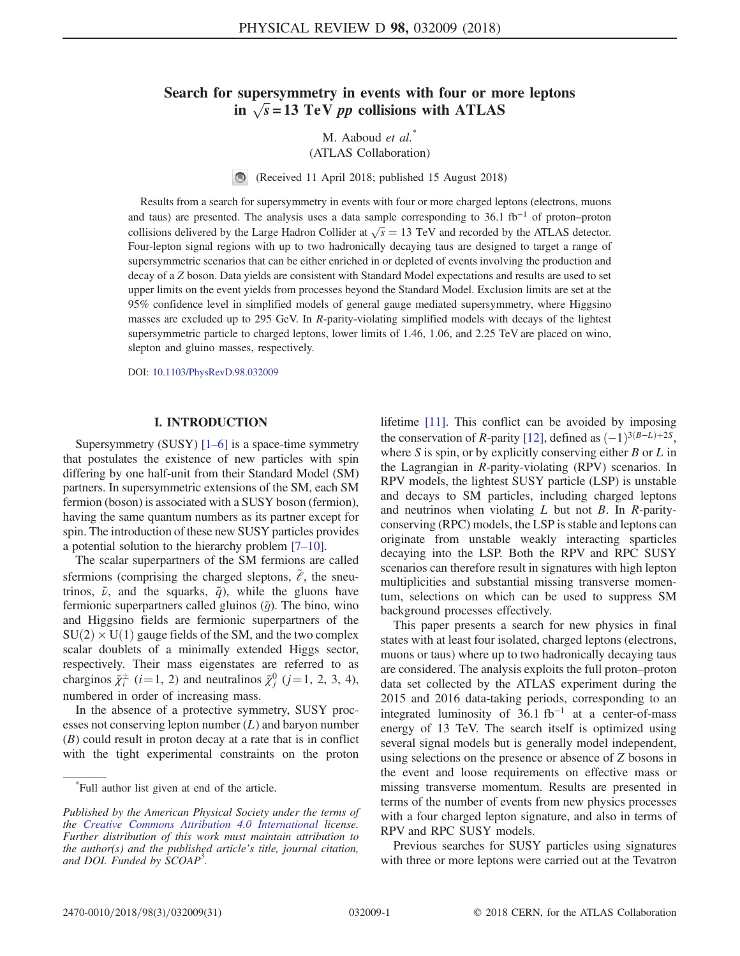## Search for supersymmetry in events with four or more leptons in  $\sqrt{s}$  = 13 TeV *pp* collisions with ATLAS

# M. Aaboud et al.<sup>\*</sup>

(ATLAS Collaboration)

 $\odot$ (Received 11 April 2018; published 15 August 2018)

Results from a search for supersymmetry in events with four or more charged leptons (electrons, muons and taus) are presented. The analysis uses a data sample corresponding to 36.1 fb<sup>-1</sup> of proton–proton collisions delivered by the Large Hadron Collider at  $\sqrt{s} = 13$  TeV and recorded by the ATLAS detector. Four-lepton signal regions with up to two hadronically decaying taus are designed to target a range of supersymmetric scenarios that can be either enriched in or depleted of events involving the production and decay of a Z boson. Data yields are consistent with Standard Model expectations and results are used to set upper limits on the event yields from processes beyond the Standard Model. Exclusion limits are set at the 95% confidence level in simplified models of general gauge mediated supersymmetry, where Higgsino masses are excluded up to 295 GeV. In R-parity-violating simplified models with decays of the lightest supersymmetric particle to charged leptons, lower limits of 1.46, 1.06, and 2.25 TeV are placed on wino, slepton and gluino masses, respectively.

DOI: [10.1103/PhysRevD.98.032009](https://doi.org/10.1103/PhysRevD.98.032009)

## I. INTRODUCTION

Supersymmetry (SUSY) [1–[6\]](#page-15-0) is a space-time symmetry that postulates the existence of new particles with spin differing by one half-unit from their Standard Model (SM) partners. In supersymmetric extensions of the SM, each SM fermion (boson) is associated with a SUSY boson (fermion), having the same quantum numbers as its partner except for spin. The introduction of these new SUSY particles provides a potential solution to the hierarchy problem [7–[10\]](#page-15-1).

The scalar superpartners of the SM fermions are called sfermions (comprising the charged sleptons,  $\hat{\ell}$ , the sneutrinos,  $\tilde{\nu}$ , and the squarks,  $\tilde{q}$ ), while the gluons have fermionic superpartners called gluinos  $(\tilde{g})$ . The bino, wino and Higgsino fields are fermionic superpartners of the  $SU(2) \times U(1)$  gauge fields of the SM, and the two complex scalar doublets of a minimally extended Higgs sector, respectively. Their mass eigenstates are referred to as charginos  $\tilde{\chi}^{\pm}_i$  (*i*=1, 2) and neutralinos  $\tilde{\chi}^0_j$  (*j*=1, 2, 3, 4), numbered in order of increasing mass.

In the absence of a protective symmetry, SUSY processes not conserving lepton number  $(L)$  and baryon number (B) could result in proton decay at a rate that is in conflict with the tight experimental constraints on the proton lifetime [\[11\].](#page-15-2) This conflict can be avoided by imposing the conservation of R-parity [\[12\]](#page-15-3), defined as  $(-1)^{3(B-L)+2S}$ , where S is spin, or by explicitly conserving either B or  $L$  in the Lagrangian in R-parity-violating (RPV) scenarios. In RPV models, the lightest SUSY particle (LSP) is unstable and decays to SM particles, including charged leptons and neutrinos when violating  $L$  but not  $B$ . In  $R$ -parityconserving (RPC) models, the LSP is stable and leptons can originate from unstable weakly interacting sparticles decaying into the LSP. Both the RPV and RPC SUSY scenarios can therefore result in signatures with high lepton multiplicities and substantial missing transverse momentum, selections on which can be used to suppress SM background processes effectively.

This paper presents a search for new physics in final states with at least four isolated, charged leptons (electrons, muons or taus) where up to two hadronically decaying taus are considered. The analysis exploits the full proton–proton data set collected by the ATLAS experiment during the 2015 and 2016 data-taking periods, corresponding to an integrated luminosity of  $36.1 \text{ fb}^{-1}$  at a center-of-mass energy of 13 TeV. The search itself is optimized using several signal models but is generally model independent, using selections on the presence or absence of Z bosons in the event and loose requirements on effective mass or missing transverse momentum. Results are presented in terms of the number of events from new physics processes with a four charged lepton signature, and also in terms of RPV and RPC SUSY models.

Previous searches for SUSY particles using signatures with three or more leptons were carried out at the Tevatron

<sup>\*</sup> Full author list given at end of the article.

Published by the American Physical Society under the terms of the [Creative Commons Attribution 4.0 International](https://creativecommons.org/licenses/by/4.0/) license. Further distribution of this work must maintain attribution to the author(s) and the published article's title, journal citation, and DOI. Funded by SCOAP<sup>3</sup>.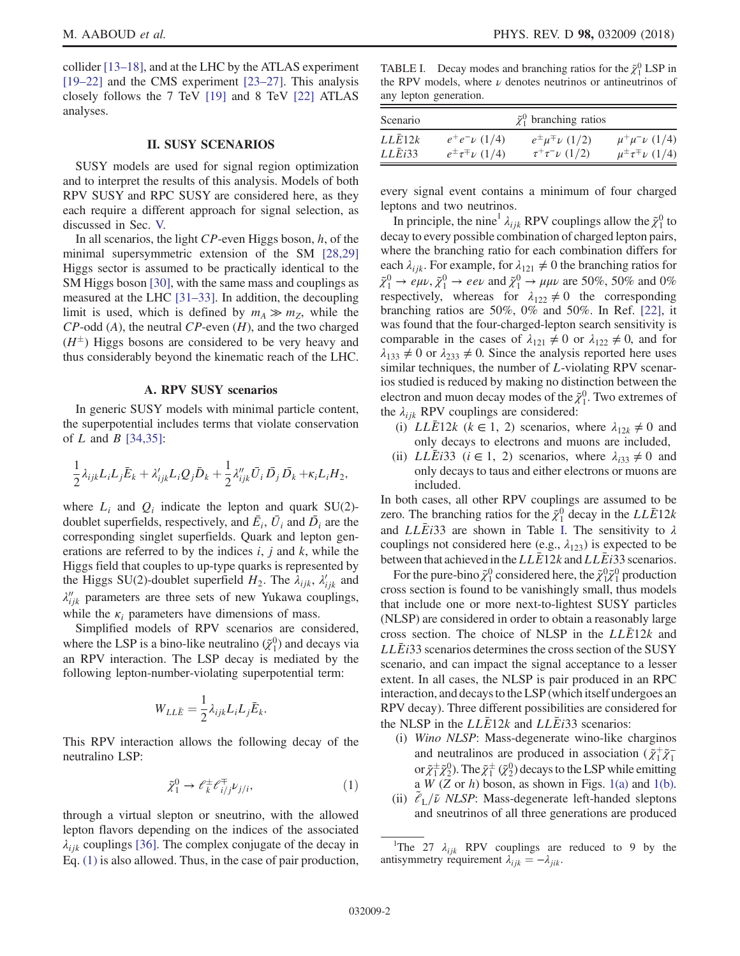collider [13–[18\],](#page-15-4) and at the LHC by the ATLAS experiment [\[19](#page-15-5)–22] and the CMS experiment [\[23](#page-15-6)–27]. This analysis closely follows the 7 TeV [\[19\]](#page-15-5) and 8 TeV [\[22\]](#page-15-7) ATLAS analyses.

### II. SUSY SCENARIOS

SUSY models are used for signal region optimization and to interpret the results of this analysis. Models of both RPV SUSY and RPC SUSY are considered here, as they each require a different approach for signal selection, as discussed in Sec. [V.](#page-4-0)

In all scenarios, the light  $CP$ -even Higgs boson,  $h$ , of the minimal supersymmetric extension of the SM [\[28,29\]](#page-15-8) Higgs sector is assumed to be practically identical to the SM Higgs boson [\[30\]](#page-15-9), with the same mass and couplings as measured at the LHC [31–[33\].](#page-15-10) In addition, the decoupling limit is used, which is defined by  $m_A \gg m_Z$ , while the  $CP$ -odd  $(A)$ , the neutral  $CP$ -even  $(H)$ , and the two charged  $(H^{\pm})$  Higgs bosons are considered to be very heavy and thus considerably beyond the kinematic reach of the LHC.

## A. RPV SUSY scenarios

In generic SUSY models with minimal particle content, the superpotential includes terms that violate conservation of  $L$  and  $B$  [\[34,35\]](#page-15-11):

$$
\frac{1}{2}\lambda_{ijk}L_iL_j\bar{E}_k+\lambda_{ijk}'L_iQ_j\bar{D}_k+\frac{1}{2}\lambda_{ijk}''\bar{U}_i\bar{D}_j\bar{D}_k+\kappa_iL_iH_2,
$$

where  $L_i$  and  $Q_i$  indicate the lepton and quark SU(2)doublet superfields, respectively, and  $\bar{E}_i$ ,  $\bar{U}_i$  and  $\bar{D}_i$  are the corresponding singlet superfields. Quark and lepton generations are referred to by the indices  $i$ ,  $j$  and  $k$ , while the Higgs field that couples to up-type quarks is represented by the Higgs SU(2)-doublet superfield  $H_2$ . The  $\lambda_{ijk}$ ,  $\lambda'_{ijk}$  and  $\lambda''_{ijk}$  parameters are three sets of new Yukawa couplings, while the  $\kappa_i$  parameters have dimensions of mass.

Simplified models of RPV scenarios are considered, where the LSP is a bino-like neutralino  $(\tilde{\chi}_1^0)$  and decays via an RPV interaction. The LSP decay is mediated by the following lepton-number-violating superpotential term:

$$
W_{LL\bar{E}} = \frac{1}{2} \lambda_{ijk} L_i L_j \bar{E}_k.
$$

<span id="page-1-0"></span>This RPV interaction allows the following decay of the neutralino LSP:

$$
\tilde{\chi}_1^0 \to \mathcal{C}_k^{\pm} \mathcal{C}_{i/j}^{\mp} \nu_{j/i},\tag{1}
$$

through a virtual slepton or sneutrino, with the allowed lepton flavors depending on the indices of the associated  $\lambda_{ijk}$  couplings [\[36\]](#page-15-12). The complex conjugate of the decay in Eq. [\(1\)](#page-1-0) is also allowed. Thus, in the case of pair production,

<span id="page-1-1"></span>TABLE I. Decay modes and branching ratios for the  $\tilde{\chi}_1^0$  LSP in the RPV models, where  $\nu$  denotes neutrinos or antineutrinos of any lepton generation.

| Scenario          |                                | $\tilde{\chi}^0_1$ branching ratios |                                  |
|-------------------|--------------------------------|-------------------------------------|----------------------------------|
| LLE12k            | $e^+e^-\nu(1/4)$               | $e^{\pm} \mu^{\mp} \nu$ (1/2)       | $\mu^+ \mu^- \nu$ (1/4)          |
| $LLE$ <i>i</i> 33 | $e^{\pm} \tau^{\mp} \nu$ (1/4) | $\tau^+ \tau^- \nu$ (1/2)           | $\mu^{\pm} \tau^{\mp} \nu$ (1/4) |

every signal event contains a minimum of four charged leptons and two neutrinos.

In principle, the nine<sup>1</sup>  $\lambda_{ijk}$  RPV couplings allow the  $\tilde{\chi}_1^0$  to decay to every possible combination of charged lepton pairs, where the branching ratio for each combination differs for each  $\lambda_{ijk}$ . For example, for  $\lambda_{121} \neq 0$  the branching ratios for  $\tilde{\chi}_1^0 \rightarrow e \mu \nu$ ,  $\tilde{\chi}_1^0 \rightarrow e e \nu$  and  $\tilde{\chi}_1^0 \rightarrow \mu \mu \nu$  are 50%, 50% and 0% respectively, whereas for  $\lambda_{122} \neq 0$  the corresponding branching ratios are 50%, 0% and 50%. In Ref. [\[22\]](#page-15-7), it was found that the four-charged-lepton search sensitivity is comparable in the cases of  $\lambda_{121} \neq 0$  or  $\lambda_{122} \neq 0$ , and for  $\lambda_{133} \neq 0$  or  $\lambda_{233} \neq 0$ . Since the analysis reported here uses similar techniques, the number of *L*-violating RPV scenarios studied is reduced by making no distinction between the electron and muon decay modes of the  $\tilde{\chi}_1^0$ . Two extremes of the  $\lambda_{ijk}$  RPV couplings are considered:

- (i) LLE12k ( $k \in 1, 2$ ) scenarios, where  $\lambda_{12k} \neq 0$  and only decays to electrons and muons are included,
- (ii) LLEi33 ( $i \in 1, 2$ ) scenarios, where  $\lambda_{i33} \neq 0$  and only decays to taus and either electrons or muons are included.

In both cases, all other RPV couplings are assumed to be zero. The branching ratios for the  $\tilde{\chi}_1^0$  decay in the  $LL\bar{E}12k$ and  $LL\overline{E}i33$  are shown in Table [I](#page-1-1). The sensitivity to  $\lambda$ couplings not considered here (e.g.,  $\lambda_{123}$ ) is expected to be between that achieved in the  $LL\bar{E}$  12k and  $LL\bar{E}$  i33 scenarios.

For the pure-bino  $\tilde{\chi}^0_1$  considered here, the  $\tilde{\chi}^0_1\tilde{\chi}^0_1$  production cross section is found to be vanishingly small, thus models that include one or more next-to-lightest SUSY particles (NLSP) are considered in order to obtain a reasonably large cross section. The choice of NLSP in the  $LL\overline{E}12k$  and  $LL\overline{E}i33$  scenarios determines the cross section of the SUSY scenario, and can impact the signal acceptance to a lesser extent. In all cases, the NLSP is pair produced in an RPC interaction, and decays to the LSP (which itself undergoes an RPV decay). Three different possibilities are considered for the NLSP in the  $LL\bar{E}12k$  and  $LL\bar{E}i33$  scenarios:

- (i) Wino NLSP: Mass-degenerate wino-like charginos and neutralinos are produced in association ( $\tilde{\chi}_1^+ \tilde{\chi}_1^$ or  $\tilde{\chi}^\pm_1 \tilde{\chi}^0_2$ ). The  $\tilde{\chi}^\pm_1$  ( $\tilde{\chi}^0_2$ ) decays to the LSP while emitting a  $W$  (Z or  $h$ ) boson, as shown in Figs. [1\(a\)](#page-2-0) and [1\(b\)](#page-2-0).
- (ii)  $\tilde{e}_L/\tilde{\nu}$  NLSP: Mass-degenerate left-handed sleptons and sneutrinos of all three generations are produced

<sup>&</sup>lt;sup>1</sup>The 27  $\lambda_{ijk}$  RPV couplings are reduced to 9 by the antisymmetry requirement  $\lambda_{ijk} = -\lambda_{jik}$ .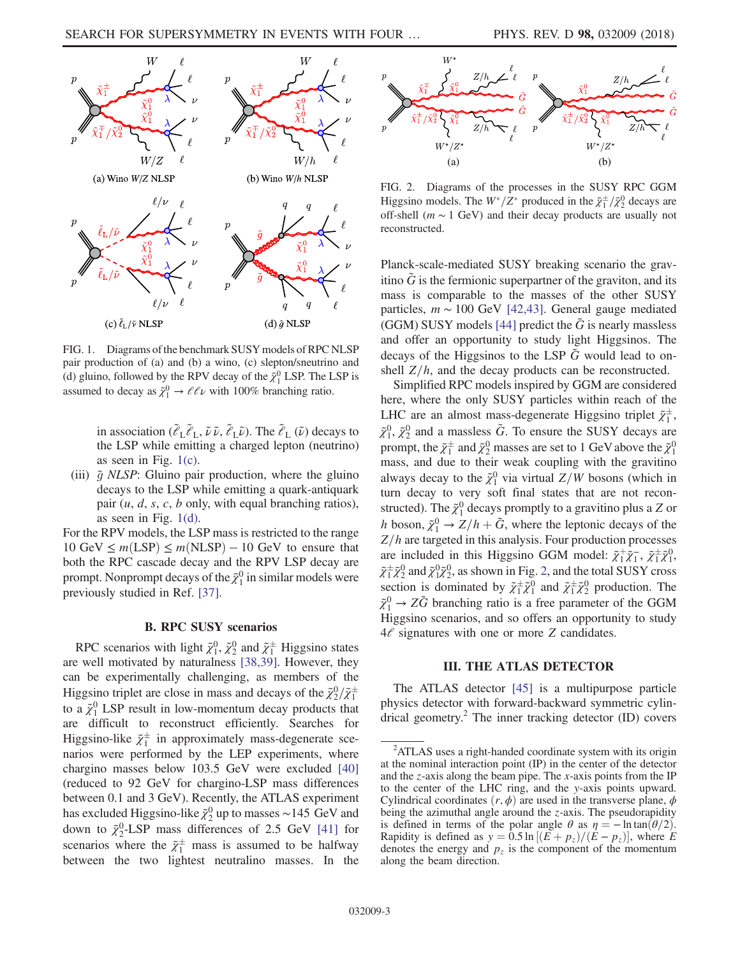<span id="page-2-0"></span>

FIG. 1. Diagrams of the benchmark SUSY models of RPC NLSP pair production of (a) and (b) a wino, (c) slepton/sneutrino and (d) gluino, followed by the RPV decay of the  $\tilde{\chi}_1^0$  LSP. The LSP is assumed to decay as  $\tilde{\chi}_1^0 \rightarrow \ell \ell \nu$  with 100% branching ratio.

in association ( $\tilde{\ell}_L \tilde{\ell}_L$ ,  $\tilde{\nu} \tilde{\nu}$ ,  $\tilde{\ell}_L \tilde{\nu}$ ). The  $\tilde{\ell}_L (\tilde{\nu})$  decays to the LSP while emitting a charged lepton (neutrino) as seen in Fig.  $1(c)$ .

(iii)  $\tilde{q}$  NLSP: Gluino pair production, where the gluino decays to the LSP while emitting a quark-antiquark pair  $(u, d, s, c, b)$  only, with equal branching ratios), as seen in Fig.  $1(d)$ .

For the RPV models, the LSP mass is restricted to the range  $10 \text{ GeV} \leq m(\text{LSP}) \leq m(\text{NLSP}) - 10 \text{ GeV}$  to ensure that both the RPC cascade decay and the RPV LSP decay are prompt. Nonprompt decays of the  $\tilde{\chi}^0_1$  in similar models were previously studied in Ref. [\[37\]](#page-15-13).

## B. RPC SUSY scenarios

RPC scenarios with light  $\tilde{\chi}_1^0$ ,  $\tilde{\chi}_2^0$  and  $\tilde{\chi}_1^{\pm}$  Higgsino states are well motivated by naturalness [\[38,39\]](#page-15-14). However, they can be experimentally challenging, as members of the Higgsino triplet are close in mass and decays of the  $\tilde{\chi}^0_2/\tilde{\chi}^{\pm}_1$ to a  $\tilde{\chi}_1^0$  LSP result in low-momentum decay products that are difficult to reconstruct efficiently. Searches for Higgsino-like  $\tilde{\chi}_1^{\pm}$  in approximately mass-degenerate scenarios were performed by the LEP experiments, where chargino masses below 103.5 GeV were excluded [\[40\]](#page-16-0) (reduced to 92 GeV for chargino-LSP mass differences between 0.1 and 3 GeV). Recently, the ATLAS experiment has excluded Higgsino-like  $\tilde{\chi}_2^0$  up to masses ~145 GeV and down to  $\tilde{\chi}^0$ -LSP mass differences of 2.5 GeV [\[41\]](#page-16-1) for scenarios where the  $\tilde{\chi}^{\pm}$  mass is assumed to be halfway between the two lightest neutralino masses. In the

<span id="page-2-1"></span>

FIG. 2. Diagrams of the processes in the SUSY RPC GGM Higgsino models. The  $W^*/Z^*$  produced in the  $\tilde{\chi}^{\pm}_1/\tilde{\chi}^0_2$  decays are off-shell ( $m \sim 1$  GeV) and their decay products are usually not reconstructed.

Planck-scale-mediated SUSY breaking scenario the gravitino  $\tilde{G}$  is the fermionic superpartner of the graviton, and its mass is comparable to the masses of the other SUSY particles,  $m \sim 100$  GeV [\[42,43\].](#page-16-2) General gauge mediated (GGM) SUSY models [\[44\]](#page-16-3) predict the  $\tilde{G}$  is nearly massless and offer an opportunity to study light Higgsinos. The decays of the Higgsinos to the LSP  $\tilde{G}$  would lead to onshell  $Z/h$ , and the decay products can be reconstructed.

Simplified RPC models inspired by GGM are considered here, where the only SUSY particles within reach of the LHC are an almost mass-degenerate Higgsino triplet  $\tilde{\chi}_1^{\pm}$ ,  $\tilde{\chi}_1^0$ ,  $\tilde{\chi}_2^0$  and a massless  $\tilde{G}$ . To ensure the SUSY decays are prompt, the  $\tilde{\chi}^{\pm}_1$  and  $\tilde{\chi}^0_2$  masses are set to  $1$  GeV above the  $\tilde{\chi}^0_1$ mass, and due to their weak coupling with the gravitino always decay to the  $\tilde{\chi}_1^0$  via virtual  $Z/W$  bosons (which in turn decay to very soft final states that are not reconstructed). The  $\tilde{\chi}_1^0$  decays promptly to a gravitino plus a Z or h boson,  $\tilde{\chi}_1^0 \rightarrow Z/h + \tilde{G}$ , where the leptonic decays of the  $Z/h$  are targeted in this analysis. Four production processes are included in this Higgsino GGM model:  $\tilde{\chi}_1^+ \tilde{\chi}_1^-$ ,  $\tilde{\chi}_1^{\pm} \tilde{\chi}_1^0$ ,  $\tilde{\chi}_1^{\pm}\tilde{\chi}_2^0$  and  $\tilde{\chi}_1^0\tilde{\chi}_2^0$ , as shown in Fig. [2,](#page-2-1) and the total SUSY cross section is dominated by  $\tilde{\chi}_1^{\pm} \tilde{\chi}_1^0$  and  $\tilde{\chi}_1^{\pm} \tilde{\chi}_2^0$  production. The  $\tilde{\chi}_1^0 \rightarrow Z\tilde{G}$  branching ratio is a free parameter of the GGM Higgsino scenarios, and so offers an opportunity to study  $4\ell$  signatures with one or more Z candidates.

## III. THE ATLAS DETECTOR

The ATLAS detector [\[45\]](#page-16-4) is a multipurpose particle physics detector with forward-backward symmetric cylindrical geometry.<sup>2</sup> The inner tracking detector (ID) covers

<sup>&</sup>lt;sup>2</sup>ATLAS uses a right-handed coordinate system with its origin at the nominal interaction point (IP) in the center of the detector and the  $z$ -axis along the beam pipe. The  $x$ -axis points from the IP to the center of the LHC ring, and the y-axis points upward. Cylindrical coordinates  $(r, \phi)$  are used in the transverse plane,  $\phi$ being the azimuthal angle around the *z*-axis. The pseudorapidity is defined in terms of the polar angle  $\theta$  as  $\eta = -\ln \tan(\theta/2)$ . Rapidity is defined as  $y = 0.5 \ln \left[ (E + p_z)/(E - p_z) \right]$ , where E denotes the energy and  $p<sub>z</sub>$  is the component of the momentum along the beam direction.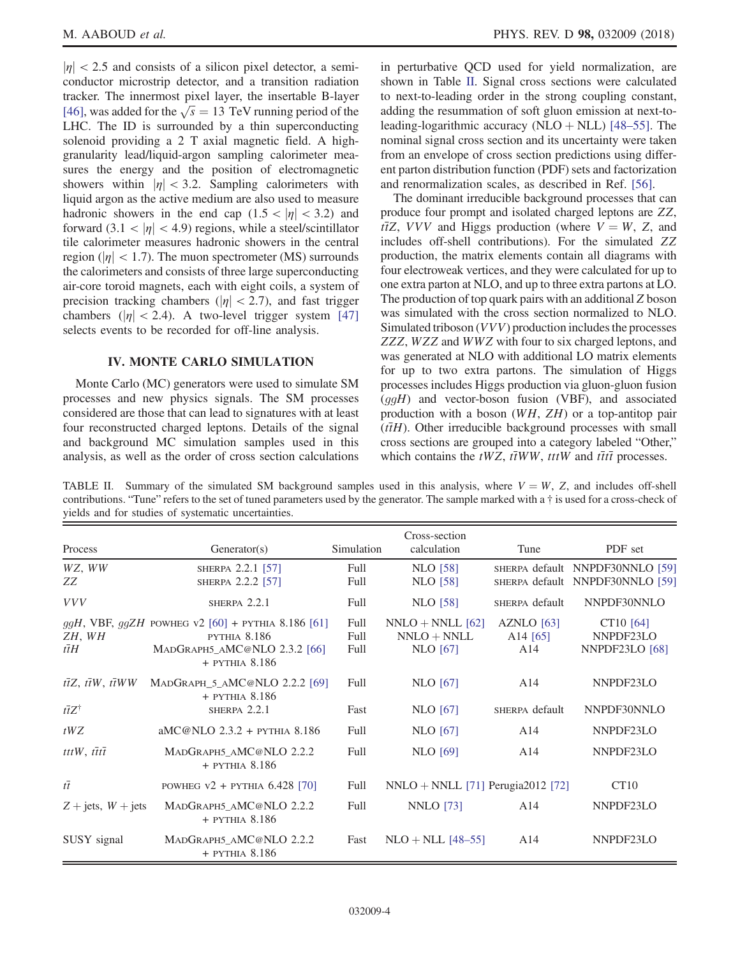$|\eta|$  < 2.5 and consists of a silicon pixel detector, a semiconductor microstrip detector, and a transition radiation tracker. The innermost pixel layer, the insertable B-layer [\[46\]](#page-16-5), was added for the  $\sqrt{s} = 13$  TeV running period of the LHC. The ID is surrounded by a thin superconducting solenoid providing a 2 T axial magnetic field. A highgranularity lead/liquid-argon sampling calorimeter measures the energy and the position of electromagnetic showers within  $|\eta| < 3.2$ . Sampling calorimeters with liquid argon as the active medium are also used to measure hadronic showers in the end cap  $(1.5 < |\eta| < 3.2)$  and forward  $(3.1 < |\eta| < 4.9)$  regions, while a steel/scintillator tile calorimeter measures hadronic showers in the central region ( $|\eta|$  < 1.7). The muon spectrometer (MS) surrounds the calorimeters and consists of three large superconducting air-core toroid magnets, each with eight coils, a system of precision tracking chambers ( $|\eta|$  < 2.7), and fast trigger chambers ( $|\eta|$  < 2.4). A two-level trigger system [\[47\]](#page-16-6) selects events to be recorded for off-line analysis.

## IV. MONTE CARLO SIMULATION

Monte Carlo (MC) generators were used to simulate SM processes and new physics signals. The SM processes considered are those that can lead to signatures with at least four reconstructed charged leptons. Details of the signal and background MC simulation samples used in this analysis, as well as the order of cross section calculations in perturbative QCD used for yield normalization, are shown in Table [II.](#page-3-0) Signal cross sections were calculated to next-to-leading order in the strong coupling constant, adding the resummation of soft gluon emission at next-toleading-logarithmic accuracy (NLO + NLL)  $[48-55]$ . The nominal signal cross section and its uncertainty were taken from an envelope of cross section predictions using different parton distribution function (PDF) sets and factorization and renormalization scales, as described in Ref. [\[56\].](#page-16-8)

The dominant irreducible background processes that can produce four prompt and isolated charged leptons are ZZ,  $t\bar{t}Z$ , VVV and Higgs production (where  $V = W$ , Z, and includes off-shell contributions). For the simulated ZZ production, the matrix elements contain all diagrams with four electroweak vertices, and they were calculated for up to one extra parton at NLO, and up to three extra partons at LO. The production of top quark pairs with an additional Z boson was simulated with the cross section normalized to NLO. Simulated triboson (VVV) production includes the processes ZZZ, WZZ and WWZ with four to six charged leptons, and was generated at NLO with additional LO matrix elements for up to two extra partons. The simulation of Higgs processes includes Higgs production via gluon-gluon fusion  $(qgH)$  and vector-boson fusion (VBF), and associated production with a boson (WH, ZH) or a top-antitop pair  $(t\bar{t}H)$ . Other irreducible background processes with small cross sections are grouped into a category labeled "Other," which contains the  $tWZ$ ,  $t\bar{t}WW$ ,  $tttW$  and  $t\bar{t}t\bar{t}$  processes.

<span id="page-3-0"></span>TABLE II. Summary of the simulated SM background samples used in this analysis, where  $V = W$ , Z, and includes off-shell contributions. "Tune" refers to the set of tuned parameters used by the generator. The sample marked with a † is used for a cross-check of yields and for studies of systematic uncertainties.

| Process                                  | Generator(s)                                                                                                                      | Simulation           | Cross-section<br>calculation                           | Tune                                        | PDF set                                                            |
|------------------------------------------|-----------------------------------------------------------------------------------------------------------------------------------|----------------------|--------------------------------------------------------|---------------------------------------------|--------------------------------------------------------------------|
| WZ, WW<br>ZZ                             | SHERPA 2.2.1 [57]<br>SHERPA 2.2.2 [57]                                                                                            | Full<br>Full         | <b>NLO</b> [58]<br><b>NLO</b> [58]                     |                                             | SHERPA default NNPDF30NNLO [59]<br>SHERPA default NNPDF30NNLO [59] |
| <i>VVV</i>                               | SHERPA $2.2.1$                                                                                                                    | Full                 | <b>NLO</b> [58]                                        | SHERPA default                              | NNPDF30NNLO                                                        |
| ZH, WH<br>$t\overline{t}H$               | $ggH$ , VBF, $ggZH$ powheg v2 [60] + PYTHIA 8.186 [61]<br><b>PYTHIA 8.186</b><br>MADGRAPH5_AMC@NLO 2.3.2 [66]<br>$+$ PYTHIA 8.186 | Full<br>Full<br>Full | $NNLO + NNLL$ [62]<br>$NNLO + NNLL$<br><b>NLO</b> [67] | AZNLO $[63]$<br>A <sub>14</sub> [65]<br>A14 | CT10 [64]<br>NNPDF23LO<br><b>NNPDF23LO</b> [68]                    |
| $t\bar{t}Z$ , $t\bar{t}W$ , $t\bar{t}WW$ | MADGRAPH_5_AMC@NLO 2.2.2 [69]<br>$+$ PYTHIA 8.186                                                                                 | Full                 | <b>NLO</b> [67]                                        | A14                                         | NNPDF23LO                                                          |
| $t\overline{t}Z^{\dagger}$               | SHERPA 2.2.1                                                                                                                      | Fast                 | <b>NLO</b> [67]                                        | SHERPA default                              | NNPDF30NNLO                                                        |
| tWZ                                      | $aMC@NLO$ 2.3.2 + PYTHIA 8.186                                                                                                    | Full                 | <b>NLO</b> [67]                                        | A14                                         | NNPDF23LO                                                          |
| $ttW$ , $t\overline{t}t\overline{t}$     | MADGRAPH5 AMC@NLO 2.2.2<br>$+$ PYTHIA 8.186                                                                                       | Full                 | <b>NLO</b> [69]                                        | A14                                         | NNPDF23LO                                                          |
| $t\overline{t}$                          | POWHEG $v2 + PYTHIA$ 6.428 [70]                                                                                                   | Full                 | $NNLO + NNLL$ [71] Perugia2012 [72]                    |                                             | CT <sub>10</sub>                                                   |
| $Z + \text{jets}, W + \text{jets}$       | MADGRAPH5_AMC@NLO 2.2.2<br>$+$ PYTHIA 8.186                                                                                       | Full                 | <b>NNLO</b> [73]                                       | A14                                         | NNPDF23LO                                                          |
| SUSY signal                              | MADGRAPH5_AMC@NLO 2.2.2<br>$+$ PYTHIA 8.186                                                                                       | Fast                 | $NLO + NLL$ [48-55]                                    | A14                                         | NNPDF23LO                                                          |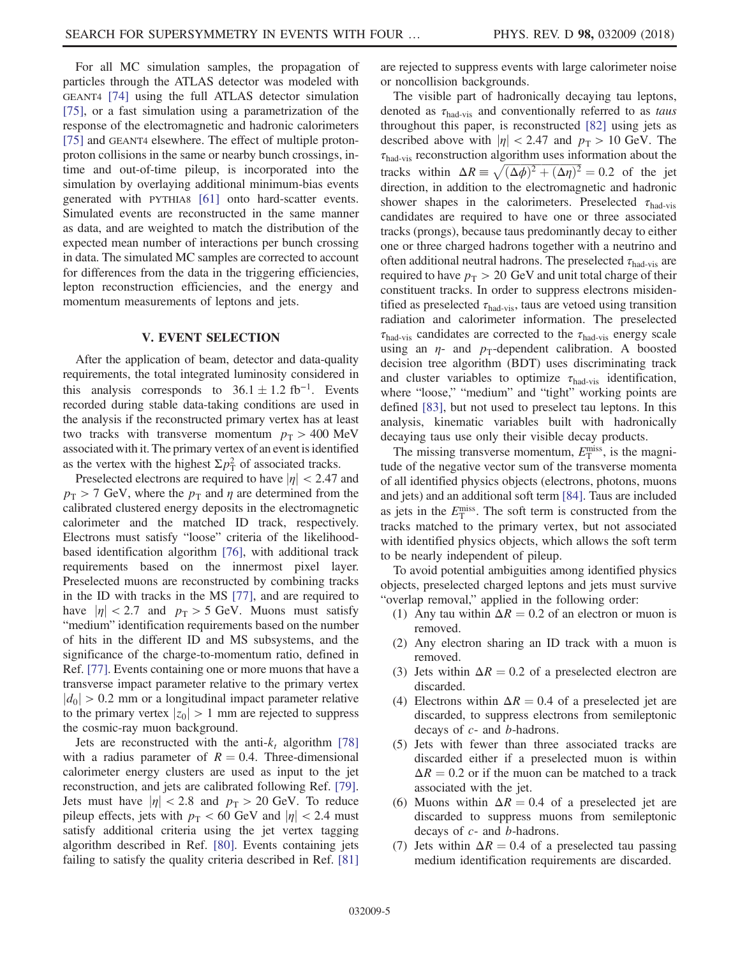For all MC simulation samples, the propagation of particles through the ATLAS detector was modeled with GEANT4 [\[74\]](#page-16-26) using the full ATLAS detector simulation [\[75\]](#page-16-27), or a fast simulation using a parametrization of the response of the electromagnetic and hadronic calorimeters [\[75\]](#page-16-27) and GEANT4 elsewhere. The effect of multiple protonproton collisions in the same or nearby bunch crossings, intime and out-of-time pileup, is incorporated into the simulation by overlaying additional minimum-bias events generated with PYTHIA8 [\[61\]](#page-16-13) onto hard-scatter events. Simulated events are reconstructed in the same manner as data, and are weighted to match the distribution of the expected mean number of interactions per bunch crossing in data. The simulated MC samples are corrected to account for differences from the data in the triggering efficiencies, lepton reconstruction efficiencies, and the energy and momentum measurements of leptons and jets.

## V. EVENT SELECTION

<span id="page-4-0"></span>After the application of beam, detector and data-quality requirements, the total integrated luminosity considered in this analysis corresponds to  $36.1 \pm 1.2$  fb<sup>-1</sup>. Events recorded during stable data-taking conditions are used in the analysis if the reconstructed primary vertex has at least two tracks with transverse momentum  $p_T > 400$  MeV associated with it. The primary vertex of an event is identified as the vertex with the highest  $\Sigma p_{\rm T}^2$  of associated tracks.

Preselected electrons are required to have  $|\eta| < 2.47$  and  $p_{\rm T} > 7$  GeV, where the  $p_{\rm T}$  and  $\eta$  are determined from the calibrated clustered energy deposits in the electromagnetic calorimeter and the matched ID track, respectively. Electrons must satisfy "loose" criteria of the likelihoodbased identification algorithm [\[76\]](#page-16-28), with additional track requirements based on the innermost pixel layer. Preselected muons are reconstructed by combining tracks in the ID with tracks in the MS [\[77\]](#page-16-29), and are required to have  $|\eta| < 2.7$  and  $p_T > 5$  GeV. Muons must satisfy "medium" identification requirements based on the number of hits in the different ID and MS subsystems, and the significance of the charge-to-momentum ratio, defined in Ref. [\[77\]](#page-16-29). Events containing one or more muons that have a transverse impact parameter relative to the primary vertex  $|d_0| > 0.2$  mm or a longitudinal impact parameter relative to the primary vertex  $|z_0| > 1$  mm are rejected to suppress the cosmic-ray muon background.

Jets are reconstructed with the anti- $k_t$  algorithm [\[78\]](#page-17-0) with a radius parameter of  $R = 0.4$ . Three-dimensional calorimeter energy clusters are used as input to the jet reconstruction, and jets are calibrated following Ref. [\[79\]](#page-17-1). Jets must have  $|\eta| < 2.8$  and  $p_T > 20$  GeV. To reduce pileup effects, jets with  $p_T < 60$  GeV and  $|\eta| < 2.4$  must satisfy additional criteria using the jet vertex tagging algorithm described in Ref. [\[80\].](#page-17-2) Events containing jets failing to satisfy the quality criteria described in Ref. [\[81\]](#page-17-3) are rejected to suppress events with large calorimeter noise or noncollision backgrounds.

The visible part of hadronically decaying tau leptons, denoted as  $\tau_{\text{had-vis}}$  and conventionally referred to as taus throughout this paper, is reconstructed [\[82\]](#page-17-4) using jets as described above with  $|\eta| < 2.47$  and  $p_T > 10$  GeV. The  $\tau_{\text{had-vis}}$  reconstruction algorithm uses information about the tracks within  $\Delta R \equiv \sqrt{(\Delta \phi)^2 + (\Delta \eta)^2} = 0.2$  of the jet direction, in addition to the electromagnetic and hadronic shower shapes in the calorimeters. Preselected  $\tau_{\text{had-vis}}$ candidates are required to have one or three associated tracks (prongs), because taus predominantly decay to either one or three charged hadrons together with a neutrino and often additional neutral hadrons. The preselected  $\tau_{\text{had-vis}}$  are required to have  $p_T > 20$  GeV and unit total charge of their constituent tracks. In order to suppress electrons misidentified as preselected  $\tau_{\text{had-vis}}$ , taus are vetoed using transition radiation and calorimeter information. The preselected  $\tau_{\text{had-vis}}$  candidates are corrected to the  $\tau_{\text{had-vis}}$  energy scale using an  $\eta$ - and  $p_T$ -dependent calibration. A boosted decision tree algorithm (BDT) uses discriminating track and cluster variables to optimize  $\tau_{\text{had-vis}}$  identification, where "loose," "medium" and "tight" working points are defined [\[83\],](#page-17-5) but not used to preselect tau leptons. In this analysis, kinematic variables built with hadronically decaying taus use only their visible decay products.

The missing transverse momentum,  $E_{\rm T}^{\rm miss}$ , is the magnitude of the negative vector sum of the transverse momenta of all identified physics objects (electrons, photons, muons and jets) and an additional soft term [\[84\]](#page-17-6). Taus are included as jets in the  $E_{\rm T}^{\rm miss}$ . The soft term is constructed from the tracks matched to the primary vertex, but not associated with identified physics objects, which allows the soft term to be nearly independent of pileup.

To avoid potential ambiguities among identified physics objects, preselected charged leptons and jets must survive "overlap removal," applied in the following order:

- (1) Any tau within  $\Delta R = 0.2$  of an electron or muon is removed.
- (2) Any electron sharing an ID track with a muon is removed.
- (3) Jets within  $\Delta R = 0.2$  of a preselected electron are discarded.
- (4) Electrons within  $\Delta R = 0.4$  of a preselected jet are discarded, to suppress electrons from semileptonic decays of c- and b-hadrons.
- (5) Jets with fewer than three associated tracks are discarded either if a preselected muon is within  $\Delta R = 0.2$  or if the muon can be matched to a track associated with the jet.
- (6) Muons within  $\Delta R = 0.4$  of a preselected jet are discarded to suppress muons from semileptonic decays of  $c$ - and  $b$ -hadrons.
- (7) Jets within  $\Delta R = 0.4$  of a preselected tau passing medium identification requirements are discarded.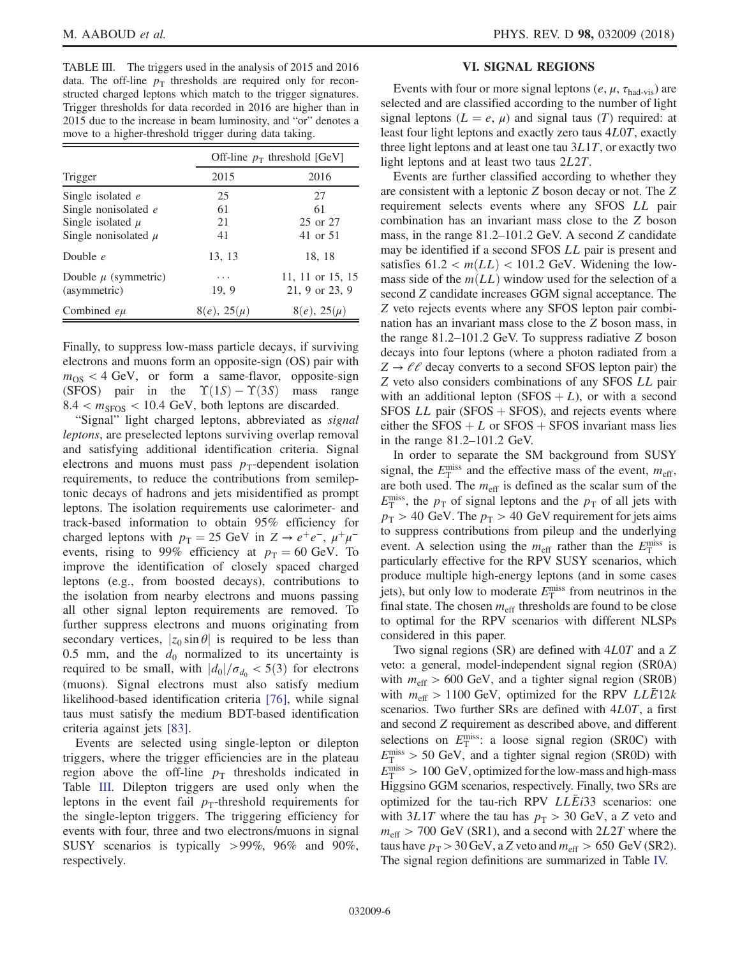<span id="page-5-0"></span>TABLE III. The triggers used in the analysis of 2015 and 2016 data. The off-line  $p<sub>T</sub>$  thresholds are required only for reconstructed charged leptons which match to the trigger signatures. Trigger thresholds for data recorded in 2016 are higher than in 2015 due to the increase in beam luminosity, and "or" denotes a move to a higher-threshold trigger during data taking.

|                                               | Off-line $p_T$ threshold [GeV] |                                    |  |  |
|-----------------------------------------------|--------------------------------|------------------------------------|--|--|
| Trigger                                       | 2015                           | 2016                               |  |  |
| Single isolated $e$                           | 25<br>61                       | 27<br>61                           |  |  |
| Single nonisolated e<br>Single isolated $\mu$ | 21                             | 25 or 27                           |  |  |
| Single nonisolated $\mu$                      | 41                             | 41 or 51                           |  |  |
| Double $e$                                    | 13, 13                         | 18, 18                             |  |  |
| Double $\mu$ (symmetric)<br>(asymmetric)      | .<br>19, 9                     | 11, 11 or 15, 15<br>21, 9 or 23, 9 |  |  |
| Combined eu                                   | $8(e), 25(\mu)$                | $8(e), 25(\mu)$                    |  |  |

Finally, to suppress low-mass particle decays, if surviving electrons and muons form an opposite-sign (OS) pair with  $m_{OS}$  < 4 GeV, or form a same-flavor, opposite-sign (SFOS) pair in the  $\Upsilon(1S) - \Upsilon(3S)$  mass range  $8.4 < m<sub>SFOS</sub> < 10.4$  GeV, both leptons are discarded.

"Signal" light charged leptons, abbreviated as signal leptons, are preselected leptons surviving overlap removal and satisfying additional identification criteria. Signal electrons and muons must pass  $p_T$ -dependent isolation requirements, to reduce the contributions from semileptonic decays of hadrons and jets misidentified as prompt leptons. The isolation requirements use calorimeter- and track-based information to obtain 95% efficiency for charged leptons with  $p_T = 25$  GeV in  $Z \rightarrow e^+e^-$ ,  $\mu^+\mu^$ events, rising to 99% efficiency at  $p_T = 60$  GeV. To improve the identification of closely spaced charged leptons (e.g., from boosted decays), contributions to the isolation from nearby electrons and muons passing all other signal lepton requirements are removed. To further suppress electrons and muons originating from secondary vertices,  $|z_0 \sin \theta|$  is required to be less than 0.5 mm, and the  $d_0$  normalized to its uncertainty is required to be small, with  $|d_0|/\sigma_{d_0} < 5(3)$  for electrons (muons). Signal electrons must also satisfy medium likelihood-based identification criteria [\[76\]](#page-16-28), while signal taus must satisfy the medium BDT-based identification criteria against jets [\[83\].](#page-17-5)

Events are selected using single-lepton or dilepton triggers, where the trigger efficiencies are in the plateau region above the off-line  $p<sub>T</sub>$  thresholds indicated in Table [III](#page-5-0). Dilepton triggers are used only when the leptons in the event fail  $p_T$ -threshold requirements for the single-lepton triggers. The triggering efficiency for events with four, three and two electrons/muons in signal SUSY scenarios is typically >99%, 96% and 90%, respectively.

## VI. SIGNAL REGIONS

Events with four or more signal leptons ( $e$ ,  $\mu$ ,  $\tau_{\text{had-vis}}$ ) are selected and are classified according to the number of light signal leptons ( $L = e$ ,  $\mu$ ) and signal taus (T) required: at least four light leptons and exactly zero taus 4L0T, exactly three light leptons and at least one tau  $3L1T$ , or exactly two light leptons and at least two taus 2L2T.

Events are further classified according to whether they are consistent with a leptonic Z boson decay or not. The Z requirement selects events where any SFOS LL pair combination has an invariant mass close to the Z boson mass, in the range 81.2–101.2 GeV. A second Z candidate may be identified if a second SFOS LL pair is present and satisfies  $61.2 < m(LL) < 101.2$  GeV. Widening the lowmass side of the  $m(LL)$  window used for the selection of a second Z candidate increases GGM signal acceptance. The Z veto rejects events where any SFOS lepton pair combination has an invariant mass close to the Z boson mass, in the range 81.2–101.2 GeV. To suppress radiative Z boson decays into four leptons (where a photon radiated from a  $Z \rightarrow \ell \ell$  decay converts to a second SFOS lepton pair) the Z veto also considers combinations of any SFOS LL pair with an additional lepton  $(SFOS + L)$ , or with a second SFOS  $LL$  pair (SFOS + SFOS), and rejects events where either the  $SFOS + L$  or  $SFOS + SFOS$  invariant mass lies in the range 81.2–101.2 GeV.

In order to separate the SM background from SUSY signal, the  $E_{\rm T}^{\rm miss}$  and the effective mass of the event,  $m_{\rm eff}$ , are both used. The  $m<sub>eff</sub>$  is defined as the scalar sum of the  $E_{\rm T}^{\rm miss}$ , the  $p_{\rm T}$  of signal leptons and the  $p_{\rm T}$  of all jets with  $p_T > 40$  GeV. The  $p_T > 40$  GeV requirement for jets aims to suppress contributions from pileup and the underlying event. A selection using the  $m_{\text{eff}}$  rather than the  $E_{\text{T}}^{\text{miss}}$  is particularly effective for the RPV SUSY scenarios, which produce multiple high-energy leptons (and in some cases jets), but only low to moderate  $E_{\rm T}^{\rm miss}$  from neutrinos in the final state. The chosen  $m_{\text{eff}}$  thresholds are found to be close to optimal for the RPV scenarios with different NLSPs considered in this paper.

Two signal regions (SR) are defined with 4L0T and a Z veto: a general, model-independent signal region (SR0A) with  $m_{\text{eff}} > 600 \text{ GeV}$ , and a tighter signal region (SR0B) with  $m_{\text{eff}} > 1100 \text{ GeV}$ , optimized for the RPV  $LL\overline{E}12k$ scenarios. Two further SRs are defined with 4L0T, a first and second Z requirement as described above, and different selections on  $E_{\rm T}^{\rm miss}$ : a loose signal region (SR0C) with  $E_{\rm T}^{\rm miss} > 50$  GeV, and a tighter signal region (SR0D) with  $E_{\rm T}^{\rm miss} > 100 \,\,{\rm GeV},$  optimized for the low-mass and high-mass Higgsino GGM scenarios, respectively. Finally, two SRs are optimized for the tau-rich RPV  $LL\overline{E}i33$  scenarios: one with  $3L1T$  where the tau has  $p_T > 30$  GeV, a Z veto and  $m_{\text{eff}}$  > 700 GeV (SR1), and a second with 2L2T where the taus have  $p_T > 30$  GeV, a Z veto and  $m_{\text{eff}} > 650$  GeV (SR2). The signal region definitions are summarized in Table [IV.](#page-6-0)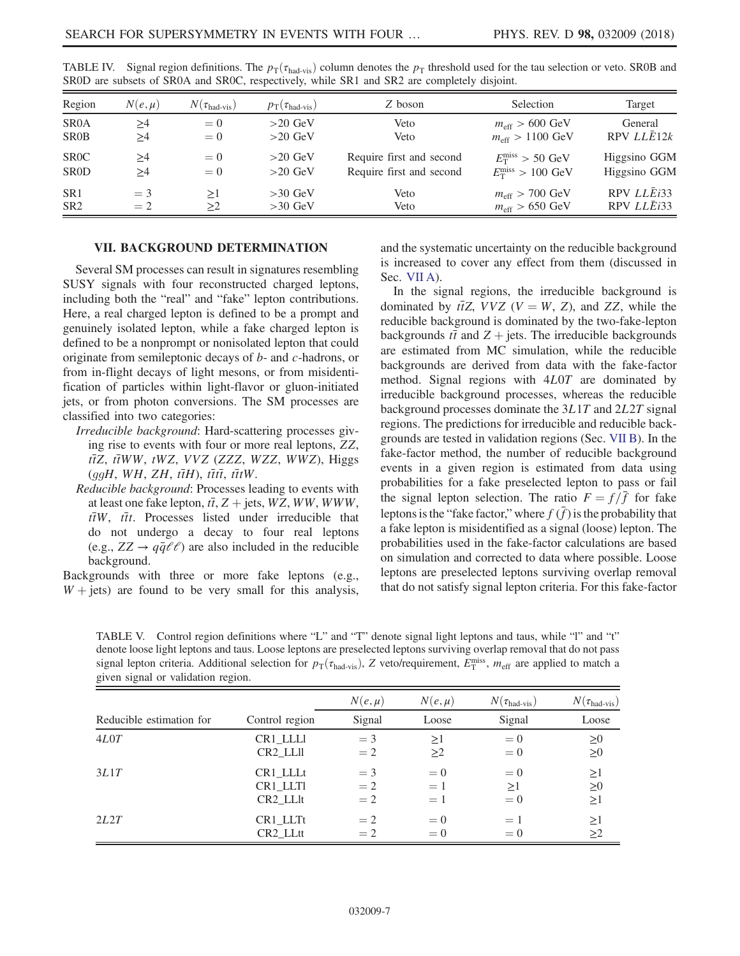| Region            | $N(e,\mu)$ | $N(\tau_{\text{had-vis}})$ | $p_{\rm T}(\tau_{\rm had-vis})$ | Z boson                  | Selection                              | Target                 |
|-------------------|------------|----------------------------|---------------------------------|--------------------------|----------------------------------------|------------------------|
| SR <sub>0</sub> A | >4         | $= 0$                      | $>20$ GeV                       | Veto                     | $m_{\text{eff}} > 600 \text{ GeV}$     | General                |
| <b>SROB</b>       | >4         | $= 0$                      | $>20$ GeV                       | Veto                     | $m_{\text{eff}} > 1100 \text{ GeV}$    | RPV LLE <sub>12k</sub> |
| <b>SROC</b>       | >4         | $= 0$                      | $>20$ GeV                       | Require first and second | $E_{\rm T}^{\rm miss} > 50~{\rm GeV}$  | Higgsino GGM           |
| <b>SROD</b>       | >4         | $= 0$                      | $>20$ GeV                       | Require first and second | $E_{\rm T}^{\rm miss} > 100~{\rm GeV}$ | Higgsino GGM           |
| SR <sub>1</sub>   | $=$ 3      | >1                         | $>30$ GeV                       | Veto                     | $m_{\text{eff}} > 700 \text{ GeV}$     | RPV LLEi33             |
| SR <sub>2</sub>   | $= 2$      | >2                         | $>30$ GeV                       | Veto                     | $m_{\text{eff}} > 650 \text{ GeV}$     | RPV LLEi33             |

<span id="page-6-0"></span>TABLE IV. Signal region definitions. The  $p_T(\tau_{\text{had-vis}})$  column denotes the  $p_T$  threshold used for the tau selection or veto. SR0B and SR0D are subsets of SR0A and SR0C, respectively, while SR1 and SR2 are completely disjoint.

### VII. BACKGROUND DETERMINATION

Several SM processes can result in signatures resembling SUSY signals with four reconstructed charged leptons, including both the "real" and "fake" lepton contributions. Here, a real charged lepton is defined to be a prompt and genuinely isolated lepton, while a fake charged lepton is defined to be a nonprompt or nonisolated lepton that could originate from semileptonic decays of b- and c-hadrons, or from in-flight decays of light mesons, or from misidentification of particles within light-flavor or gluon-initiated jets, or from photon conversions. The SM processes are classified into two categories:

- Irreducible background: Hard-scattering processes giving rise to events with four or more real leptons, ZZ,  $t\bar{t}Z$ ,  $t\bar{t}WW$ ,  $tWZ$ ,  $VVZ$  (ZZZ, WZZ, WWZ), Higgs  $(qqH, WH, ZH, t\bar{t}H), t\bar{t}t\bar{t}, t\bar{t}tW.$
- Reducible background: Processes leading to events with at least one fake lepton,  $t\bar{t}$ ,  $Z + \text{jets}$ , WZ, WW, WWW,  $t\bar{t}W$ ,  $t\bar{t}t$ . Processes listed under irreducible that do not undergo a decay to four real leptons (e.g.,  $ZZ \rightarrow q\bar{q}\ell\ell$ ) are also included in the reducible background.

Backgrounds with three or more fake leptons (e.g.,  $W + jets$  are found to be very small for this analysis, and the systematic uncertainty on the reducible background is increased to cover any effect from them (discussed in Sec. [VII A](#page-7-0)).

In the signal regions, the irreducible background is dominated by  $t\bar{t}Z$ , VVZ (V = W, Z), and ZZ, while the reducible background is dominated by the two-fake-lepton backgrounds  $t\bar{t}$  and  $Z$  + jets. The irreducible backgrounds are estimated from MC simulation, while the reducible backgrounds are derived from data with the fake-factor method. Signal regions with 4L0T are dominated by irreducible background processes, whereas the reducible background processes dominate the 3L1T and 2L2T signal regions. The predictions for irreducible and reducible backgrounds are tested in validation regions (Sec. [VII B](#page-10-0)). In the fake-factor method, the number of reducible background events in a given region is estimated from data using probabilities for a fake preselected lepton to pass or fail the signal lepton selection. The ratio  $F = f/\bar{f}$  for fake leptons is the "fake factor," where  $f(\bar{f})$  is the probability that a fake lepton is misidentified as a signal (loose) lepton. The probabilities used in the fake-factor calculations are based on simulation and corrected to data where possible. Loose leptons are preselected leptons surviving overlap removal that do not satisfy signal lepton criteria. For this fake-factor

<span id="page-6-1"></span>TABLE V. Control region definitions where "L" and "T" denote signal light leptons and taus, while "l" and "t" denote loose light leptons and taus. Loose leptons are preselected leptons surviving overlap removal that do not pass signal lepton criteria. Additional selection for  $p_T(\tau_{\text{had-vis}})$ , Z veto/requirement,  $E_T^{\text{miss}}$ ,  $m_{\text{eff}}$  are applied to match a given signal or validation region.

|                          |                                   | $N(e,\mu)$ | $N(e,\mu)$ | $N(\tau_{\text{had-vis}})$ | $N(\tau_{\text{had-vis}})$ |
|--------------------------|-----------------------------------|------------|------------|----------------------------|----------------------------|
| Reducible estimation for | Control region                    | Signal     | Loose      | Signal                     | Loose                      |
| 4L0T                     | CR1_LLL1                          | $=$ 3      | >1         | $= 0$                      | $\geq 0$                   |
|                          | CR <sub>2</sub> _LL <sub>II</sub> | $= 2$      | $\geq$ 2   | $= 0$                      | $\geq 0$                   |
| 3L1T                     | CR1 LLLt                          | $=$ 3      | $= 0$      | $= 0$                      | >1                         |
|                          | CR1_LLT1                          | $=2$       | $=1$       | >1                         | $\geq 0$                   |
|                          | CR <sub>2</sub> LL <sub>It</sub>  | $=2$       | $=1$       | $= 0$                      | $\geq$ 1                   |
| 2L2T                     | CR <sub>1</sub> LLTt              | $=2$       | $= 0$      | $=1$                       | $\geq$ 1                   |
|                          | CR <sub>2</sub> LLtt              | $=2$       | $= 0$      | $= 0$                      | $\geq$ 2                   |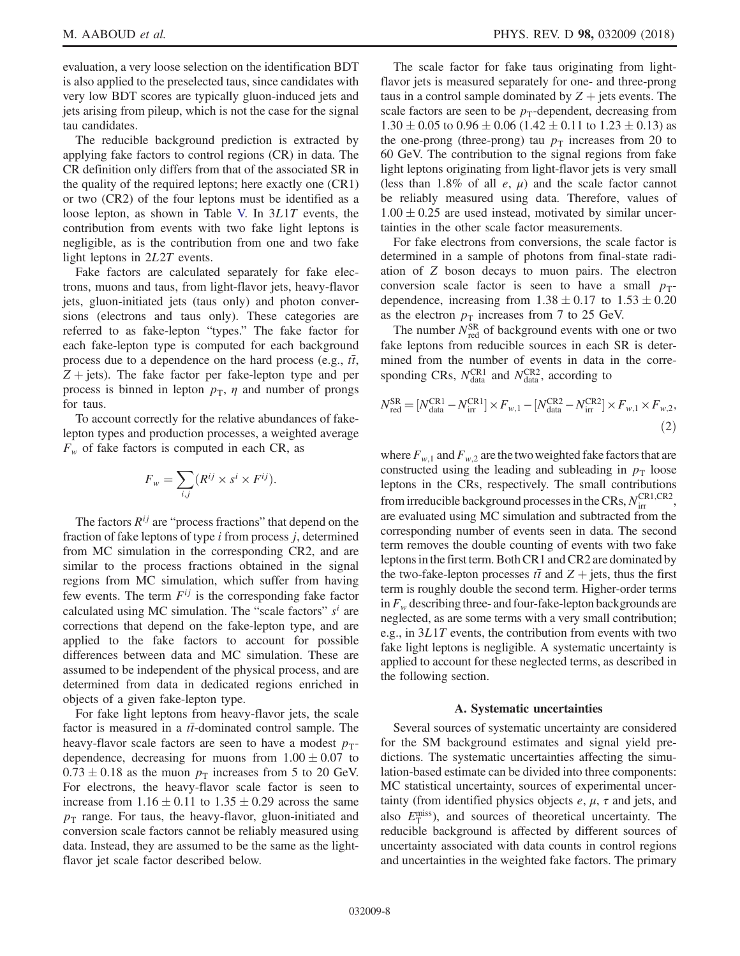evaluation, a very loose selection on the identification BDT is also applied to the preselected taus, since candidates with very low BDT scores are typically gluon-induced jets and jets arising from pileup, which is not the case for the signal tau candidates.

The reducible background prediction is extracted by applying fake factors to control regions (CR) in data. The CR definition only differs from that of the associated SR in the quality of the required leptons; here exactly one (CR1) or two (CR2) of the four leptons must be identified as a loose lepton, as shown in Table [V.](#page-6-1) In 3L1T events, the contribution from events with two fake light leptons is negligible, as is the contribution from one and two fake light leptons in 2L2T events.

Fake factors are calculated separately for fake electrons, muons and taus, from light-flavor jets, heavy-flavor jets, gluon-initiated jets (taus only) and photon conversions (electrons and taus only). These categories are referred to as fake-lepton "types." The fake factor for each fake-lepton type is computed for each background process due to a dependence on the hard process (e.g.,  $t\bar{t}$ ,  $Z + jets$ ). The fake factor per fake-lepton type and per process is binned in lepton  $p<sub>T</sub>$ ,  $\eta$  and number of prongs for taus.

To account correctly for the relative abundances of fakelepton types and production processes, a weighted average  $F_w$  of fake factors is computed in each CR, as

$$
F_w = \sum_{i,j} (R^{ij} \times s^i \times F^{ij}).
$$

The factors  $R^{ij}$  are "process fractions" that depend on the fraction of fake leptons of type  $i$  from process  $j$ , determined from MC simulation in the corresponding CR2, and are similar to the process fractions obtained in the signal regions from MC simulation, which suffer from having few events. The term  $F^{ij}$  is the corresponding fake factor calculated using MC simulation. The "scale factors"  $s^i$  are corrections that depend on the fake-lepton type, and are applied to the fake factors to account for possible differences between data and MC simulation. These are assumed to be independent of the physical process, and are determined from data in dedicated regions enriched in objects of a given fake-lepton type.

For fake light leptons from heavy-flavor jets, the scale factor is measured in a  $t\bar{t}$ -dominated control sample. The heavy-flavor scale factors are seen to have a modest  $p_T$ dependence, decreasing for muons from  $1.00 \pm 0.07$  to  $0.73 \pm 0.18$  as the muon  $p_{\text{T}}$  increases from 5 to 20 GeV. For electrons, the heavy-flavor scale factor is seen to increase from  $1.16 \pm 0.11$  to  $1.35 \pm 0.29$  across the same  $p_T$  range. For taus, the heavy-flavor, gluon-initiated and conversion scale factors cannot be reliably measured using data. Instead, they are assumed to be the same as the lightflavor jet scale factor described below.

The scale factor for fake taus originating from lightflavor jets is measured separately for one- and three-prong taus in a control sample dominated by  $Z +$  jets events. The scale factors are seen to be  $p_T$ -dependent, decreasing from  $1.30 \pm 0.05$  to  $0.96 \pm 0.06$  ( $1.42 \pm 0.11$  to  $1.23 \pm 0.13$ ) as the one-prong (three-prong) tau  $p<sub>T</sub>$  increases from 20 to 60 GeV. The contribution to the signal regions from fake light leptons originating from light-flavor jets is very small (less than 1.8% of all  $e$ ,  $\mu$ ) and the scale factor cannot be reliably measured using data. Therefore, values of  $1.00 \pm 0.25$  are used instead, motivated by similar uncertainties in the other scale factor measurements.

For fake electrons from conversions, the scale factor is determined in a sample of photons from final-state radiation of Z boson decays to muon pairs. The electron conversion scale factor is seen to have a small  $p_T$ dependence, increasing from  $1.38 \pm 0.17$  to  $1.53 \pm 0.20$ as the electron  $p_T$  increases from 7 to 25 GeV.

The number  $N_{\text{red}}^{\text{SR}}$  of background events with one or two fake leptons from reducible sources in each SR is determined from the number of events in data in the corresponding CRs,  $N_{data}^{CR1}$  and  $N_{data}^{CR2}$ , according to

<span id="page-7-1"></span>
$$
N_{\text{red}}^{\text{SR}} = [N_{\text{data}}^{\text{CR1}} - N_{\text{irr}}^{\text{CR1}}] \times F_{w,1} - [N_{\text{data}}^{\text{CR2}} - N_{\text{irr}}^{\text{CR2}}] \times F_{w,1} \times F_{w,2},
$$
\n(2)

where  $F_{w,1}$  and  $F_{w,2}$  are the two weighted fake factors that are constructed using the leading and subleading in  $p<sub>T</sub>$  loose leptons in the CRs, respectively. The small contributions from irreducible background processes in the CRs,  $N_{\text{irr}}^{\text{CR1,CR2}}$ , are evaluated using MC simulation and subtracted from the corresponding number of events seen in data. The second term removes the double counting of events with two fake leptons in the first term. Both CR1 and CR2 are dominated by the two-fake-lepton processes  $t\bar{t}$  and  $Z$  + jets, thus the first term is roughly double the second term. Higher-order terms in  $F_w$  describing three- and four-fake-lepton backgrounds are neglected, as are some terms with a very small contribution; e.g., in 3L1T events, the contribution from events with two fake light leptons is negligible. A systematic uncertainty is applied to account for these neglected terms, as described in the following section.

## A. Systematic uncertainties

<span id="page-7-0"></span>Several sources of systematic uncertainty are considered for the SM background estimates and signal yield predictions. The systematic uncertainties affecting the simulation-based estimate can be divided into three components: MC statistical uncertainty, sources of experimental uncertainty (from identified physics objects  $e, \mu, \tau$  and jets, and also  $E_{\rm T}^{\rm miss}$ ), and sources of theoretical uncertainty. The reducible background is affected by different sources of uncertainty associated with data counts in control regions and uncertainties in the weighted fake factors. The primary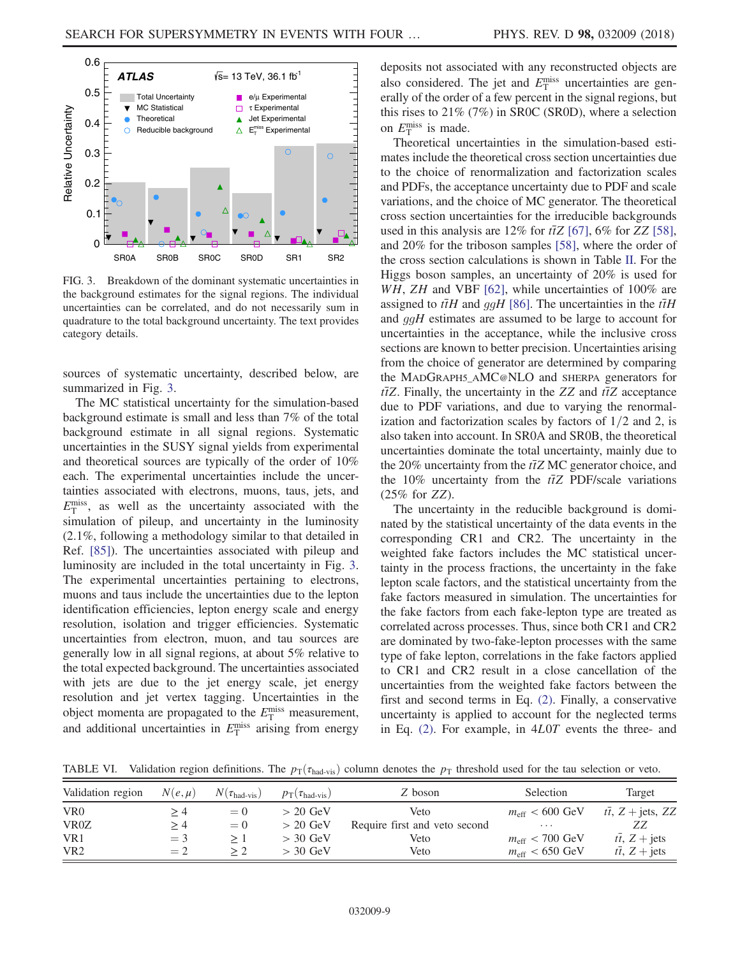<span id="page-8-0"></span>

FIG. 3. Breakdown of the dominant systematic uncertainties in the background estimates for the signal regions. The individual uncertainties can be correlated, and do not necessarily sum in quadrature to the total background uncertainty. The text provides category details.

sources of systematic uncertainty, described below, are summarized in Fig. [3](#page-8-0).

The MC statistical uncertainty for the simulation-based background estimate is small and less than 7% of the total background estimate in all signal regions. Systematic uncertainties in the SUSY signal yields from experimental and theoretical sources are typically of the order of 10% each. The experimental uncertainties include the uncertainties associated with electrons, muons, taus, jets, and  $E_{\rm T}^{\rm miss}$ , as well as the uncertainty associated with the simulation of pileup, and uncertainty in the luminosity (2.1%, following a methodology similar to that detailed in Ref. [\[85\]\)](#page-17-7). The uncertainties associated with pileup and luminosity are included in the total uncertainty in Fig. [3](#page-8-0). The experimental uncertainties pertaining to electrons, muons and taus include the uncertainties due to the lepton identification efficiencies, lepton energy scale and energy resolution, isolation and trigger efficiencies. Systematic uncertainties from electron, muon, and tau sources are generally low in all signal regions, at about 5% relative to the total expected background. The uncertainties associated with jets are due to the jet energy scale, jet energy resolution and jet vertex tagging. Uncertainties in the object momenta are propagated to the  $E_{\text{T}}^{\text{miss}}$  measurement, and additional uncertainties in  $E_{\rm T}^{\rm miss}$  arising from energy deposits not associated with any reconstructed objects are also considered. The jet and  $E_{\rm T}^{\rm miss}$  uncertainties are generally of the order of a few percent in the signal regions, but this rises to 21% (7%) in SR0C (SR0D), where a selection on  $E_{\rm T}^{\rm miss}$  is made.

Theoretical uncertainties in the simulation-based estimates include the theoretical cross section uncertainties due to the choice of renormalization and factorization scales and PDFs, the acceptance uncertainty due to PDF and scale variations, and the choice of MC generator. The theoretical cross section uncertainties for the irreducible backgrounds used in this analysis are 12% for  $t\bar{t}Z$  [\[67\]](#page-16-19), 6% for ZZ [\[58\]](#page-16-10), and 20% for the triboson samples [\[58\],](#page-16-10) where the order of the cross section calculations is shown in Table [II](#page-3-0). For the Higgs boson samples, an uncertainty of 20% is used for WH, ZH and VBF [\[62\],](#page-16-14) while uncertainties of 100% are assigned to  $t\bar{t}H$  and  $ggH$  [\[86\].](#page-17-8) The uncertainties in the  $t\bar{t}H$ and ggH estimates are assumed to be large to account for uncertainties in the acceptance, while the inclusive cross sections are known to better precision. Uncertainties arising from the choice of generator are determined by comparing the MADGRAPH5\_AMC@NLO and SHERPA generators for  $t\bar{t}Z$ . Finally, the uncertainty in the ZZ and  $t\bar{t}Z$  acceptance due to PDF variations, and due to varying the renormalization and factorization scales by factors of  $1/2$  and 2, is also taken into account. In SR0A and SR0B, the theoretical uncertainties dominate the total uncertainty, mainly due to the 20% uncertainty from the  $t\bar{t}Z$  MC generator choice, and the 10% uncertainty from the  $t\bar{t}Z$  PDF/scale variations (25% for ZZ).

The uncertainty in the reducible background is dominated by the statistical uncertainty of the data events in the corresponding CR1 and CR2. The uncertainty in the weighted fake factors includes the MC statistical uncertainty in the process fractions, the uncertainty in the fake lepton scale factors, and the statistical uncertainty from the fake factors measured in simulation. The uncertainties for the fake factors from each fake-lepton type are treated as correlated across processes. Thus, since both CR1 and CR2 are dominated by two-fake-lepton processes with the same type of fake lepton, correlations in the fake factors applied to CR1 and CR2 result in a close cancellation of the uncertainties from the weighted fake factors between the first and second terms in Eq. [\(2\)](#page-7-1). Finally, a conservative uncertainty is applied to account for the neglected terms in Eq. [\(2\).](#page-7-1) For example, in 4L0T events the three- and

<span id="page-8-1"></span>TABLE VI. Validation region definitions. The  $p_T(\tau_{\text{had-vis}})$  column denotes the  $p_T$  threshold used for the tau selection or veto.

| Validation region | $N(e,\mu)$ | $N(\tau_{\text{had-vis}})$ | $p_{\rm T}(\tau_{\rm had-vis})$ | Z boson                       | Selection                          | Target                         |
|-------------------|------------|----------------------------|---------------------------------|-------------------------------|------------------------------------|--------------------------------|
| VR <sub>0</sub>   | > 4        | $=$ ()                     | $> 20$ GeV                      | Veto                          | $m_{\text{eff}} < 600 \text{ GeV}$ | $t\overline{t}$ , Z + jets, ZZ |
| VR <sub>0</sub> Z | >4         | $= 0$                      | $> 20 \text{ GeV}$              | Require first and veto second | $\cdots$                           | ZZ.                            |
| VR1               | $=$ 3      |                            | $>$ 30 GeV                      | Veto                          | $m_{\text{eff}} < 700 \text{ GeV}$ | $t\overline{t}$ , Z + jets     |
| VR <sub>2</sub>   | $= 2$      | > 2                        | $>$ 30 GeV                      | Veto                          | $m_{\text{eff}} < 650 \text{ GeV}$ | $t\bar{t}$ , Z + jets          |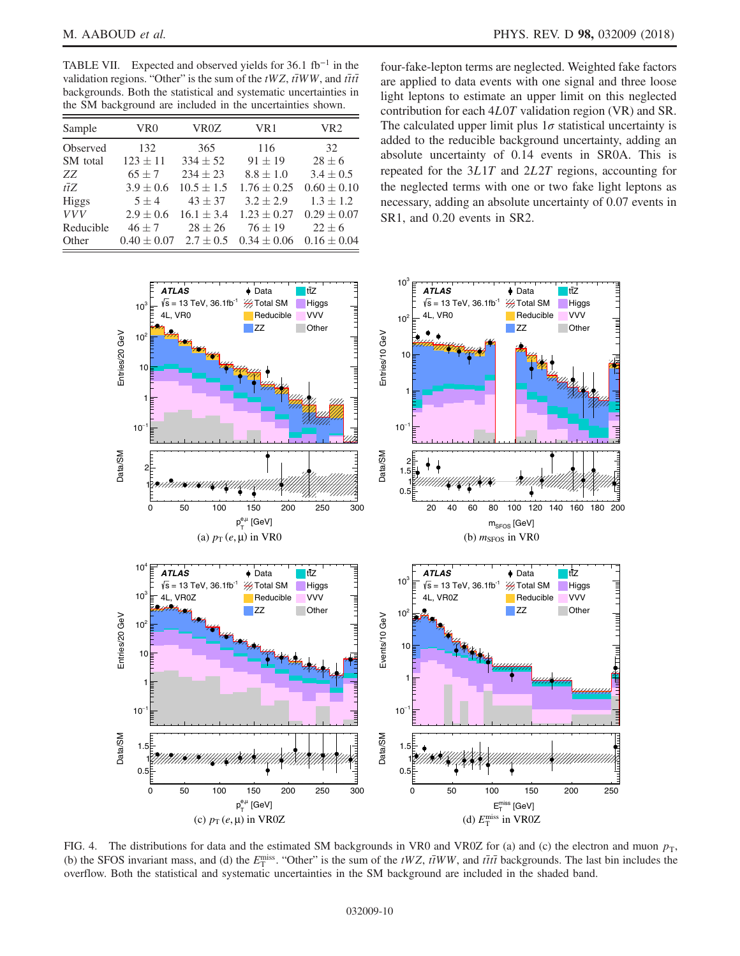<span id="page-9-0"></span>TABLE VII. Expected and observed yields for 36.1 fb<sup>-1</sup> in the validation regions. "Other" is the sum of the  $tWZ$ ,  $t\bar{t}WW$ , and  $t\bar{t}t\bar{t}$ backgrounds. Both the statistical and systematic uncertainties in the SM background are included in the uncertainties shown.

| Sample           | VR0             | VR <sub>0</sub> Z | VR1             | VR <sub>2</sub> |
|------------------|-----------------|-------------------|-----------------|-----------------|
| Observed         | 132             | 365               | 116             | 32              |
| SM total         | $123 \pm 11$    | $334 \pm 52$      | $91 \pm 19$     | $28 \pm 6$      |
| ZZ.              | $65 + 7$        | $234 \pm 23$      | $8.8 \pm 1.0$   | $3.4 \pm 0.5$   |
| $t\overline{t}Z$ | $3.9 \pm 0.6$   | $10.5 \pm 1.5$    | $1.76 \pm 0.25$ | $0.60 \pm 0.10$ |
| <b>Higgs</b>     | $5\pm4$         | $43 \pm 37$       | $3.2 \pm 2.9$   | $1.3 \pm 1.2$   |
| <b>VVV</b>       | $2.9 \pm 0.6$   | $16.1 \pm 3.4$    | $1.23 \pm 0.27$ | $0.29 \pm 0.07$ |
| Reducible        | $46 \pm 7$      | $28 \pm 26$       | $76 \pm 19$     | $22 \pm 6$      |
| Other            | $0.40 \pm 0.07$ | $2.7 \pm 0.5$     | $0.34 \pm 0.06$ | $0.16 \pm 0.04$ |

four-fake-lepton terms are neglected. Weighted fake factors are applied to data events with one signal and three loose light leptons to estimate an upper limit on this neglected contribution for each 4L0T validation region (VR) and SR. The calculated upper limit plus  $1\sigma$  statistical uncertainty is added to the reducible background uncertainty, adding an absolute uncertainty of 0.14 events in SR0A. This is repeated for the 3L1T and 2L2T regions, accounting for the neglected terms with one or two fake light leptons as necessary, adding an absolute uncertainty of 0.07 events in SR1, and 0.20 events in SR2.

<span id="page-9-1"></span>

FIG. 4. The distributions for data and the estimated SM backgrounds in VR0 and VR0Z for (a) and (c) the electron and muon  $p_T$ , (b) the SFOS invariant mass, and (d) the  $E_T^{\text{miss}}$ . "Other" is the sum of the tWZ, t $\bar{t}WW$ , and  $\bar{t}t\bar{t}t$  backgrounds. The last bin includes the overflow. Both the statistical and systematic uncertainties in the SM background are included in the shaded band.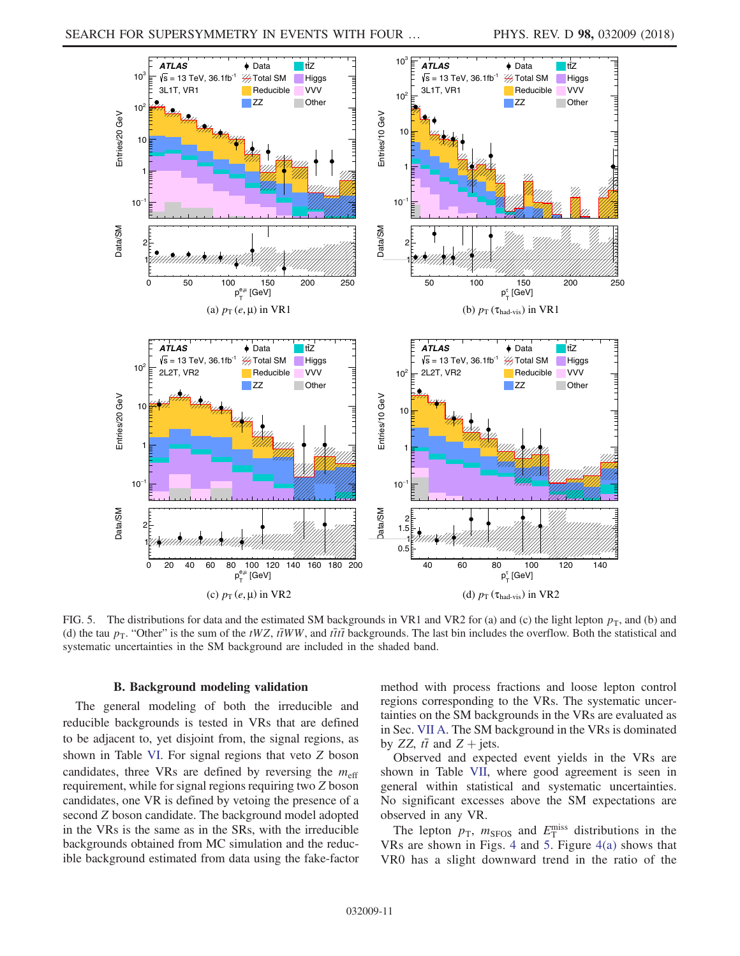<span id="page-10-1"></span>

FIG. 5. The distributions for data and the estimated SM backgrounds in VR1 and VR2 for (a) and (c) the light lepton  $p_T$ , and (b) and (d) the tau  $p_T$ . "Other" is the sum of the tWZ, t $\bar{t}WW$ , and  $\bar{t}t\bar{t}$  backgrounds. The last bin includes the overflow. Both the statistical and systematic uncertainties in the SM background are included in the shaded band.

## B. Background modeling validation

<span id="page-10-0"></span>The general modeling of both the irreducible and reducible backgrounds is tested in VRs that are defined to be adjacent to, yet disjoint from, the signal regions, as shown in Table [VI.](#page-8-1) For signal regions that veto Z boson candidates, three VRs are defined by reversing the  $m_{\text{eff}}$ requirement, while for signal regions requiring two Z boson candidates, one VR is defined by vetoing the presence of a second Z boson candidate. The background model adopted in the VRs is the same as in the SRs, with the irreducible backgrounds obtained from MC simulation and the reducible background estimated from data using the fake-factor method with process fractions and loose lepton control regions corresponding to the VRs. The systematic uncertainties on the SM backgrounds in the VRs are evaluated as in Sec. [VII A](#page-7-0). The SM background in the VRs is dominated by ZZ,  $t\bar{t}$  and Z + jets.

Observed and expected event yields in the VRs are shown in Table [VII](#page-9-0), where good agreement is seen in general within statistical and systematic uncertainties. No significant excesses above the SM expectations are observed in any VR.

The lepton  $p_T$ ,  $m_{SFOS}$  and  $E_T^{\text{miss}}$  distributions in the VRs are shown in Figs. [4](#page-9-1) and [5](#page-10-1). Figure  $4(a)$  shows that VR0 has a slight downward trend in the ratio of the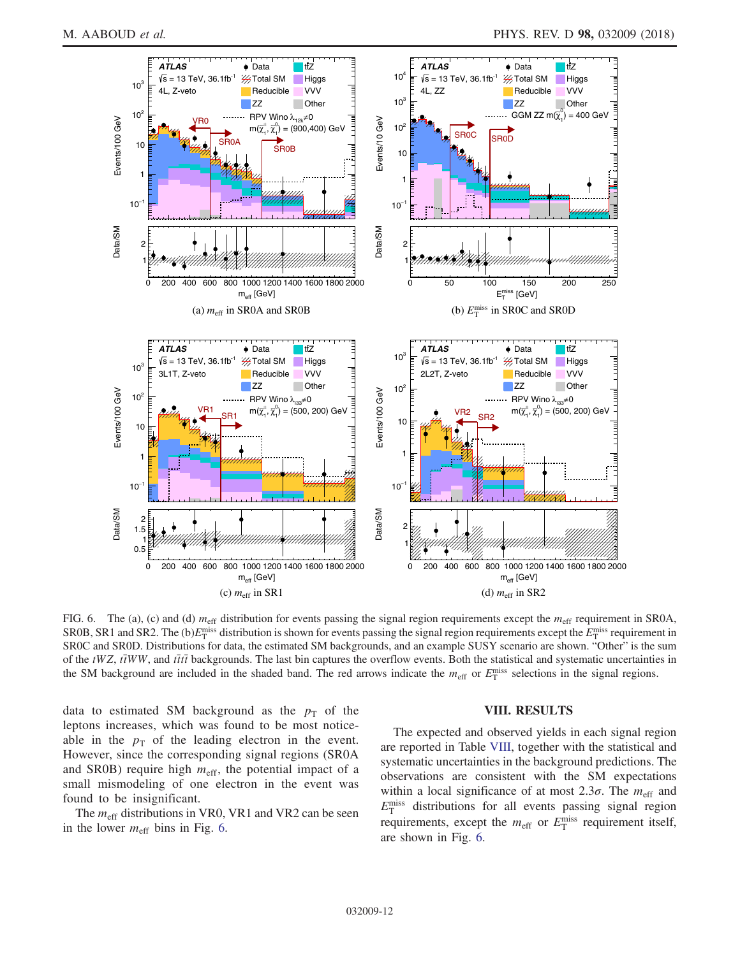<span id="page-11-0"></span>

FIG. 6. The (a), (c) and (d)  $m_{\text{eff}}$  distribution for events passing the signal region requirements except the  $m_{\text{eff}}$  requirement in SR0A, SR0B, SR1 and SR2. The  $(b)E_T^{\text{miss}}$  distribution is shown for events passing the signal region requirements except the  $E_T^{\text{miss}}$  requirement in SR0C and SR0D. Distributions for data, the estimated SM backgrounds, and an example SUSY scenario are shown. "Other" is the sum of the  $tWZ$ ,  $t\bar{t}WW$ , and  $t\bar{t}t\bar{t}$  backgrounds. The last bin captures the overflow events. Both the statistical and systematic uncertainties in the SM background are included in the shaded band. The red arrows indicate the  $m_{\text{eff}}$  or  $E_{\text{T}}^{\text{miss}}$  selections in the signal regions.

data to estimated SM background as the  $p_T$  of the leptons increases, which was found to be most noticeable in the  $p_T$  of the leading electron in the event. However, since the corresponding signal regions (SR0A and SR0B) require high  $m_{\text{eff}}$ , the potential impact of a small mismodeling of one electron in the event was found to be insignificant.

The  $m_{\text{eff}}$  distributions in VR0, VR1 and VR2 can be seen in the lower  $m_{\text{eff}}$  bins in Fig. [6.](#page-11-0)

## VIII. RESULTS

The expected and observed yields in each signal region are reported in Table [VIII,](#page-12-0) together with the statistical and systematic uncertainties in the background predictions. The observations are consistent with the SM expectations within a local significance of at most  $2.3\sigma$ . The  $m_{\text{eff}}$  and  $E_{\rm T}^{\rm miss}$  distributions for all events passing signal region requirements, except the  $m_{\text{eff}}$  or  $E_{\text{T}}^{\text{miss}}$  requirement itself, are shown in Fig. [6](#page-11-0).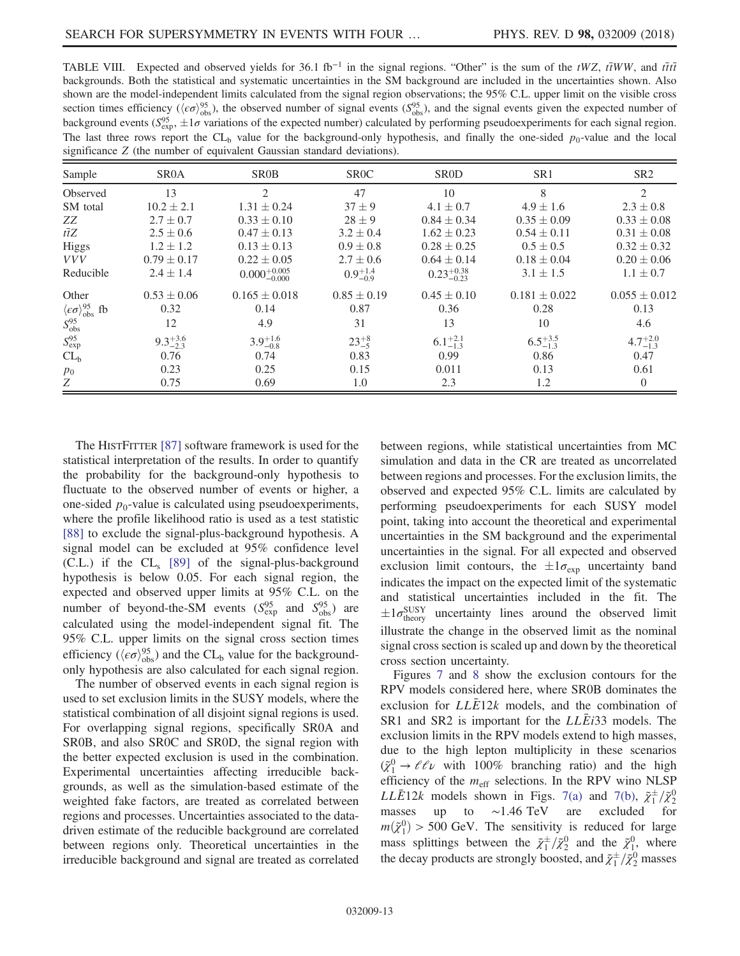<span id="page-12-0"></span>TABLE VIII. Expected and observed yields for 36.1 fb<sup>-1</sup> in the signal regions. "Other" is the sum of the tWZ, t $\bar{t}WW$ , and  $t\bar{t}t\bar{t}$ backgrounds. Both the statistical and systematic uncertainties in the SM background are included in the uncertainties shown. Also shown are the model-independent limits calculated from the signal region observations; the 95% C.L. upper limit on the visible cross section times efficiency ( $\langle \epsilon \sigma \rangle_{obs}^{95}$ ), the observed number of signal events ( $S_{obs}^{95}$ ), and the signal events given the expected number of background events ( $S_{\text{exp}}^{95}$ ,  $\pm 1\sigma$  variations of the expected number) calculated by performing pseudoexperiments for each signal region. The last three rows report the  $CL_b$  value for the background-only hypothesis, and finally the one-sided  $p_0$ -value and the local significance Z (the number of equivalent Gaussian standard deviations).

| Sample                                              | SR <sub>0</sub> A   | <b>SROB</b>               | <b>SROC</b>         | <b>SROD</b>            | SR1                 | SR <sub>2</sub>             |
|-----------------------------------------------------|---------------------|---------------------------|---------------------|------------------------|---------------------|-----------------------------|
| Observed                                            | 13                  | 2                         | 47                  | 10                     | 8                   | $\mathcal{D}_{\mathcal{L}}$ |
| SM total                                            | $10.2 \pm 2.1$      | $1.31 \pm 0.24$           | $37 + 9$            | $4.1 \pm 0.7$          | $4.9 \pm 1.6$       | $2.3 \pm 0.8$               |
| ZZ                                                  | $2.7 \pm 0.7$       | $0.33 \pm 0.10$           | $28 \pm 9$          | $0.84 \pm 0.34$        | $0.35 \pm 0.09$     | $0.33 \pm 0.08$             |
| $t\overline{t}Z$                                    | $2.5 \pm 0.6$       | $0.47 \pm 0.13$           | $3.2 \pm 0.4$       | $1.62 \pm 0.23$        | $0.54 \pm 0.11$     | $0.31 \pm 0.08$             |
| <b>Higgs</b>                                        | $1.2 \pm 1.2$       | $0.13 \pm 0.13$           | $0.9 \pm 0.8$       | $0.28 \pm 0.25$        | $0.5 \pm 0.5$       | $0.32 \pm 0.32$             |
| <i>VVV</i>                                          | $0.79 \pm 0.17$     | $0.22 \pm 0.05$           | $2.7 \pm 0.6$       | $0.64 \pm 0.14$        | $0.18 \pm 0.04$     | $0.20 \pm 0.06$             |
| Reducible                                           | $2.4 \pm 1.4$       | $0.000^{+0.005}_{-0.000}$ | $0.9^{+1.4}_{-0.9}$ | $0.23_{-0.23}^{+0.38}$ | $3.1 \pm 1.5$       | $1.1 \pm 0.7$               |
| Other                                               | $0.53 \pm 0.06$     | $0.165 \pm 0.018$         | $0.85 \pm 0.19$     | $0.45 \pm 0.10$        | $0.181 \pm 0.022$   | $0.055 \pm 0.012$           |
| $\langle \epsilon \sigma \rangle_{\rm obs}^{95}$ fb | 0.32                | 0.14                      | 0.87                | 0.36                   | 0.28                | 0.13                        |
| $S_{\rm obs}^{95}$                                  | 12                  | 4.9                       | 31                  | 13                     | 10                  | 4.6                         |
| $S_{\rm exp}^{95}$                                  | $9.3^{+3.6}_{-2.3}$ | $3.9^{+1.6}_{-0.8}$       | $23^{+8}_{-5}$      | $6.1_{-1.3}^{+2.1}$    | $6.5^{+3.5}_{-1.3}$ | $4.7^{+2.0}_{-1.3}$         |
| $CL_b$                                              | 0.76                | 0.74                      | 0.83                | 0.99                   | 0.86                | 0.47                        |
| $p_0$                                               | 0.23                | 0.25                      | 0.15                | 0.011                  | 0.13                | 0.61                        |
| Ζ                                                   | 0.75                | 0.69                      | 1.0                 | 2.3                    | 1.2                 | $\Omega$                    |

The HISTFITTER [\[87\]](#page-17-9) software framework is used for the statistical interpretation of the results. In order to quantify the probability for the background-only hypothesis to fluctuate to the observed number of events or higher, a one-sided  $p_0$ -value is calculated using pseudoexperiments, where the profile likelihood ratio is used as a test statistic [\[88\]](#page-17-10) to exclude the signal-plus-background hypothesis. A signal model can be excluded at 95% confidence level  $(C.L.)$  if the  $CL_s$  [\[89\]](#page-17-11) of the signal-plus-background hypothesis is below 0.05. For each signal region, the expected and observed upper limits at 95% C.L. on the number of beyond-the-SM events  $(S_{\text{exp}}^{95} \text{ and } S_{\text{obs}}^{95})$  are calculated using the model-independent signal fit. The 95% C.L. upper limits on the signal cross section times efficiency ( $\langle \epsilon \sigma \rangle_{obs}^{95}$ ) and the CL<sub>b</sub> value for the backgroundonly hypothesis are also calculated for each signal region.

The number of observed events in each signal region is used to set exclusion limits in the SUSY models, where the statistical combination of all disjoint signal regions is used. For overlapping signal regions, specifically SR0A and SR0B, and also SR0C and SR0D, the signal region with the better expected exclusion is used in the combination. Experimental uncertainties affecting irreducible backgrounds, as well as the simulation-based estimate of the weighted fake factors, are treated as correlated between regions and processes. Uncertainties associated to the datadriven estimate of the reducible background are correlated between regions only. Theoretical uncertainties in the irreducible background and signal are treated as correlated between regions, while statistical uncertainties from MC simulation and data in the CR are treated as uncorrelated between regions and processes. For the exclusion limits, the observed and expected 95% C.L. limits are calculated by performing pseudoexperiments for each SUSY model point, taking into account the theoretical and experimental uncertainties in the SM background and the experimental uncertainties in the signal. For all expected and observed exclusion limit contours, the  $\pm 1\sigma_{\rm exp}$  uncertainty band indicates the impact on the expected limit of the systematic and statistical uncertainties included in the fit. The  $\pm 1\sigma_{\text{theory}}^{\text{SUSY}}$  uncertainty lines around the observed limit illustrate the change in the observed limit as the nominal signal cross section is scaled up and down by the theoretical cross section uncertainty.

Figures [7](#page-13-0) and [8](#page-13-1) show the exclusion contours for the RPV models considered here, where SR0B dominates the exclusion for  $LL\overline{E}12k$  models, and the combination of  $SR1$  and  $SR2$  is important for the  $LLEi33$  models. The exclusion limits in the RPV models extend to high masses, due to the high lepton multiplicity in these scenarios  $({\tilde \chi}^0_1 \rightarrow \ell \ell \nu$  with 100% branching ratio) and the high efficiency of the  $m_{\text{eff}}$  selections. In the RPV wino NLSP *LLE*12k models shown in Figs. [7\(a\)](#page-13-0) and [7\(b\),](#page-13-0)  $\tilde{\chi}_1^{\pm}/\tilde{\chi}_2^0$ masses up to ∼1.46 TeV are excluded for  $m(\tilde{\chi}_1^0) > 500$  GeV. The sensitivity is reduced for large mass splittings between the  $\tilde{\chi}_1^{\pm}/\tilde{\chi}_2^0$  and the  $\tilde{\chi}_1^0$ , where the decay products are strongly boosted, and  $\tilde{\chi}_{1}^{\pm}/\tilde{\chi}_{2}^{0}$  masses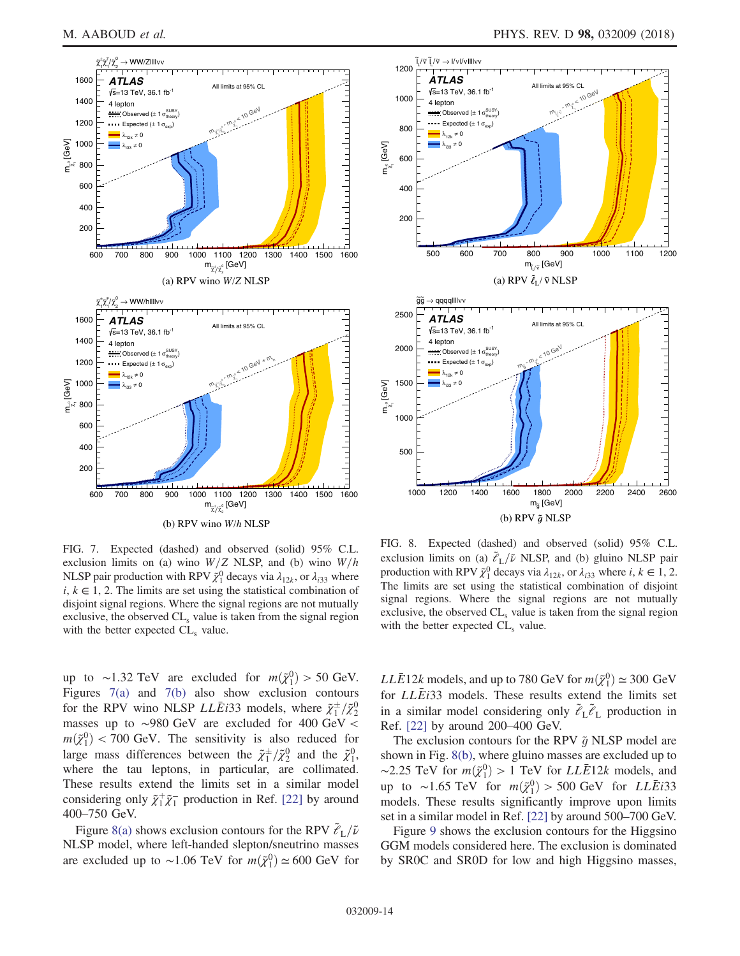<span id="page-13-0"></span>

(b) RPV wino *W*/*h* NLSP

FIG. 7. Expected (dashed) and observed (solid) 95% C.L. exclusion limits on (a) wino  $W/Z$  NLSP, and (b) wino  $W/h$ NLSP pair production with RPV  $\tilde{\chi}_1^0$  decays via  $\lambda_{12k}$ , or  $\lambda_{i33}$  where  $i, k \in 1, 2$ . The limits are set using the statistical combination of disjoint signal regions. Where the signal regions are not mutually exclusive, the observed  $CL<sub>s</sub>$  value is taken from the signal region with the better expected CL<sub>s</sub> value.

up to ~1.32 TeV are excluded for  $m(\tilde{\chi}_1^0) > 50$  GeV. Figures [7\(a\)](#page-13-0) and [7\(b\)](#page-13-0) also show exclusion contours for the RPV wino NLSP *LLEi*33 models, where  $\tilde{\chi}_1^{\pm}/\tilde{\chi}_2^0$ masses up to ∼980 GeV are excluded for 400 GeV <  $m(\tilde{\chi}_1^0)$  < 700 GeV. The sensitivity is also reduced for large mass differences between the  $\tilde{\chi}_1^{\pm}/\tilde{\chi}_2^0$  and the  $\tilde{\chi}_1^0$ , where the tau leptons, in particular, are collimated. These results extend the limits set in a similar model considering only  $\tilde{\chi}_1^+ \tilde{\chi}_1^-$  production in Ref. [\[22\]](#page-15-7) by around 400–750 GeV.

Figure [8\(a\)](#page-13-1) shows exclusion contours for the RPV  $\tilde{e}_L/\tilde{\nu}$ NLSP model, where left-handed slepton/sneutrino masses are excluded up to ~1.06 TeV for  $m(\tilde{\chi}_1^0) \approx 600$  GeV for

<span id="page-13-1"></span>

FIG. 8. Expected (dashed) and observed (solid) 95% C.L. exclusion limits on (a)  $\tilde{\ell}_L/\tilde{\nu}$  NLSP, and (b) gluino NLSP pair production with RPV  $\tilde{\chi}_1^0$  decays via  $\lambda_{12k}$ , or  $\lambda_{i33}$  where  $i, k \in 1, 2$ . The limits are set using the statistical combination of disjoint signal regions. Where the signal regions are not mutually exclusive, the observed  $CL<sub>s</sub>$  value is taken from the signal region with the better expected CL<sub>s</sub> value.

*LLE*12k models, and up to 780 GeV for  $m(\tilde{\chi}_1^0) \simeq 300$  GeV for  $LL\overline{E}i33$  models. These results extend the limits set in a similar model considering only  $\tilde{e}_{\rm L} \tilde{e}_{\rm L}$  production in Ref. [\[22\]](#page-15-7) by around 200–400 GeV.

The exclusion contours for the RPV  $\tilde{g}$  NLSP model are shown in Fig. [8\(b\)](#page-13-1), where gluino masses are excluded up to ~2.25 TeV for  $m(\tilde{\chi}_1^0) > 1$  TeV for  $LL\bar{E}12k$  models, and up to ~1.65 TeV for  $m(\tilde{\chi}_1^0) > 500$  GeV for *LLEi*33 models. These results significantly improve upon limits set in a similar model in Ref. [\[22\]](#page-15-7) by around 500–700 GeV.

Figure [9](#page-14-0) shows the exclusion contours for the Higgsino GGM models considered here. The exclusion is dominated by SR0C and SR0D for low and high Higgsino masses,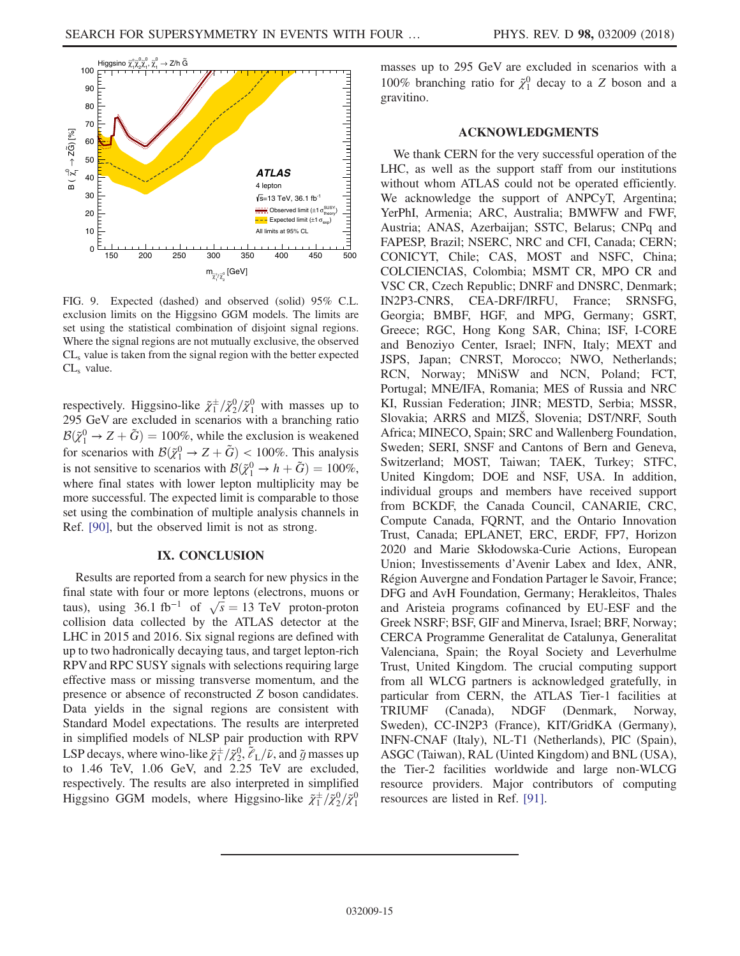<span id="page-14-0"></span>

FIG. 9. Expected (dashed) and observed (solid) 95% C.L. exclusion limits on the Higgsino GGM models. The limits are set using the statistical combination of disjoint signal regions. Where the signal regions are not mutually exclusive, the observed  $CL<sub>s</sub>$  value is taken from the signal region with the better expected  $CL<sub>s</sub>$  value.

respectively. Higgsino-like  $\tilde{\chi}_1^{\pm}/\tilde{\chi}_2^0/\tilde{\chi}_1^0$  with masses up to 295 GeV are excluded in scenarios with a branching ratio  $\mathcal{B}(\tilde{\chi}_1^0 \rightarrow Z + \tilde{G}) = 100\%$ , while the exclusion is weakened for scenarios with  $\mathcal{B}(\tilde{\chi}_1^0 \to Z + \tilde{G}) < 100\%$ . This analysis is not sensitive to scenarios with  $\mathcal{B}(\tilde{\chi}_1^0 \to h + \tilde{G}) = 100\%$ , where final states with lower lepton multiplicity may be more successful. The expected limit is comparable to those set using the combination of multiple analysis channels in Ref. [\[90\],](#page-17-12) but the observed limit is not as strong.

## IX. CONCLUSION

Results are reported from a search for new physics in the final state with four or more leptons (electrons, muons or taus), using 36.1 fb<sup>-1</sup> of  $\sqrt{s} = 13$  TeV proton-proton collision data collected by the ATLAS detector at the LHC in 2015 and 2016. Six signal regions are defined with up to two hadronically decaying taus, and target lepton-rich RPVand RPC SUSY signals with selections requiring large effective mass or missing transverse momentum, and the presence or absence of reconstructed Z boson candidates. Data yields in the signal regions are consistent with Standard Model expectations. The results are interpreted in simplified models of NLSP pair production with RPV LSP decays, where wino-like  $\tilde{\chi}_1^{\pm}/\tilde{\chi}_2^0$ ,  $\tilde{\tilde{\ell}}_L/\tilde{\nu}$ , and  $\tilde{g}$  masses up to 1.46 TeV, 1.06 GeV, and 2.25 TeV are excluded, respectively. The results are also interpreted in simplified Higgsino GGM models, where Higgsino-like  $\tilde{\chi}_1^{\pm}/\tilde{\chi}_2^0/\tilde{\chi}_1^0$ 

masses up to 295 GeV are excluded in scenarios with a 100% branching ratio for  $\tilde{\chi}_1^0$  decay to a Z boson and a gravitino.

## ACKNOWLEDGMENTS

We thank CERN for the very successful operation of the LHC, as well as the support staff from our institutions without whom ATLAS could not be operated efficiently. We acknowledge the support of ANPCyT, Argentina; YerPhI, Armenia; ARC, Australia; BMWFW and FWF, Austria; ANAS, Azerbaijan; SSTC, Belarus; CNPq and FAPESP, Brazil; NSERC, NRC and CFI, Canada; CERN; CONICYT, Chile; CAS, MOST and NSFC, China; COLCIENCIAS, Colombia; MSMT CR, MPO CR and VSC CR, Czech Republic; DNRF and DNSRC, Denmark; IN2P3-CNRS, CEA-DRF/IRFU, France; SRNSFG, Georgia; BMBF, HGF, and MPG, Germany; GSRT, Greece; RGC, Hong Kong SAR, China; ISF, I-CORE and Benoziyo Center, Israel; INFN, Italy; MEXT and JSPS, Japan; CNRST, Morocco; NWO, Netherlands; RCN, Norway; MNiSW and NCN, Poland; FCT, Portugal; MNE/IFA, Romania; MES of Russia and NRC KI, Russian Federation; JINR; MESTD, Serbia; MSSR, Slovakia; ARRS and MIZŠ, Slovenia; DST/NRF, South Africa; MINECO, Spain; SRC and Wallenberg Foundation, Sweden; SERI, SNSF and Cantons of Bern and Geneva, Switzerland; MOST, Taiwan; TAEK, Turkey; STFC, United Kingdom; DOE and NSF, USA. In addition, individual groups and members have received support from BCKDF, the Canada Council, CANARIE, CRC, Compute Canada, FQRNT, and the Ontario Innovation Trust, Canada; EPLANET, ERC, ERDF, FP7, Horizon 2020 and Marie Skłodowska-Curie Actions, European Union; Investissements d'Avenir Labex and Idex, ANR, Région Auvergne and Fondation Partager le Savoir, France; DFG and AvH Foundation, Germany; Herakleitos, Thales and Aristeia programs cofinanced by EU-ESF and the Greek NSRF; BSF, GIF and Minerva, Israel; BRF, Norway; CERCA Programme Generalitat de Catalunya, Generalitat Valenciana, Spain; the Royal Society and Leverhulme Trust, United Kingdom. The crucial computing support from all WLCG partners is acknowledged gratefully, in particular from CERN, the ATLAS Tier-1 facilities at TRIUMF (Canada), NDGF (Denmark, Norway, Sweden), CC-IN2P3 (France), KIT/GridKA (Germany), INFN-CNAF (Italy), NL-T1 (Netherlands), PIC (Spain), ASGC (Taiwan), RAL (Uinted Kingdom) and BNL (USA), the Tier-2 facilities worldwide and large non-WLCG resource providers. Major contributors of computing resources are listed in Ref. [\[91\]](#page-17-13).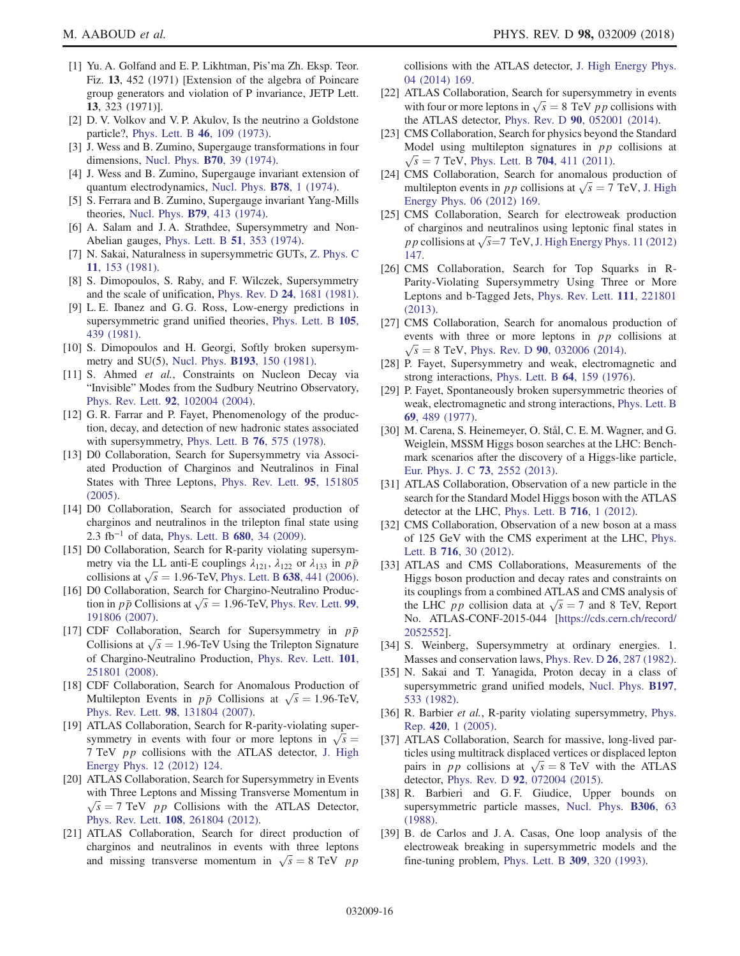- <span id="page-15-0"></span>[1] Yu. A. Golfand and E. P. Likhtman, Pis'ma Zh. Eksp. Teor. Fiz. 13, 452 (1971) [Extension of the algebra of Poincare group generators and violation of P invariance, JETP Lett. 13, 323 (1971)].
- [2] D. V. Volkov and V. P. Akulov, Is the neutrino a Goldstone particle?, [Phys. Lett. B](https://doi.org/10.1016/0370-2693(73)90490-5) 46, 109 (1973).
- [3] J. Wess and B. Zumino, Supergauge transformations in four dimensions, [Nucl. Phys.](https://doi.org/10.1016/0550-3213(74)90355-1) B70, 39 (1974).
- [4] J. Wess and B. Zumino, Supergauge invariant extension of quantum electrodynamics, [Nucl. Phys.](https://doi.org/10.1016/0550-3213(74)90112-6) B78, 1 (1974).
- [5] S. Ferrara and B. Zumino, Supergauge invariant Yang-Mills theories, Nucl. Phys. B79[, 413 \(1974\).](https://doi.org/10.1016/0550-3213(74)90559-8)
- [6] A. Salam and J. A. Strathdee, Supersymmetry and Non-Abelian gauges, [Phys. Lett. B](https://doi.org/10.1016/0370-2693(74)90226-3) 51, 353 (1974).
- <span id="page-15-1"></span>[7] N. Sakai, Naturalness in supersymmetric GUTs, [Z. Phys. C](https://doi.org/10.1007/BF01573998) 11[, 153 \(1981\).](https://doi.org/10.1007/BF01573998)
- [8] S. Dimopoulos, S. Raby, and F. Wilczek, Supersymmetry and the scale of unification, Phys. Rev. D 24[, 1681 \(1981\).](https://doi.org/10.1103/PhysRevD.24.1681)
- [9] L. E. Ibanez and G. G. Ross, Low-energy predictions in supersymmetric grand unified theories, [Phys. Lett. B](https://doi.org/10.1016/0370-2693(81)91200-4) 105, [439 \(1981\)](https://doi.org/10.1016/0370-2693(81)91200-4).
- [10] S. Dimopoulos and H. Georgi, Softly broken supersymmetry and SU(5), Nucl. Phys. B193[, 150 \(1981\).](https://doi.org/10.1016/0550-3213(81)90522-8)
- <span id="page-15-2"></span>[11] S. Ahmed et al., Constraints on Nucleon Decay via "Invisible" Modes from the Sudbury Neutrino Observatory, Phys. Rev. Lett. 92[, 102004 \(2004\)](https://doi.org/10.1103/PhysRevLett.92.102004).
- <span id="page-15-3"></span>[12] G. R. Farrar and P. Fayet, Phenomenology of the production, decay, and detection of new hadronic states associated with supersymmetry, [Phys. Lett. B](https://doi.org/10.1016/0370-2693(78)90858-4) 76, 575 (1978).
- <span id="page-15-4"></span>[13] D0 Collaboration, Search for Supersymmetry via Associated Production of Charginos and Neutralinos in Final States with Three Leptons, [Phys. Rev. Lett.](https://doi.org/10.1103/PhysRevLett.95.151805) 95, 151805 [\(2005\).](https://doi.org/10.1103/PhysRevLett.95.151805)
- [14] D0 Collaboration, Search for associated production of charginos and neutralinos in the trilepton final state using 2.3 fb<sup>-1</sup> of data, [Phys. Lett. B](https://doi.org/10.1016/j.physletb.2009.08.011)  $680$ , 34 (2009).
- [15] D0 Collaboration, Search for R-parity violating supersymmetry via the LL anti-E couplings  $\lambda_{121}$ ,  $\lambda_{122}$  or  $\lambda_{133}$  in  $p\bar{p}$ collisions at  $\sqrt{s} = 1.96$ -TeV, [Phys. Lett. B](https://doi.org/10.1016/j.physletb.2006.05.077) 638, 441 (2006).
- [16] D0 Collaboration, Search for Chargino-Neutralino Production in  $p\bar{p}$  Collisions at  $\sqrt{s} = 1.96$ -TeV, [Phys. Rev. Lett.](https://doi.org/10.1103/PhysRevLett.99.191806) **99**, [191806 \(2007\).](https://doi.org/10.1103/PhysRevLett.99.191806)
- [17] CDF Collaboration, Search for Supersymmetry in  $p\bar{p}$ Collisions at  $\sqrt{s} = 1.96$ -TeV Using the Trilepton Signature of Chargino-Neutralino Production, [Phys. Rev. Lett.](https://doi.org/10.1103/PhysRevLett.101.251801) 101, [251801 \(2008\).](https://doi.org/10.1103/PhysRevLett.101.251801)
- [18] CDF Collaboration, Search for Anomalous Production of Multilepton Events in  $p\bar{p}$  Collisions at  $\sqrt{s} = 1.96$ -TeV, Phys. Rev. Lett. 98[, 131804 \(2007\)](https://doi.org/10.1103/PhysRevLett.98.131804).
- <span id="page-15-5"></span>[19] ATLAS Collaboration, Search for R-parity-violating supersymmetry in events with four or more leptons in  $\sqrt{s}$  = 7 TeV pp collisions with the ATLAS detector, [J. High](https://doi.org/10.1007/JHEP12(2012)124) [Energy Phys. 12 \(2012\) 124.](https://doi.org/10.1007/JHEP12(2012)124)
- [20] ATLAS Collaboration, Search for Supersymmetry in Events with Three Leptons and Missing Transverse Momentum in  $\sqrt{s}$  = 7 TeV *pp* Collisions with the ATLAS Detector, Phys. Rev. Lett. 108[, 261804 \(2012\).](https://doi.org/10.1103/PhysRevLett.108.261804)
- [21] ATLAS Collaboration, Search for direct production of charginos and neutralinos in events with three leptons and missing transverse momentum in  $\sqrt{s} = 8 \text{ TeV}$  pp

collisions with the ATLAS detector, [J. High Energy Phys.](https://doi.org/10.1007/JHEP04(2014)169) [04 \(2014\) 169.](https://doi.org/10.1007/JHEP04(2014)169)

- <span id="page-15-7"></span>[22] ATLAS Collaboration, Search for supersymmetry in events with four or more leptons in  $\sqrt{s} = 8$  TeV pp collisions with the ATLAS detector, Phys. Rev. D 90[, 052001 \(2014\).](https://doi.org/10.1103/PhysRevD.90.052001)
- <span id="page-15-6"></span>[23] CMS Collaboration, Search for physics beyond the Standard Model using multilepton signatures in pp collisions at  $\sqrt{s}$  = 7 TeV, [Phys. Lett. B](https://doi.org/10.1016/j.physletb.2011.09.047) 704, 411 (2011).
- [24] CMS Collaboration, Search for anomalous production of multilepton events in *pp* collisions at  $\sqrt{s} = 7$  TeV, [J. High](https://doi.org/10.1007/JHEP06(2012)169) [Energy Phys. 06 \(2012\) 169.](https://doi.org/10.1007/JHEP06(2012)169)
- [25] CMS Collaboration, Search for electroweak production of charginos and neutralinos using leptonic final states in p p collisions at  $\sqrt{s}$  = 7 TeV, [J. High Energy Phys. 11 \(2012\)](https://doi.org/10.1007/JHEP11(2012)147) [147.](https://doi.org/10.1007/JHEP11(2012)147)
- [26] CMS Collaboration, Search for Top Squarks in R-Parity-Violating Supersymmetry Using Three or More Leptons and b-Tagged Jets, [Phys. Rev. Lett.](https://doi.org/10.1103/PhysRevLett.111.221801) 111, 221801 [\(2013\)](https://doi.org/10.1103/PhysRevLett.111.221801).
- [27] CMS Collaboration, Search for anomalous production of events with three or more leptons in pp collisions at  $\sqrt{s}$  = 8 TeV, Phys. Rev. D 90[, 032006 \(2014\)](https://doi.org/10.1103/PhysRevD.90.032006).
- <span id="page-15-8"></span>[28] P. Fayet, Supersymmetry and weak, electromagnetic and strong interactions, [Phys. Lett. B](https://doi.org/10.1016/0370-2693(76)90319-1) 64, 159 (1976).
- [29] P. Fayet, Spontaneously broken supersymmetric theories of weak, electromagnetic and strong interactions, [Phys. Lett. B](https://doi.org/10.1016/0370-2693(77)90852-8) 69[, 489 \(1977\).](https://doi.org/10.1016/0370-2693(77)90852-8)
- <span id="page-15-9"></span>[30] M. Carena, S. Heinemeyer, O. Stål, C. E. M. Wagner, and G. Weiglein, MSSM Higgs boson searches at the LHC: Benchmark scenarios after the discovery of a Higgs-like particle, [Eur. Phys. J. C](https://doi.org/10.1140/epjc/s10052-013-2552-1) 73, 2552 (2013).
- <span id="page-15-10"></span>[31] ATLAS Collaboration, Observation of a new particle in the search for the Standard Model Higgs boson with the ATLAS detector at the LHC, [Phys. Lett. B](https://doi.org/10.1016/j.physletb.2012.08.020) 716, 1 (2012).
- [32] CMS Collaboration, Observation of a new boson at a mass of 125 GeV with the CMS experiment at the LHC, [Phys.](https://doi.org/10.1016/j.physletb.2012.08.021) Lett. B 716[, 30 \(2012\)](https://doi.org/10.1016/j.physletb.2012.08.021).
- [33] ATLAS and CMS Collaborations, Measurements of the Higgs boson production and decay rates and constraints on its couplings from a combined ATLAS and CMS analysis of the LHC *pp* collision data at  $\sqrt{s} = 7$  and 8 TeV, Report No. ATLAS-CONF-2015-044 [\[https://cds.cern.ch/record/](https://cds.cern.ch/record/2052552) [2052552\]](https://cds.cern.ch/record/2052552).
- <span id="page-15-11"></span>[34] S. Weinberg, Supersymmetry at ordinary energies. 1. Masses and conservation laws, [Phys. Rev. D](https://doi.org/10.1103/PhysRevD.26.287) 26, 287 (1982).
- [35] N. Sakai and T. Yanagida, Proton decay in a class of supersymmetric grand unified models, [Nucl. Phys.](https://doi.org/10.1016/0550-3213(82)90457-6) B197, [533 \(1982\)](https://doi.org/10.1016/0550-3213(82)90457-6).
- <span id="page-15-13"></span><span id="page-15-12"></span>[36] R. Barbier et al., R-parity violating supersymmetry, [Phys.](https://doi.org/10.1016/j.physrep.2005.08.006) Rep. 420[, 1 \(2005\).](https://doi.org/10.1016/j.physrep.2005.08.006)
- [37] ATLAS Collaboration, Search for massive, long-lived particles using multitrack displaced vertices or displaced lepton pairs in *pp* collisions at  $\sqrt{s} = 8$  TeV with the ATLAS detector, Phys. Rev. D 92[, 072004 \(2015\)](https://doi.org/10.1103/PhysRevD.92.072004).
- <span id="page-15-14"></span>[38] R. Barbieri and G.F. Giudice, Upper bounds on supersymmetric particle masses, [Nucl. Phys.](https://doi.org/10.1016/0550-3213(88)90171-X) **B306**, 63 [\(1988\).](https://doi.org/10.1016/0550-3213(88)90171-X)
- [39] B. de Carlos and J. A. Casas, One loop analysis of the electroweak breaking in supersymmetric models and the fine-tuning problem, [Phys. Lett. B](https://doi.org/10.1016/0370-2693(93)90940-J) 309, 320 (1993).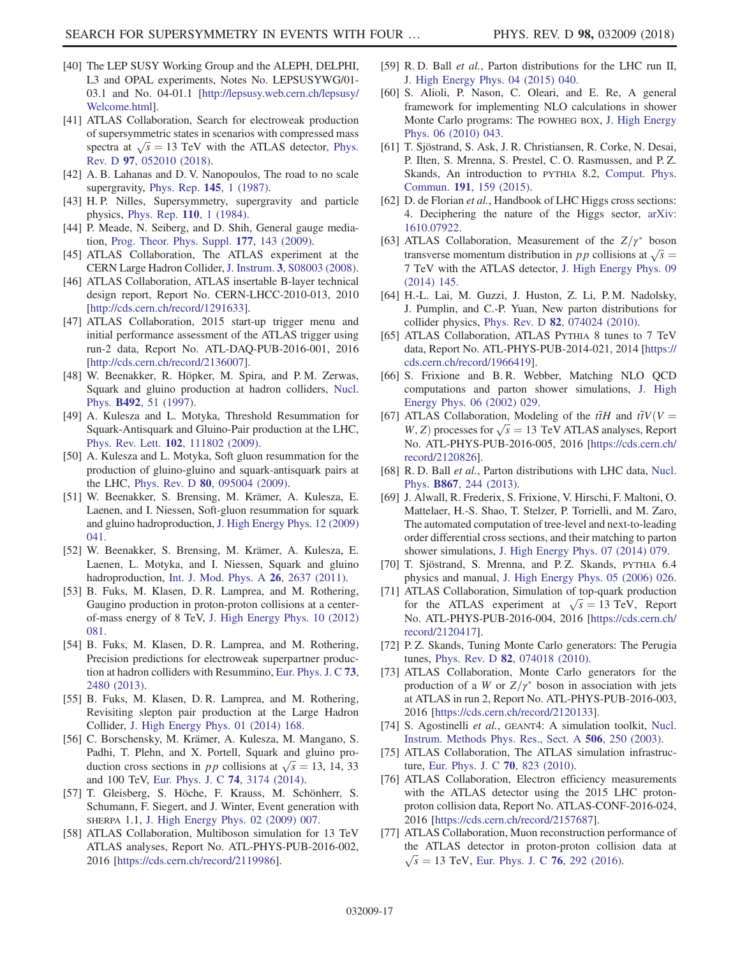- <span id="page-16-0"></span>[40] The LEP SUSY Working Group and the ALEPH, DELPHI, L3 and OPAL experiments, Notes No. LEPSUSYWG/01- 03.1 and No. 04-01.1 [\[http://lepsusy.web.cern.ch/lepsusy/](http://lepsusy.web.cern.ch/lepsusy/Welcome.html) [Welcome.html](http://lepsusy.web.cern.ch/lepsusy/Welcome.html)].
- <span id="page-16-1"></span>[41] ATLAS Collaboration, Search for electroweak production of supersymmetric states in scenarios with compressed mass spectra at  $\sqrt{s} = 13$  TeV with the ATLAS detector, [Phys.](https://doi.org/10.1103/PhysRevD.97.052010) Rev. D 97[, 052010 \(2018\)](https://doi.org/10.1103/PhysRevD.97.052010).
- <span id="page-16-2"></span>[42] A. B. Lahanas and D. V. Nanopoulos, The road to no scale supergravity, [Phys. Rep.](https://doi.org/10.1016/0370-1573(87)90034-2) 145, 1 (1987).
- [43] H. P. Nilles, Supersymmetry, supergravity and particle physics, [Phys. Rep.](https://doi.org/10.1016/0370-1573(84)90008-5) 110, 1 (1984).
- <span id="page-16-3"></span>[44] P. Meade, N. Seiberg, and D. Shih, General gauge mediation, [Prog. Theor. Phys. Suppl.](https://doi.org/10.1143/PTPS.177.143) 177, 143 (2009).
- <span id="page-16-4"></span>[45] ATLAS Collaboration, The ATLAS experiment at the CERN Large Hadron Collider, J. Instrum. 3[, S08003 \(2008\).](https://doi.org/10.1088/1748-0221/3/08/S08003)
- <span id="page-16-5"></span>[46] ATLAS Collaboration, ATLAS insertable B-layer technical design report, Report No. CERN-LHCC-2010-013, 2010 [<http://cds.cern.ch/record/1291633>].
- <span id="page-16-6"></span>[47] ATLAS Collaboration, 2015 start-up trigger menu and initial performance assessment of the ATLAS trigger using run-2 data, Report No. ATL-DAQ-PUB-2016-001, 2016 [<http://cds.cern.ch/record/2136007>].
- <span id="page-16-7"></span>[48] W. Beenakker, R. Höpker, M. Spira, and P.M. Zerwas, Squark and gluino production at hadron colliders, [Nucl.](https://doi.org/10.1016/S0550-3213(97)80027-2) Phys. B492[, 51 \(1997\)](https://doi.org/10.1016/S0550-3213(97)80027-2).
- [49] A. Kulesza and L. Motyka, Threshold Resummation for Squark-Antisquark and Gluino-Pair production at the LHC, Phys. Rev. Lett. 102[, 111802 \(2009\).](https://doi.org/10.1103/PhysRevLett.102.111802)
- [50] A. Kulesza and L. Motyka, Soft gluon resummation for the production of gluino-gluino and squark-antisquark pairs at the LHC, Phys. Rev. D 80[, 095004 \(2009\).](https://doi.org/10.1103/PhysRevD.80.095004)
- [51] W. Beenakker, S. Brensing, M. Krämer, A. Kulesza, E. Laenen, and I. Niessen, Soft-gluon resummation for squark and gluino hadroproduction, [J. High Energy Phys. 12 \(2009\)](https://doi.org/10.1088/1126-6708/2009/12/041) [041.](https://doi.org/10.1088/1126-6708/2009/12/041)
- [52] W. Beenakker, S. Brensing, M. Krämer, A. Kulesza, E. Laenen, L. Motyka, and I. Niessen, Squark and gluino hadroproduction, [Int. J. Mod. Phys. A](https://doi.org/10.1142/S0217751X11053560) 26, 2637 (2011).
- [53] B. Fuks, M. Klasen, D. R. Lamprea, and M. Rothering, Gaugino production in proton-proton collisions at a centerof-mass energy of 8 TeV, [J. High Energy Phys. 10 \(2012\)](https://doi.org/10.1007/JHEP10(2012)081) [081.](https://doi.org/10.1007/JHEP10(2012)081)
- [54] B. Fuks, M. Klasen, D. R. Lamprea, and M. Rothering, Precision predictions for electroweak superpartner production at hadron colliders with Resummino, [Eur. Phys. J. C](https://doi.org/10.1140/epjc/s10052-013-2480-0) 73, [2480 \(2013\)](https://doi.org/10.1140/epjc/s10052-013-2480-0).
- [55] B. Fuks, M. Klasen, D. R. Lamprea, and M. Rothering, Revisiting slepton pair production at the Large Hadron Collider, [J. High Energy Phys. 01 \(2014\) 168.](https://doi.org/10.1007/JHEP01(2014)168)
- <span id="page-16-8"></span>[56] C. Borschensky, M. Krämer, A. Kulesza, M. Mangano, S. Padhi, T. Plehn, and X. Portell, Squark and gluino production cross sections in *pp* collisions at  $\sqrt{s} = 13, 14, 33$ and 100 TeV, [Eur. Phys. J. C](https://doi.org/10.1140/epjc/s10052-014-3174-y) 74, 3174 (2014).
- <span id="page-16-9"></span>[57] T. Gleisberg, S. Höche, F. Krauss, M. Schönherr, S. Schumann, F. Siegert, and J. Winter, Event generation with SHERPA 1.1, [J. High Energy Phys. 02 \(2009\) 007.](https://doi.org/10.1088/1126-6708/2009/02/007)
- <span id="page-16-10"></span>[58] ATLAS Collaboration, Multiboson simulation for 13 TeV ATLAS analyses, Report No. ATL-PHYS-PUB-2016-002, 2016 [\[https://cds.cern.ch/record/2119986](https://cds.cern.ch/record/2119986)].
- <span id="page-16-11"></span>[59] R. D. Ball et al., Parton distributions for the LHC run II, [J. High Energy Phys. 04 \(2015\) 040.](https://doi.org/10.1007/JHEP04(2015)040)
- <span id="page-16-12"></span>[60] S. Alioli, P. Nason, C. Oleari, and E. Re, A general framework for implementing NLO calculations in shower Monte Carlo programs: The POWHEG BOX, [J. High Energy](https://doi.org/10.1007/JHEP06(2010)043) [Phys. 06 \(2010\) 043.](https://doi.org/10.1007/JHEP06(2010)043)
- <span id="page-16-13"></span>[61] T. Sjöstrand, S. Ask, J. R. Christiansen, R. Corke, N. Desai, P. Ilten, S. Mrenna, S. Prestel, C. O. Rasmussen, and P. Z. Skands, An introduction to PYTHIA 8.2, [Comput. Phys.](https://doi.org/10.1016/j.cpc.2015.01.024) Commun. 191[, 159 \(2015\)](https://doi.org/10.1016/j.cpc.2015.01.024).
- <span id="page-16-14"></span>[62] D. de Florian et al., Handbook of LHC Higgs cross sections: 4. Deciphering the nature of the Higgs sector, [arXiv:](http://arXiv.org/abs/1610.07922) [1610.07922.](http://arXiv.org/abs/1610.07922)
- <span id="page-16-15"></span>[63] ATLAS Collaboration, Measurement of the  $Z/\gamma^*$  boson transverse momentum distribution in *pp* collisions at  $\sqrt{s}$  = 7 TeV with the ATLAS detector, [J. High Energy Phys. 09](https://doi.org/10.1007/JHEP09(2014)145) [\(2014\) 145.](https://doi.org/10.1007/JHEP09(2014)145)
- <span id="page-16-16"></span>[64] H.-L. Lai, M. Guzzi, J. Huston, Z. Li, P.M. Nadolsky, J. Pumplin, and C.-P. Yuan, New parton distributions for collider physics, Phys. Rev. D 82[, 074024 \(2010\)](https://doi.org/10.1103/PhysRevD.82.074024).
- <span id="page-16-17"></span>[65] ATLAS Collaboration, ATLAS PYTHIA 8 tunes to 7 TeV data, Report No. ATL-PHYS-PUB-2014-021, 2014 [[https://](https://cds.cern.ch/record/1966419) [cds.cern.ch/record/1966419\]](https://cds.cern.ch/record/1966419).
- <span id="page-16-18"></span>[66] S. Frixione and B. R. Webber, Matching NLO QCD computations and parton shower simulations, [J. High](https://doi.org/10.1088/1126-6708/2002/06/029) [Energy Phys. 06 \(2002\) 029.](https://doi.org/10.1088/1126-6708/2002/06/029)
- <span id="page-16-19"></span>[67] ATLAS Collaboration, Modeling of the  $t\bar{t}H$  and  $t\bar{t}V(V =$  $W, Z$ ) processes for  $\sqrt{s} = 13$  TeV ATLAS analyses, Report No. ATL-PHYS-PUB-2016-005, 2016 [[https://cds.cern.ch/](https://cds.cern.ch/record/2120826) [record/2120826\]](https://cds.cern.ch/record/2120826).
- <span id="page-16-20"></span>[68] R. D. Ball et al., Parton distributions with LHC data, [Nucl.](https://doi.org/10.1016/j.nuclphysb.2012.10.003) Phys. B867[, 244 \(2013\).](https://doi.org/10.1016/j.nuclphysb.2012.10.003)
- <span id="page-16-21"></span>[69] J. Alwall, R. Frederix, S. Frixione, V. Hirschi, F. Maltoni, O. Mattelaer, H.-S. Shao, T. Stelzer, P. Torrielli, and M. Zaro, The automated computation of tree-level and next-to-leading order differential cross sections, and their matching to parton shower simulations, [J. High Energy Phys. 07 \(2014\) 079.](https://doi.org/10.1007/JHEP07(2014)079)
- <span id="page-16-22"></span>[70] T. Sjöstrand, S. Mrenna, and P. Z. Skands, PYTHIA 6.4 physics and manual, [J. High Energy Phys. 05 \(2006\) 026.](https://doi.org/10.1088/1126-6708/2006/05/026)
- <span id="page-16-23"></span>[71] ATLAS Collaboration, Simulation of top-quark production for the ATLAS experiment at  $\sqrt{s} = 13$  TeV, Report No. ATL-PHYS-PUB-2016-004, 2016 [[https://cds.cern.ch/](https://cds.cern.ch/record/2120417) [record/2120417\]](https://cds.cern.ch/record/2120417).
- <span id="page-16-25"></span><span id="page-16-24"></span>[72] P. Z. Skands, Tuning Monte Carlo generators: The Perugia tunes, Phys. Rev. D 82[, 074018 \(2010\)](https://doi.org/10.1103/PhysRevD.82.074018).
- [73] ATLAS Collaboration, Monte Carlo generators for the production of a W or  $Z/\gamma^*$  boson in association with jets at ATLAS in run 2, Report No. ATL-PHYS-PUB-2016-003, 2016 [\[https://cds.cern.ch/record/2120133](https://cds.cern.ch/record/2120133)].
- <span id="page-16-27"></span><span id="page-16-26"></span>[74] S. Agostinelli et al., GEANT4: A simulation toolkit, [Nucl.](https://doi.org/10.1016/S0168-9002(03)01368-8) [Instrum. Methods Phys. Res., Sect. A](https://doi.org/10.1016/S0168-9002(03)01368-8) 506, 250 (2003).
- <span id="page-16-28"></span>[75] ATLAS Collaboration, The ATLAS simulation infrastructure, [Eur. Phys. J. C](https://doi.org/10.1140/epjc/s10052-010-1429-9) 70, 823 (2010).
- [76] ATLAS Collaboration, Electron efficiency measurements with the ATLAS detector using the 2015 LHC protonproton collision data, Report No. ATLAS-CONF-2016-024, 2016 [\[https://cds.cern.ch/record/2157687](https://cds.cern.ch/record/2157687)].
- <span id="page-16-29"></span>[77] ATLAS Collaboration, Muon reconstruction performance of the ATLAS detector in proton-proton collision data at  $\sqrt{s}$  = 13 TeV, [Eur. Phys. J. C](https://doi.org/10.1140/epjc/s10052-016-4120-y) 76, 292 (2016).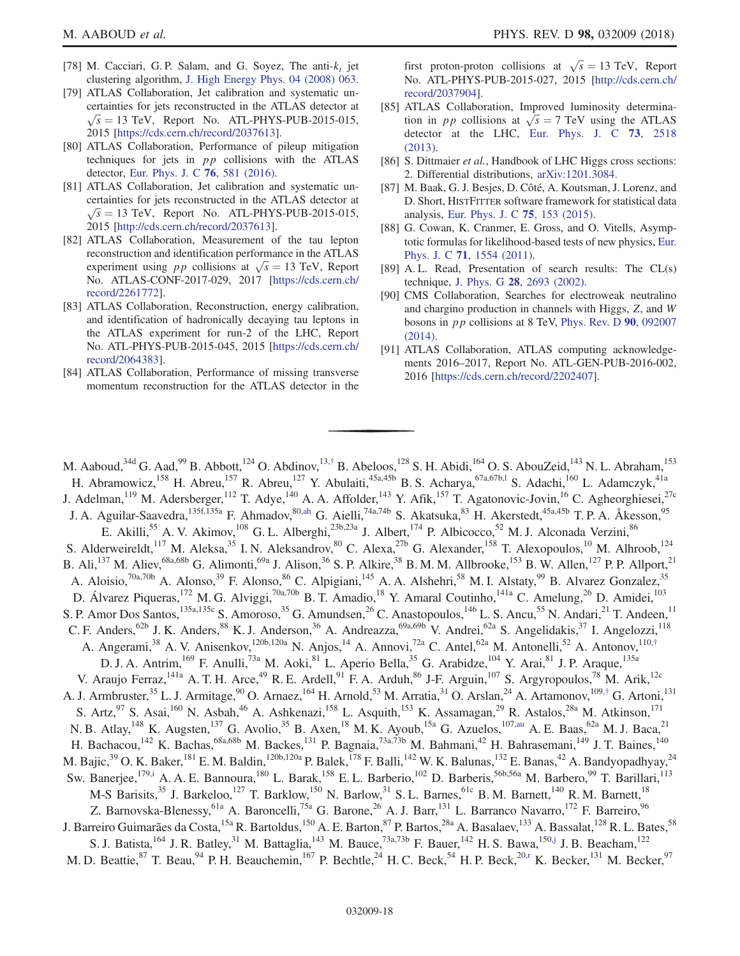- <span id="page-17-0"></span>[78] M. Cacciari, G. P. Salam, and G. Soyez, The anti- $k_t$  jet clustering algorithm, [J. High Energy Phys. 04 \(2008\) 063.](https://doi.org/10.1088/1126-6708/2008/04/063)
- <span id="page-17-1"></span>[79] ATLAS Collaboration, Jet calibration and systematic uncertainties for jets reconstructed in the ATLAS detector at  $\sqrt{s} = 13$  TeV, Report No. ATL-PHYS-PUB-2015-015, 2015 [\[https://cds.cern.ch/record/2037613](https://cds.cern.ch/record/2037613)].
- <span id="page-17-2"></span>[80] ATLAS Collaboration, Performance of pileup mitigation techniques for jets in  $pp$  collisions with the ATLAS detector, [Eur. Phys. J. C](https://doi.org/10.1140/epjc/s10052-016-4395-z) 76, 581 (2016).
- <span id="page-17-3"></span>[81] ATLAS Collaboration, Jet calibration and systematic uncertainties for jets reconstructed in the ATLAS detector at  $\sqrt{s}$  = 13 TeV, Report No. ATL-PHYS-PUB-2015-015, 2015 [\[http://cds.cern.ch/record/2037613](http://cds.cern.ch/record/2037613)].
- <span id="page-17-4"></span>[82] ATLAS Collaboration, Measurement of the tau lepton reconstruction and identification performance in the ATLAS experiment using *pp* collisions at  $\sqrt{s} = 13$  TeV, Report No. ATLAS-CONF-2017-029, 2017 [[https://cds.cern.ch/](https://cds.cern.ch/record/2261772) [record/2261772\]](https://cds.cern.ch/record/2261772).
- <span id="page-17-5"></span>[83] ATLAS Collaboration, Reconstruction, energy calibration, and identification of hadronically decaying tau leptons in the ATLAS experiment for run-2 of the LHC, Report No. ATL-PHYS-PUB-2015-045, 2015 [[https://cds.cern.ch/](https://cds.cern.ch/record/2064383) [record/2064383\]](https://cds.cern.ch/record/2064383).
- <span id="page-17-6"></span>[84] ATLAS Collaboration, Performance of missing transverse momentum reconstruction for the ATLAS detector in the

first proton-proton collisions at  $\sqrt{s} = 13$  TeV, Report No. ATL-PHYS-PUB-2015-027, 2015 [[http://cds.cern.ch/](http://cds.cern.ch/record/2037904) [record/2037904\]](http://cds.cern.ch/record/2037904).

- <span id="page-17-7"></span>[85] ATLAS Collaboration, Improved luminosity determination in *pp* collisions at  $\sqrt{s} = 7$  TeV using the ATLAS detector at the LHC, [Eur. Phys. J. C](https://doi.org/10.1140/epjc/s10052-013-2518-3) 73, 2518 [\(2013\)](https://doi.org/10.1140/epjc/s10052-013-2518-3).
- <span id="page-17-8"></span>[86] S. Dittmaier et al., Handbook of LHC Higgs cross sections: 2. Differential distributions, [arXiv:1201.3084.](http://arXiv.org/abs/1201.3084)
- <span id="page-17-9"></span>[87] M. Baak, G. J. Besjes, D. Côté, A. Koutsman, J. Lorenz, and D. Short, HISTFITTER software framework for statistical data analysis, [Eur. Phys. J. C](https://doi.org/10.1140/epjc/s10052-015-3327-7) 75, 153 (2015).
- <span id="page-17-10"></span>[88] G. Cowan, K. Cranmer, E. Gross, and O. Vitells, Asymptotic formulas for likelihood-based tests of new physics, [Eur.](https://doi.org/10.1140/epjc/s10052-011-1554-0) Phys. J. C 71[, 1554 \(2011\).](https://doi.org/10.1140/epjc/s10052-011-1554-0)
- <span id="page-17-11"></span>[89] A. L. Read, Presentation of search results: The CL(s) technique, J. Phys. G 28[, 2693 \(2002\)](https://doi.org/10.1088/0954-3899/28/10/313).
- <span id="page-17-12"></span>[90] CMS Collaboration, Searches for electroweak neutralino and chargino production in channels with Higgs, Z, and W bosons in pp collisions at 8 TeV, [Phys. Rev. D](https://doi.org/10.1103/PhysRevD.90.092007) 90, 092007 [\(2014\).](https://doi.org/10.1103/PhysRevD.90.092007)
- <span id="page-17-13"></span>[91] ATLAS Collaboration, ATLAS computing acknowledgements 2016–2017, Report No. ATL-GEN-PUB-2016-002, 2016 [\[https://cds.cern.ch/record/2202407](https://cds.cern.ch/record/2202407)].

<span id="page-17-20"></span><span id="page-17-19"></span><span id="page-17-18"></span><span id="page-17-17"></span><span id="page-17-16"></span><span id="page-17-15"></span><span id="page-17-14"></span>M. Aaboud,  $34d$  G. Aad,  $99$  B. Abbott,  $124$  O. Abdinov,  $13,17$  B. Abeloos,  $128$  S. H. Abidi,  $164$  O. S. AbouZeid,  $143$  N. L. Abraham,  $153$ H. Abramowicz,<sup>158</sup> H. Abreu,<sup>157</sup> R. Abreu,<sup>127</sup> Y. Abulaiti,<sup>45a,45b</sup> B. S. Acharya,<sup>67a,67b[,l](#page-30-0)</sup> S. Adachi,<sup>160</sup> L. Adamczyk,<sup>41a</sup> J. Adelman,<sup>119</sup> M. Adersberger,<sup>112</sup> T. Adye,<sup>140</sup> A. A. Affolder,<sup>143</sup> Y. Afik,<sup>157</sup> T. Agatonovic-Jovin,<sup>16</sup> C. Agheorghiesei,<sup>27c</sup> J. A. Aguilar-Saavedra,<sup>135f,135a</sup> F. Ahmadov,<sup>8[0,ah](#page-30-1)</sup> G. Aielli,<sup>74a,74b</sup> S. Akatsuka,<sup>83</sup> H. Akerstedt,<sup>45a,45b</sup> T. P. A. Åkesson,<sup>95</sup> E. Akilli,<sup>55</sup> A. V. Akimov,<sup>108</sup> G. L. Alberghi,<sup>23b,23a</sup> J. Albert,<sup>174</sup> P. Albicocco,<sup>52</sup> M. J. Alconada Verzini,<sup>86</sup> S. Alderweireldt,<sup>117</sup> M. Aleksa,<sup>35</sup> I. N. Aleksandrov,<sup>80</sup> C. Alexa,<sup>27b</sup> G. Alexander,<sup>158</sup> T. Alexopoulos,<sup>10</sup> M. Alhroob,<sup>124</sup> B. Ali,<sup>137</sup> M. Aliev,<sup>68a,68b</sup> G. Alimonti,<sup>69a</sup> J. Alison,<sup>36</sup> S. P. Alkire,<sup>38</sup> B. M. M. Allbrooke,<sup>153</sup> B. W. Allen,<sup>127</sup> P. P. Allport,<sup>21</sup> A. Aloisio,<sup>70a,70b</sup> A. Alonso,<sup>39</sup> F. Alonso,<sup>86</sup> C. Alpigiani,<sup>145</sup> A. A. Alshehri,<sup>58</sup> M. I. Alstaty,<sup>99</sup> B. Alvarez Gonzalez,<sup>35</sup> D. Álvarez Piqueras,<sup>172</sup> M. G. Alviggi,<sup>70a,70b</sup> B. T. Amadio,<sup>18</sup> Y. Amaral Coutinho,<sup>141a</sup> C. Amelung,<sup>26</sup> D. Amidei,<sup>103</sup> S. P. Amor Dos Santos,<sup>135a,135c</sup> S. Amoroso,<sup>35</sup> G. Amundsen,<sup>26</sup> C. Anastopoulos,<sup>146</sup> L. S. Ancu,<sup>55</sup> N. Andari,<sup>21</sup> T. Andeen,<sup>11</sup> C. F. Anders,<sup>62b</sup> J. K. Anders,<sup>88</sup> K. J. Anderson,<sup>36</sup> A. Andreazza,<sup>69a,69b</sup> V. Andrei,<sup>62a</sup> S. Angelidakis,<sup>37</sup> I. Angelozzi,<sup>118</sup> A. Angerami,<sup>38</sup> A. V. Anisenkov,<sup>120b,120a</sup> N. Anjos,<sup>14</sup> A. Annovi,<sup>72a</sup> C. Antel,<sup>62a</sup> M. Antonelli,<sup>52</sup> A. Antonov,<sup>110,[†](#page-29-0)</sup> D. J. A. Antrim,<sup>169</sup> F. Anulli,<sup>73a</sup> M. Aoki,<sup>81</sup> L. Aperio Bella,<sup>35</sup> G. Arabidze,<sup>104</sup> Y. Arai,<sup>81</sup> J. P. Araque,<sup>135a</sup> V. Araujo Ferraz,<sup>141a</sup> A. T. H. Arce,<sup>49</sup> R. E. Ardell,<sup>91</sup> F. A. Arduh,<sup>86</sup> J-F. Arguin,<sup>107</sup> S. Argyropoulos,<sup>78</sup> M. Arik,<sup>12c</sup> A. J. Armbruster,<sup>35</sup> L. J. Armitage,<sup>90</sup> O. Arnaez,<sup>164</sup> H. Arnold,<sup>53</sup> M. Arratia,<sup>31</sup> O. Arslan,<sup>24</sup> A. Artamonov,<sup>109,[†](#page-29-0)</sup> G. Artoni,<sup>131</sup> S. Artz,<sup>97</sup> S. Asai,<sup>160</sup> N. Asbah,<sup>46</sup> A. Ashkenazi,<sup>158</sup> L. Asquith,<sup>153</sup> K. Assamagan,<sup>29</sup> R. Astalos,<sup>28a</sup> M. Atkinson,<sup>171</sup> N. B. Atlay,  $^{148}$  K. Augsten,  $^{137}$  G. Avolio,  $^{35}$  B. Axen,  $^{18}$  M. K. Ayoub,  $^{15a}$  G. Azuelos,  $^{107,au}$  $^{107,au}$  $^{107,au}$  A. E. Baas,  $^{62a}$  M. J. Baca,  $^{21}$ H. Bachacou, <sup>142</sup> K. Bachas, <sup>68a, 68b</sup> M. Backes, <sup>131</sup> P. Bagnaia, <sup>73a, 73b</sup> M. Bahmani, <sup>42</sup> H. Bahrasemani, <sup>149</sup> J. T. Baines, <sup>140</sup> M. Bajic, $^{39}$  O. K. Baker, $^{181}$  E. M. Baldin, $^{120b,120a}$  P. Balek, $^{178}$  F. Balli, $^{142}$  W. K. Balunas, $^{132}$  E. Banas, $^{42}$  A. Bandyopadhyay, $^{24}$ Sw. Banerjee,<sup>17[9,i](#page-29-1)</sup> A. A. E. Bannoura,<sup>180</sup> L. Barak,<sup>158</sup> E. L. Barberio,<sup>102</sup> D. Barberis,<sup>56b,56a</sup> M. Barbero,<sup>99</sup> T. Barillari,<sup>113</sup> M-S Barisits,<sup>35</sup> J. Barkeloo,<sup>127</sup> T. Barklow,<sup>150</sup> N. Barlow,<sup>31</sup> S. L. Barnes,<sup>61c</sup> B. M. Barnett,<sup>140</sup> R. M. Barnett,<sup>18</sup> Z. Barnovska-Blenessy, <sup>61a</sup> A. Baroncelli, <sup>75a</sup> G. Barone, <sup>26</sup> A. J. Barr, <sup>131</sup> L. Barranco Navarro, <sup>172</sup> F. Barreiro, <sup>96</sup> J. Barreiro Guimarães da Costa,<sup>15a</sup> R. Bartoldus,<sup>150</sup> A. E. Barton,<sup>87</sup> P. Bartos,<sup>28a</sup> A. Basalaev,<sup>133</sup> A. Bassalat,<sup>128</sup> R. L. Bates,<sup>58</sup> S. J. Batista, <sup>164</sup> J. R. Batley, <sup>31</sup> M. Battaglia, <sup>143</sup> M. Bauce, <sup>73a, 73b</sup> F. Bauer, <sup>142</sup> H. S. Bawa, <sup>150[,j](#page-30-3)</sup> J. B. Beacham, <sup>122</sup> M. D. Beattie,  $87$  T. Beau,  $94$  P. H. Beauchemin,  $167$  P. Bechtle,  $24$  H. C. Beck,  $54$  H. P. Beck,  $20$ , K. Becker,  $131$  M. Becker,  $97$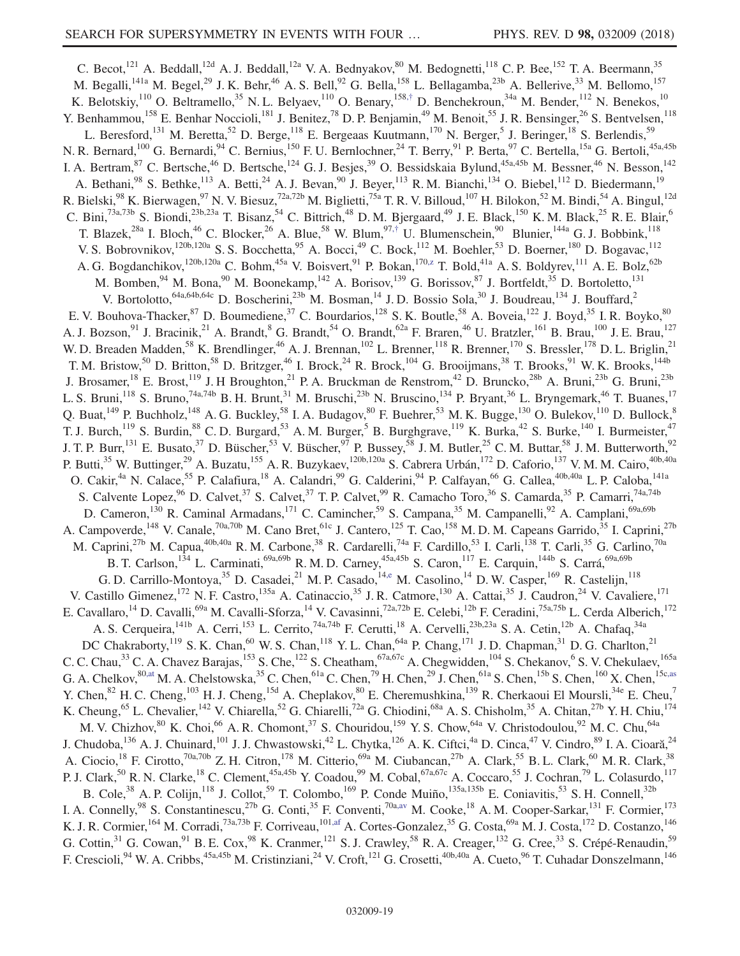<span id="page-18-4"></span><span id="page-18-3"></span><span id="page-18-2"></span><span id="page-18-1"></span><span id="page-18-0"></span>C. Becot,<sup>121</sup> A. Beddall,<sup>12d</sup> A. J. Beddall,<sup>12a</sup> V. A. Bednyakov,<sup>80</sup> M. Bedognetti,<sup>118</sup> C. P. Bee,<sup>152</sup> T. A. Beermann,<sup>35</sup> M. Begalli,<sup>141a</sup> M. Begel,<sup>29</sup> J. K. Behr,<sup>46</sup> A. S. Bell,<sup>92</sup> G. Bella,<sup>158</sup> L. Bellagamba,<sup>23b</sup> A. Bellerive,<sup>33</sup> M. Bellomo,<sup>157</sup> K. Belotskiy,<sup>110</sup> O. Beltramello,<sup>35</sup> N. L. Belyaev,<sup>110</sup> O. Benary,<sup>158,[†](#page-29-0)</sup> D. Benchekroun,<sup>34a</sup> M. Bender,<sup>112</sup> N. Benekos,<sup>10</sup> Y. Benhammou,<sup>158</sup> E. Benhar Noccioli,<sup>181</sup> J. Benitez,<sup>78</sup> D. P. Benjamin,<sup>49</sup> M. Benoit,<sup>55</sup> J. R. Bensinger,<sup>26</sup> S. Bentvelsen,<sup>118</sup> L. Beresford,<sup>131</sup> M. Beretta,<sup>52</sup> D. Berge,<sup>118</sup> E. Bergeaas Kuutmann,<sup>170</sup> N. Berger,<sup>5</sup> J. Beringer,<sup>18</sup> S. Berlendis,<sup>59</sup> N. R. Bernard,<sup>100</sup> G. Bernardi,<sup>94</sup> C. Bernius,<sup>150</sup> F. U. Bernlochner,<sup>24</sup> T. Berry,<sup>91</sup> P. Berta,<sup>97</sup> C. Bertella,<sup>15a</sup> G. Bertoli,<sup>45a,45b</sup> I. A. Bertram, <sup>87</sup> C. Bertsche, <sup>46</sup> D. Bertsche, <sup>124</sup> G. J. Besjes, <sup>39</sup> O. Bessidskaia Bylund, <sup>45a, 45b</sup> M. Bessner, <sup>46</sup> N. Besson, <sup>142</sup> A. Bethani,<sup>98</sup> S. Bethke,<sup>113</sup> A. Betti,<sup>24</sup> A. J. Bevan,<sup>90</sup> J. Beyer,<sup>113</sup> R. M. Bianchi,<sup>134</sup> O. Biebel,<sup>112</sup> D. Biedermann,<sup>19</sup> R. Bielski,<sup>98</sup> K. Bierwagen,<sup>97</sup> N. V. Biesuz,<sup>72a,72b</sup> M. Biglietti,<sup>75a</sup> T. R. V. Billoud,<sup>107</sup> H. Bilokon,<sup>52</sup> M. Bindi,<sup>54</sup> A. Bingul,<sup>12d</sup> C. Bini,<sup>73a,73b</sup> S. Biondi,<sup>23b,23a</sup> T. Bisanz,<sup>54</sup> C. Bittrich,<sup>48</sup> D. M. Bjergaard,<sup>49</sup> J. E. Black,<sup>150</sup> K. M. Black,<sup>25</sup> R. E. Blair,<sup>6</sup> T. Blazek,<sup>28a</sup> I. Bloch,<sup>46</sup> C. Blocker,<sup>26</sup> A. Blue,<sup>58</sup> W. Blum,<sup>97,[†](#page-29-0)</sup> U. Blumenschein,<sup>90</sup> Blunier,<sup>144a</sup> G. J. Bobbink,<sup>118</sup> V. S. Bobrovnikov,<sup>120b,120a</sup> S. S. Bocchetta,<sup>95</sup> A. Bocci,<sup>49</sup> C. Bock,<sup>112</sup> M. Boehler,<sup>53</sup> D. Boerner,<sup>180</sup> D. Bogavac,<sup>112</sup> A. G. Bogdanchikov,<sup>120b,120a</sup> C. Bohm,<sup>45a</sup> V. Boisvert,<sup>91</sup> P. Bokan,<sup>170[,z](#page-30-5)</sup> T. Bold,<sup>41a</sup> A. S. Boldyrev,<sup>111</sup> A. E. Bolz,<sup>62b</sup> M. Bomben,  $94$  M. Bona,  $90$  M. Boonekamp,  $142$  A. Borisov,  $139$  G. Borissov,  $87$  J. Bortfeldt,  $35$  D. Bortoletto,  $131$ V. Bortolotto,  $64a,64b,64c$  D. Boscherini,  $23b$  M. Bosman,  $14$  J. D. Bossio Sola,  $30$  J. Boudreau,  $134$  J. Bouffard,  $2$ E. V. Bouhova-Thacker, <sup>87</sup> D. Boumediene, <sup>37</sup> C. Bourdarios, <sup>128</sup> S. K. Boutle, <sup>58</sup> A. Boveia, <sup>122</sup> J. Boyd, <sup>35</sup> I. R. Boyko, <sup>80</sup> A. J. Bozson,<sup>91</sup> J. Bracinik,<sup>21</sup> A. Brandt,<sup>8</sup> G. Brandt,<sup>54</sup> O. Brandt,<sup>62a</sup> F. Braren,<sup>46</sup> U. Bratzler,<sup>161</sup> B. Brau,<sup>100</sup> J. E. Brau,<sup>127</sup> W. D. Breaden Madden,<sup>58</sup> K. Brendlinger,<sup>46</sup> A. J. Brennan,<sup>102</sup> L. Brenner,<sup>118</sup> R. Brenner,<sup>170</sup> S. Bressler,<sup>178</sup> D. L. Briglin,<sup>21</sup> T. M. Bristow,<sup>50</sup> D. Britton,<sup>58</sup> D. Britzger,<sup>46</sup> I. Brock,<sup>24</sup> R. Brock,<sup>104</sup> G. Brooijmans,<sup>38</sup> T. Brooks,<sup>91</sup> W. K. Brooks,<sup>144b</sup> J. Brosamer,<sup>18</sup> E. Brost,<sup>119</sup> J. H Broughton,<sup>21</sup> P. A. Bruckman de Renstrom,<sup>42</sup> D. Bruncko,<sup>28b</sup> A. Bruni,<sup>23b</sup> G. Bruni,<sup>23b</sup> L. S. Bruni,<sup>118</sup> S. Bruno,<sup>74a,74b</sup> B. H. Brunt,<sup>31</sup> M. Bruschi,<sup>23b</sup> N. Bruscino,<sup>134</sup> P. Bryant,<sup>36</sup> L. Bryngemark,<sup>46</sup> T. Buanes,<sup>17</sup> Q. Buat,  $^{149}$  P. Buchholz,  $^{148}$  A. G. Buckley,  $^{58}$  I. A. Budagov,  $^{80}$  F. Buehrer,  $^{53}$  M. K. Bugge,  $^{130}$  O. Bulekov,  $^{110}$  D. Bullock,  $^{8}$ T. J. Burch,<sup>119</sup> S. Burdin,<sup>88</sup> C. D. Burgard,<sup>53</sup> A. M. Burger,<sup>5</sup> B. Burghgrave,<sup>119</sup> K. Burka,<sup>42</sup> S. Burke,<sup>140</sup> I. Burmeister,<sup>47</sup> J. T. P. Burr,<sup>131</sup> E. Busato,<sup>37</sup> D. Büscher,<sup>53</sup> V. Büscher,<sup>97</sup> P. Bussey,<sup>58</sup> J. M. Butler,<sup>25</sup> C. M. Buttar,<sup>58</sup> J. M. Butterworth,<sup>92</sup> P. Butti,<sup>35</sup> W. Buttinger,<sup>29</sup> A. Buzatu,<sup>155</sup> A. R. Buzykaev,<sup>120b,120a</sup> S. Cabrera Urbán,<sup>172</sup> D. Caforio,<sup>137</sup> V. M. M. Cairo,<sup>40b,40a</sup> O. Cakir,<sup>4a</sup> N. Calace,<sup>55</sup> P. Calafiura,<sup>18</sup> A. Calandri,<sup>99</sup> G. Calderini,<sup>94</sup> P. Calfayan,<sup>66</sup> G. Callea,<sup>40b,40a</sup> L. P. Caloba,<sup>141a</sup> S. Calvente Lopez, <sup>96</sup> D. Calvet, <sup>37</sup> S. Calvet, <sup>37</sup> T. P. Calvet, <sup>99</sup> R. Camacho Toro, <sup>36</sup> S. Camarda, <sup>35</sup> P. Camarri, <sup>74a,74b</sup> D. Cameron,<sup>130</sup> R. Caminal Armadans,<sup>171</sup> C. Camincher,<sup>59</sup> S. Campana,<sup>35</sup> M. Campanelli,<sup>92</sup> A. Camplani,<sup>69a,69b</sup> A. Campoverde,<sup>148</sup> V. Canale,<sup>70a,70b</sup> M. Cano Bret,<sup>61c</sup> J. Cantero,<sup>125</sup> T. Cao,<sup>158</sup> M. D. M. Capeans Garrido,<sup>35</sup> I. Caprini,<sup>27b</sup> M. Caprini,<sup>27b</sup> M. Capua,<sup>40b,40a</sup> R.M. Carbone,<sup>38</sup> R. Cardarelli,<sup>74a</sup> F. Cardillo,<sup>53</sup> I. Carli,<sup>138</sup> T. Carli,<sup>35</sup> G. Carlino,<sup>70a</sup> B. T. Carlson,<sup>134</sup> L. Carminati,<sup>69a,69b</sup> R. M. D. Carney,<sup>45a,45b</sup> S. Caron,<sup>117</sup> E. Carquin,<sup>144b</sup> S. Carrá,<sup>69a,69b</sup> G. D. Carrillo-Montoya,<sup>35</sup> D. Casadei,<sup>21</sup> M. P. Casado,<sup>14[,e](#page-29-2)</sup> M. Casolino,<sup>14</sup> D. W. Casper,<sup>169</sup> R. Castelijn,<sup>118</sup> V. Castillo Gimenez,<sup>172</sup> N. F. Castro,<sup>135a</sup> A. Catinaccio,<sup>35</sup> J. R. Catmore,<sup>130</sup> A. Cattai,<sup>35</sup> J. Caudron,<sup>24</sup> V. Cavaliere,<sup>171</sup> E. Cavallaro,<sup>14</sup> D. Cavalli,<sup>69a</sup> M. Cavalli-Sforza,<sup>14</sup> V. Cavasinni,<sup>72a,72b</sup> E. Celebi,<sup>12b</sup> F. Ceradini,<sup>75a,75b</sup> L. Cerda Alberich,<sup>172</sup> A. S. Cerqueira,<sup>141b</sup> A. Cerri,<sup>153</sup> L. Cerrito,<sup>74a,74b</sup> F. Cerutti,<sup>18</sup> A. Cervelli,<sup>23b,23a</sup> S. A. Cetin,<sup>12b</sup> A. Chafaq,<sup>34a</sup> DC Chakraborty,<sup>119</sup> S. K. Chan,<sup>60</sup> W. S. Chan,<sup>118</sup> Y. L. Chan,<sup>64a</sup> P. Chang,<sup>171</sup> J. D. Chapman,<sup>31</sup> D. G. Charlton,<sup>21</sup> C. C. Chau,<sup>33</sup> C. A. Chavez Barajas,<sup>153</sup> S. Che,<sup>122</sup> S. Cheatham,<sup>67a,67c</sup> A. Chegwidden,<sup>104</sup> S. Chekanov,<sup>6</sup> S. V. Chekulaev,<sup>165a</sup> G. A. Chelkov,  $80,at$  $80,at$  M. A. Chelstowska,  $35$  C. Chen,  $61a$  C. Chen,  $79$  H. Chen,  $29$  J. Chen,  $61a$  S. Chen,  $15b$  S. Chen,  $160$  X. Chen,  $15c,as$  $15c,as$ Y. Chen,<sup>82</sup> H. C. Cheng,<sup>103</sup> H. J. Cheng,<sup>15d</sup> A. Cheplakov,<sup>80</sup> E. Cheremushkina,<sup>139</sup> R. Cherkaoui El Moursli,<sup>34e</sup> E. Cheu,<sup>7</sup> K. Cheung,<sup>65</sup> L. Chevalier,<sup>142</sup> V. Chiarella,<sup>52</sup> G. Chiarelli,<sup>72a</sup> G. Chiodini,<sup>68a</sup> A. S. Chisholm,<sup>35</sup> A. Chitan,<sup>27b</sup> Y. H. Chiu,<sup>174</sup> M. V. Chizhov,  $80$  K. Choi,  $66$  A. R. Chomont,  $37$  S. Chouridou,  $159$  Y. S. Chow,  $64a$  V. Christodoulou,  $92$  M. C. Chu,  $64a$ J. Chudoba, <sup>136</sup> A. J. Chuinard, <sup>101</sup> J. J. Chwastowski, <sup>42</sup> L. Chytka, <sup>126</sup> A. K. Ciftci, <sup>4a</sup> D. Cinca, <sup>47</sup> V. Cindro, <sup>89</sup> I. A. Cioară, <sup>24</sup> A. Ciocio,<sup>18</sup> F. Cirotto,<sup>70a,70b</sup> Z. H. Citron,<sup>178</sup> M. Citterio,<sup>69a</sup> M. Ciubancan,<sup>27b</sup> A. Clark,<sup>55</sup> B. L. Clark,<sup>60</sup> M. R. Clark,<sup>38</sup> P. J. Clark,<sup>50</sup> R. N. Clarke,<sup>18</sup> C. Clement,<sup>45a,45b</sup> Y. Coadou,<sup>99</sup> M. Cobal,<sup>67a,67c</sup> A. Coccaro,<sup>55</sup> J. Cochran,<sup>79</sup> L. Colasurdo,<sup>117</sup> B. Cole,<sup>38</sup> A. P. Colijn,<sup>118</sup> J. Collot,<sup>59</sup> T. Colombo,<sup>169</sup> P. Conde Muiño,<sup>135a,135b</sup> E. Coniavitis,<sup>53</sup> S. H. Connell,<sup>32b</sup> I. A. Connelly,<sup>98</sup> S. Constantinescu,<sup>27b</sup> G. Conti,<sup>35</sup> F. Conventi,<sup>70a[,av](#page-30-8)</sup> M. Cooke,<sup>18</sup> A. M. Cooper-Sarkar,<sup>131</sup> F. Cormier,<sup>173</sup> K. J. R. Cormier, <sup>164</sup> M. Corradi, <sup>73a,73b</sup> F. Corriveau, <sup>101[,af](#page-30-9)</sup> A. Cortes-Gonzalez, <sup>35</sup> G. Costa, <sup>69a</sup> M. J. Costa, <sup>172</sup> D. Costanzo, <sup>146</sup> G. Cottin,  $31$  G. Cowan,  $91$  B. E. Cox,  $98$  K. Cranmer,  $121$  S. J. Crawley,  $58$  R. A. Creager,  $132$  G. Cree,  $33$  S. Crépé-Renaudin,  $59$ F. Crescioli, <sup>94</sup> W. A. Cribbs, <sup>45a,45b</sup> M. Cristinziani, <sup>24</sup> V. Croft, <sup>121</sup> G. Crosetti, <sup>40b,40a</sup> A. Cueto, <sup>96</sup> T. Cuhadar Donszelmann, <sup>146</sup>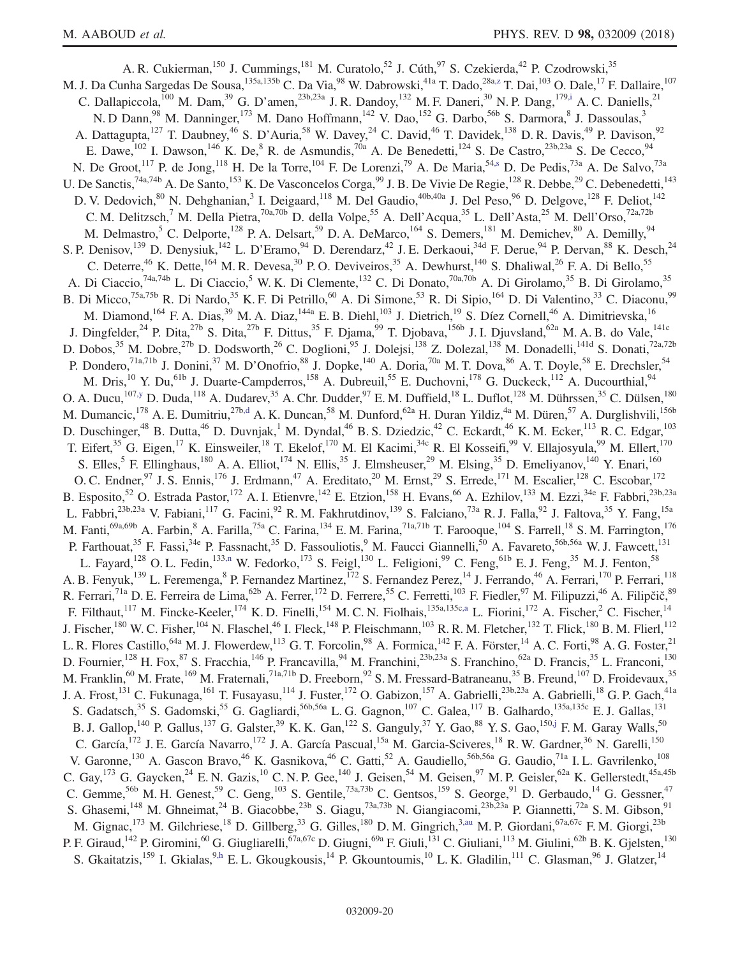<span id="page-19-5"></span><span id="page-19-4"></span><span id="page-19-3"></span><span id="page-19-2"></span><span id="page-19-1"></span><span id="page-19-0"></span>A. R. Cukierman, <sup>150</sup> J. Cummings, <sup>181</sup> M. Curatolo, <sup>52</sup> J. Cúth, <sup>97</sup> S. Czekierda, <sup>42</sup> P. Czodrowski, <sup>35</sup> M. J. Da Cunha Sargedas De Sousa, $^{135$ a,135b C. Da Via, $^{98}$  W. Dabrowski, $^{41}$ a T. Dado, $^{28}$ [a,z](#page-30-5) T. Dai, $^{103}$  O. Dale, $^{17}$  F. Dallaire, $^{107}$ C. Dallapiccola,<sup>100</sup> M. Dam,<sup>39</sup> G. D'amen,<sup>23b,23a</sup> J. R. Dandoy,<sup>132</sup> M. F. Daneri,<sup>30</sup> N. P. Dang,<sup>17[9,i](#page-29-1)</sup> A. C. Daniells,<sup>21</sup> N. D Dann,<sup>98</sup> M. Danninger,<sup>173</sup> M. Dano Hoffmann,<sup>142</sup> V. Dao,<sup>152</sup> G. Darbo,<sup>56b</sup> S. Darmora,<sup>8</sup> J. Dassoulas,<sup>3</sup> A. Dattagupta,<sup>127</sup> T. Daubney,<sup>46</sup> S. D'Auria,<sup>58</sup> W. Davey,<sup>24</sup> C. David,<sup>46</sup> T. Davidek,<sup>138</sup> D. R. Davis,<sup>49</sup> P. Davison,<sup>92</sup> E. Dawe,  $^{102}$  I. Dawson,  $^{146}$  K. De,  $^{8}$  R. de Asmundis,  $^{70a}$  A. De Benedetti,  $^{124}$  S. De Castro,  $^{23b,23a}$  S. De Cecco,  $^{94}$ N. De Groot,<sup>117</sup> P. de Jong,<sup>118</sup> H. De la Torre,<sup>104</sup> F. De Lorenzi,<sup>79</sup> A. De Maria,<sup>54[,s](#page-30-10)</sup> D. De Pedis,<sup>73a</sup> A. De Salvo,<sup>73a</sup> U. De Sanctis,<sup>74a,74b</sup> A. De Santo,<sup>153</sup> K. De Vasconcelos Corga,<sup>99</sup> J. B. De Vivie De Regie,<sup>128</sup> R. Debbe,<sup>29</sup> C. Debenedetti,<sup>143</sup> D. V. Dedovich,  $80\,$  N. Dehghanian,  $3\,$  I. Deigaard,  $118\,$  M. Del Gaudio,  $40b,40a\,$  J. Del Peso,  $96\,$  D. Delgove,  $128\,$  F. Deliot,  $142\,$ C. M. Delitzsch,<sup>7</sup> M. Della Pietra,<sup>70a,70b</sup> D. della Volpe,<sup>55</sup> A. Dell'Acqua,<sup>35</sup> L. Dell'Asta,<sup>25</sup> M. Dell'Orso,<sup>72a,72b</sup> M. Delmastro,<sup>5</sup> C. Delporte,<sup>128</sup> P. A. Delsart,<sup>59</sup> D. A. DeMarco,<sup>164</sup> S. Demers,<sup>181</sup> M. Demichev,<sup>80</sup> A. Demilly,<sup>94</sup> S. P. Denisov,<sup>139</sup> D. Denysiuk,<sup>142</sup> L. D'Eramo,<sup>94</sup> D. Derendarz,<sup>42</sup> J. E. Derkaoui,<sup>34d</sup> F. Derue,<sup>94</sup> P. Dervan,<sup>88</sup> K. Desch,<sup>24</sup> C. Deterre,<sup>46</sup> K. Dette,<sup>164</sup> M. R. Devesa,<sup>30</sup> P. O. Deviveiros,<sup>35</sup> A. Dewhurst,<sup>140</sup> S. Dhaliwal,<sup>26</sup> F. A. Di Bello,<sup>55</sup> A. Di Ciaccio,<sup>74a,74b</sup> L. Di Ciaccio,<sup>5</sup> W. K. Di Clemente,<sup>132</sup> C. Di Donato,<sup>70a,70b</sup> A. Di Girolamo,<sup>35</sup> B. Di Girolamo,<sup>35</sup> B. Di Micco,<sup>75a,75b</sup> R. Di Nardo,<sup>35</sup> K. F. Di Petrillo,<sup>60</sup> A. Di Simone,<sup>53</sup> R. Di Sipio,<sup>164</sup> D. Di Valentino,<sup>33</sup> C. Diaconu,<sup>99</sup> M. Diamond, <sup>164</sup> F. A. Dias, <sup>39</sup> M. A. Diaz, <sup>144a</sup> E. B. Diehl, <sup>103</sup> J. Dietrich, <sup>19</sup> S. Díez Cornell, <sup>46</sup> A. Dimitrievska, <sup>16</sup> J. Dingfelder,<sup>24</sup> P. Dita,<sup>27b</sup> S. Dita,<sup>27b</sup> F. Dittus,<sup>35</sup> F. Djama,<sup>99</sup> T. Djobava,<sup>156b</sup> J. I. Djuvsland,<sup>62a</sup> M. A. B. do Vale,<sup>141c</sup> D. Dobos,<sup>35</sup> M. Dobre,<sup>27b</sup> D. Dodsworth,<sup>26</sup> C. Doglioni,<sup>95</sup> J. Dolejsi,<sup>138</sup> Z. Dolezal,<sup>138</sup> M. Donadelli,<sup>141d</sup> S. Donati,<sup>72a,72b</sup> P. Dondero,<sup>71a,71b</sup> J. Donini,<sup>37</sup> M. D'Onofrio,<sup>88</sup> J. Dopke,<sup>140</sup> A. Doria,<sup>70a</sup> M. T. Dova,<sup>86</sup> A. T. Doyle,<sup>58</sup> E. Drechsler,<sup>54</sup> M. Dris,<sup>10</sup> Y. Du,<sup>61b</sup> J. Duarte-Campderros,<sup>158</sup> A. Dubreuil,<sup>55</sup> E. Duchovni,<sup>178</sup> G. Duckeck,<sup>112</sup> A. Ducourthial,<sup>94</sup> O. A. Ducu,<sup>10[7,y](#page-30-11)</sup> D. Duda,<sup>118</sup> A. Dudarev,<sup>35</sup> A. Chr. Dudder,<sup>97</sup> E. M. Duffield,<sup>18</sup> L. Duflot,<sup>128</sup> M. Dührssen,<sup>35</sup> C. Dülsen,<sup>180</sup> M. Dumancic,<sup>178</sup> A. E. Dumitriu,<sup>27[b,d](#page-29-3)</sup> A. K. Duncan,<sup>58</sup> M. Dunford,<sup>62a</sup> H. Duran Yildiz,<sup>4a</sup> M. Düren,<sup>57</sup> A. Durglishvili,<sup>156b</sup> D. Duschinger,<sup>48</sup> B. Dutta,<sup>46</sup> D. Duvnjak,<sup>1</sup> M. Dyndal,<sup>46</sup> B. S. Dziedzic,<sup>42</sup> C. Eckardt,<sup>46</sup> K. M. Ecker,<sup>113</sup> R. C. Edgar,<sup>103</sup> T. Eifert,<sup>35</sup> G. Eigen,<sup>17</sup> K. Einsweiler,<sup>18</sup> T. Ekelof,<sup>170</sup> M. El Kacimi,<sup>34c</sup> R. El Kosseifi,<sup>99</sup> V. Ellajosyula,<sup>99</sup> M. Ellert,<sup>170</sup> S. Elles,<sup>5</sup> F. Ellinghaus,<sup>180</sup> A. A. Elliot,<sup>174</sup> N. Ellis,<sup>35</sup> J. Elmsheuser,<sup>29</sup> M. Elsing,<sup>35</sup> D. Emeliyanov,<sup>140</sup> Y. Enari,<sup>160</sup> O. C. Endner, <sup>97</sup> J. S. Ennis,<sup>176</sup> J. Erdmann,<sup>47</sup> A. Ereditato, <sup>20</sup> M. Ernst, <sup>29</sup> S. Errede, <sup>171</sup> M. Escalier, <sup>128</sup> C. Escobar, <sup>172</sup> B. Esposito,<sup>52</sup> O. Estrada Pastor,<sup>172</sup> A. I. Etienvre,<sup>142</sup> E. Etzion,<sup>158</sup> H. Evans,<sup>66</sup> A. Ezhilov,<sup>133</sup> M. Ezzi,<sup>34e</sup> F. Fabbri,<sup>23b,23a</sup> L. Fabbri,<sup>23b,23a</sup> V. Fabiani,<sup>117</sup> G. Facini,<sup>92</sup> R. M. Fakhrutdinov,<sup>139</sup> S. Falciano,<sup>73a</sup> R. J. Falla,<sup>92</sup> J. Faltova,<sup>35</sup> Y. Fang,<sup>15a</sup> M. Fanti,<sup>69a,69b</sup> A. Farbin,<sup>8</sup> A. Farilla,<sup>75a</sup> C. Farina,<sup>134</sup> E. M. Farina,<sup>71a,71b</sup> T. Farooque,<sup>104</sup> S. Farrell,<sup>18</sup> S. M. Farrington,<sup>176</sup> P. Farthouat,<sup>35</sup> F. Fassi,<sup>34e</sup> P. Fassnacht,<sup>35</sup> D. Fassouliotis,<sup>9</sup> M. Faucci Giannelli,<sup>50</sup> A. Favareto,<sup>56b,56a</sup> W. J. Fawcett,<sup>131</sup> L. Fayard,<sup>128</sup> O. L. Fedin,<sup>13[3,n](#page-30-12)</sup> W. Fedorko,<sup>173</sup> S. Feigl,<sup>130</sup> L. Feligioni,<sup>99</sup> C. Feng,<sup>61b</sup> E. J. Feng,<sup>35</sup> M. J. Fenton,<sup>58</sup> A. B. Fenyuk,<sup>139</sup> L. Feremenga, <sup>8</sup> P. Fernandez Martinez, <sup>172</sup> S. Fernandez Perez, <sup>14</sup> J. Ferrando, <sup>46</sup> A. Ferrari, <sup>170</sup> P. Ferrari, <sup>118</sup> R. Ferrari,<sup>71a</sup> D. E. Ferreira de Lima,<sup>62b</sup> A. Ferrer,<sup>172</sup> D. Ferrere,<sup>55</sup> C. Ferretti,<sup>103</sup> F. Fiedler,<sup>97</sup> M. Filipuzzi,<sup>46</sup> A. Filipčič,<sup>89</sup> F. Filthaut,<sup>117</sup> M. Fincke-Keeler,<sup>174</sup> K. D. Finelli,<sup>154</sup> M. C. N. Fiolhais,<sup>135a,135c[,a](#page-29-4)</sup> L. Fiorini,<sup>172</sup> A. Fischer,<sup>2</sup> C. Fischer,<sup>14</sup> J. Fischer,<sup>180</sup> W. C. Fisher,<sup>104</sup> N. Flaschel,<sup>46</sup> I. Fleck,<sup>148</sup> P. Fleischmann,<sup>103</sup> R. R. M. Fletcher,<sup>132</sup> T. Flick,<sup>180</sup> B. M. Flierl,<sup>112</sup> L. R. Flores Castillo,<sup>64a</sup> M. J. Flowerdew,<sup>113</sup> G. T. Forcolin,<sup>98</sup> A. Formica,<sup>142</sup> F. A. Förster,<sup>14</sup> A. C. Forti,<sup>98</sup> A. G. Foster,<sup>21</sup> D. Fournier,<sup>128</sup> H. Fox,<sup>87</sup> S. Fracchia,<sup>146</sup> P. Francavilla,<sup>94</sup> M. Franchini,<sup>23b,23a</sup> S. Franchino,<sup>62a</sup> D. Francis,<sup>35</sup> L. Franconi,<sup>130</sup> M. Franklin,<sup>60</sup> M. Frate,<sup>169</sup> M. Fraternali,<sup>71a,71b</sup> D. Freeborn,<sup>92</sup> S. M. Fressard-Batraneanu,<sup>35</sup> B. Freund,<sup>107</sup> D. Froidevaux,<sup>35</sup> J. A. Frost,<sup>131</sup> C. Fukunaga,<sup>161</sup> T. Fusayasu,<sup>114</sup> J. Fuster,<sup>172</sup> O. Gabizon,<sup>157</sup> A. Gabrielli,<sup>23b,23a</sup> A. Gabrielli,<sup>18</sup> G. P. Gach,<sup>41a</sup> S. Gadatsch,<sup>35</sup> S. Gadomski,<sup>55</sup> G. Gagliardi,<sup>56b,56a</sup> L. G. Gagnon,<sup>107</sup> C. Galea,<sup>117</sup> B. Galhardo,<sup>135a,135c</sup> E. J. Gallas,<sup>131</sup> B. J. Gallop,<sup>140</sup> P. Gallus,<sup>137</sup> G. Galster,<sup>39</sup> K. K. Gan,<sup>122</sup> S. Ganguly,<sup>37</sup> Y. Gao,<sup>88</sup> Y. S. Gao,<sup>15[0,j](#page-30-3)</sup> F. M. Garay Walls,<sup>50</sup> C. García,<sup>172</sup> J. E. García Navarro,<sup>172</sup> J. A. García Pascual,<sup>15a</sup> M. Garcia-Sciveres,<sup>18</sup> R. W. Gardner,<sup>36</sup> N. Garelli,<sup>150</sup> V. Garonne, <sup>130</sup> A. Gascon Bravo, <sup>46</sup> K. Gasnikova, <sup>46</sup> C. Gatti, <sup>52</sup> A. Gaudiello, <sup>56b, 56a</sup> G. Gaudio, <sup>71a</sup> I. L. Gavrilenko, <sup>108</sup> C. Gay,  $^{173}$  G. Gaycken,  $^{24}$  E. N. Gazis,  $^{10}$  C. N. P. Gee,  $^{140}$  J. Geisen,  $^{54}$  M. Geisen,  $^{97}$  M. P. Geisler,  $^{62a}$  K. Gellerstedt,  $^{45a,45b}$ C. Gemme,<sup>56b</sup> M. H. Genest,<sup>59</sup> C. Geng,<sup>103</sup> S. Gentile,<sup>73a,73b</sup> C. Gentsos,<sup>159</sup> S. George,<sup>91</sup> D. Gerbaudo,<sup>14</sup> G. Gessner,<sup>47</sup> S. Ghasemi,<sup>148</sup> M. Ghneimat,<sup>24</sup> B. Giacobbe,<sup>23b</sup> S. Giagu,<sup>73a,73b</sup> N. Giangiacomi,<sup>23b,23a</sup> P. Giannetti,<sup>72a</sup> S. M. Gibson,<sup>91</sup> M. Gignac,<sup>173</sup> M. Gilchriese,<sup>18</sup> D. Gillberg,<sup>33</sup> G. Gilles,<sup>180</sup> D.M. Gingrich,<sup>3[,au](#page-30-2)</sup> M.P. Giordani,<sup>67a,67c</sup> F.M. Giorgi,<sup>23b</sup> P. F. Giraud,<sup>142</sup> P. Giromini,<sup>60</sup> G. Giugliarelli,<sup>67a,67c</sup> D. Giugni,<sup>69a</sup> F. Giuli,<sup>131</sup> C. Giuliani,<sup>113</sup> M. Giulini,<sup>62b</sup> B. K. Gjelsten,<sup>130</sup> S. Gkaitatzis,<sup>159</sup> I. Gkialas, <sup>[9,h](#page-29-5)</sup> E. L. Gkougkousis, <sup>14</sup> P. Gkountoumis, <sup>10</sup> L. K. Gladilin, <sup>111</sup> C. Glasman, <sup>96</sup> J. Glatzer, <sup>14</sup>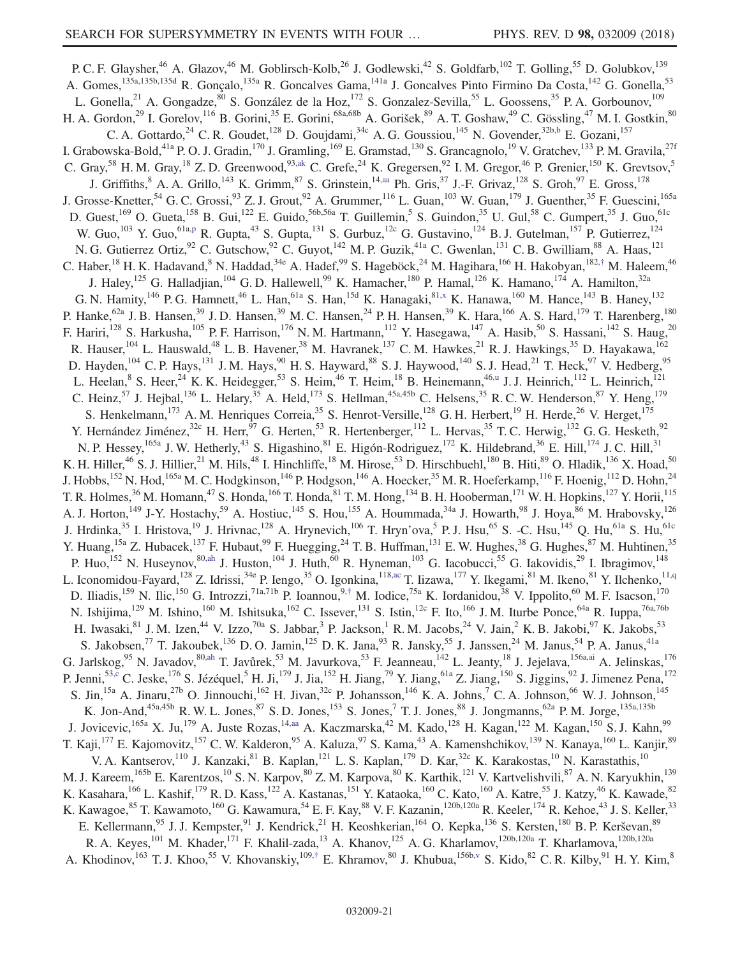<span id="page-20-9"></span><span id="page-20-8"></span><span id="page-20-7"></span><span id="page-20-6"></span><span id="page-20-5"></span><span id="page-20-4"></span><span id="page-20-3"></span><span id="page-20-2"></span><span id="page-20-1"></span><span id="page-20-0"></span>P. C. F. Glaysher,<sup>46</sup> A. Glazov,<sup>46</sup> M. Goblirsch-Kolb,<sup>26</sup> J. Godlewski,<sup>42</sup> S. Goldfarb,<sup>102</sup> T. Golling,<sup>55</sup> D. Golubkov,<sup>139</sup> A. Gomes,<sup>135a,135b,135d</sup> R. Gonçalo,<sup>135a</sup> R. Goncalves Gama,<sup>141a</sup> J. Goncalves Pinto Firmino Da Costa,<sup>142</sup> G. Gonella,<sup>53</sup> L. Gonella,<sup>21</sup> A. Gongadze,<sup>80</sup> S. González de la Hoz,<sup>172</sup> S. Gonzalez-Sevilla,<sup>55</sup> L. Goossens,<sup>35</sup> P. A. Gorbounov,<sup>109</sup> H. A. Gordon,<sup>29</sup> I. Gorelov,<sup>116</sup> B. Gorini,<sup>35</sup> E. Gorini,<sup>68a,68b</sup> A. Gorišek,<sup>89</sup> A. T. Goshaw,<sup>49</sup> C. Gössling,<sup>47</sup> M. I. Gostkin,<sup>80</sup> C. A. Gottardo,<sup>24</sup> C. R. Goudet,<sup>128</sup> D. Goujdami,<sup>34c</sup> A. G. Goussiou,<sup>145</sup> N. Govender,<sup>32b[,b](#page-29-6)</sup> E. Gozani,<sup>157</sup> I. Grabowska-Bold,<sup>41a</sup> P. O. J. Gradin,<sup>170</sup> J. Gramling,<sup>169</sup> E. Gramstad,<sup>130</sup> S. Grancagnolo,<sup>19</sup> V. Gratchev,<sup>133</sup> P. M. Gravila,<sup>27f</sup> C. Gray,<sup>58</sup> H. M. Gray,<sup>18</sup> Z. D. Greenwood,<sup>93[,ak](#page-30-13)</sup> C. Grefe,<sup>24</sup> K. Gregersen,<sup>92</sup> I. M. Gregor,<sup>46</sup> P. Grenier,<sup>150</sup> K. Grevtsov,<sup>5</sup> J. Griffiths, <sup>8</sup> A. A. Grillo,<sup>143</sup> K. Grimm, <sup>87</sup> S. Grinstein, <sup>14[,aa](#page-30-14)</sup> Ph. Gris, <sup>37</sup> J.-F. Grivaz, <sup>128</sup> S. Groh, <sup>97</sup> E. Gross, <sup>178</sup> J. Grosse-Knetter,<sup>54</sup> G. C. Grossi,<sup>93</sup> Z. J. Grout,<sup>92</sup> A. Grummer,<sup>116</sup> L. Guan,<sup>103</sup> W. Guan,<sup>179</sup> J. Guenther,<sup>35</sup> F. Guescini,<sup>165a</sup> D. Guest,<sup>169</sup> O. Gueta,<sup>158</sup> B. Gui,<sup>122</sup> E. Guido,<sup>56b,56a</sup> T. Guillemin,<sup>5</sup> S. Guindon,<sup>35</sup> U. Gul,<sup>58</sup> C. Gumpert,<sup>35</sup> J. Guo,<sup>61c</sup> W. Guo,<sup>103</sup> Y. Guo,<sup>61a[,p](#page-30-15)</sup> R. Gupta,<sup>43</sup> S. Gupta,<sup>131</sup> S. Gurbuz,<sup>12c</sup> G. Gustavino,<sup>124</sup> B.J. Gutelman,<sup>157</sup> P. Gutierrez,<sup>124</sup> N. G. Gutierrez Ortiz, <sup>92</sup> C. Gutschow, <sup>92</sup> C. Guyot, <sup>142</sup> M. P. Guzik, <sup>41a</sup> C. Gwenlan, <sup>131</sup> C. B. Gwilliam, <sup>88</sup> A. Haas, <sup>121</sup> C. Haber,<sup>18</sup> H. K. Hadavand,<sup>8</sup> N. Haddad,<sup>34e</sup> A. Hadef,<sup>99</sup> S. Hageböck,<sup>24</sup> M. Hagihara,<sup>166</sup> H. Hakobyan,<sup>182,[†](#page-29-0)</sup> M. Haleem,<sup>46</sup> J. Haley,<sup>125</sup> G. Halladjian,<sup>104</sup> G. D. Hallewell,<sup>99</sup> K. Hamacher,<sup>180</sup> P. Hamal,<sup>126</sup> K. Hamano,<sup>174</sup> A. Hamilton,<sup>32a</sup> G. N. Hamity,  $^{146}$  P. G. Hamnett,  $^{46}$  L. Han,  $^{61a}$  S. Han,  $^{15d}$  K. Hanagaki,  $^{81,x}$  $^{81,x}$  $^{81,x}$  K. Hanawa,  $^{160}$  M. Hance,  $^{143}$  B. Haney,  $^{132}$ P. Hanke,  $62a$  J. B. Hansen,  $39$  J. D. Hansen,  $39$  M. C. Hansen,  $24$  P. H. Hansen,  $39$  K. Hara,  $166$  A. S. Hard,  $179$  T. Harenberg,  $180$ F. Hariri,<sup>128</sup> S. Harkusha,<sup>105</sup> P. F. Harrison,<sup>176</sup> N. M. Hartmann,<sup>112</sup> Y. Hasegawa,<sup>147</sup> A. Hasib,<sup>50</sup> S. Hassani,<sup>142</sup> S. Haug,<sup>20</sup> R. Hauser,<sup>104</sup> L. Hauswald,<sup>48</sup> L. B. Havener,<sup>38</sup> M. Havranek,<sup>137</sup> C. M. Hawkes,<sup>21</sup> R. J. Hawkings,<sup>35</sup> D. Hayakawa,<sup>162</sup> D. Hayden,<sup>104</sup> C. P. Hays,<sup>131</sup> J. M. Hays,<sup>90</sup> H. S. Hayward,<sup>88</sup> S. J. Haywood,<sup>140</sup> S. J. Head,<sup>21</sup> T. Heck,<sup>97</sup> V. Hedberg,<sup>95</sup> L. Heelan,<sup>8</sup> S. Heer,<sup>24</sup> K. K. Heidegger,<sup>53</sup> S. Heim,<sup>46</sup> T. Heim,<sup>18</sup> B. Heinemann,<sup>46[,u](#page-30-17)</sup> J. J. Heinrich,<sup>112</sup> L. Heinrich,<sup>121</sup> C. Heinz,<sup>57</sup> J. Hejbal,<sup>136</sup> L. Helary,<sup>35</sup> A. Held,<sup>173</sup> S. Hellman,<sup>45a,45b</sup> C. Helsens,<sup>35</sup> R. C. W. Henderson,<sup>87</sup> Y. Heng,<sup>179</sup> S. Henkelmann,<sup>173</sup> A. M. Henriques Correia,<sup>35</sup> S. Henrot-Versille,<sup>128</sup> G. H. Herbert,<sup>19</sup> H. Herde,<sup>26</sup> V. Herget,<sup>175</sup> Y. Hernández Jiménez,<sup>32c</sup> H. Herr,<sup>97</sup> G. Herten,<sup>53</sup> R. Hertenberger,<sup>112</sup> L. Hervas,<sup>35</sup> T. C. Herwig,<sup>132</sup> G. G. Hesketh,<sup>92</sup> N. P. Hessey, <sup>165a</sup> J. W. Hetherly, <sup>43</sup> S. Higashino, <sup>81</sup> E. Higón-Rodriguez, <sup>172</sup> K. Hildebrand, <sup>36</sup> E. Hill, <sup>174</sup> J. C. Hill, <sup>31</sup> K. H. Hiller,<sup>46</sup> S. J. Hillier,<sup>21</sup> M. Hils,<sup>48</sup> I. Hinchliffe,<sup>18</sup> M. Hirose,<sup>53</sup> D. Hirschbuehl,<sup>180</sup> B. Hiti,<sup>89</sup> O. Hladik,<sup>136</sup> X. Hoad,<sup>50</sup> J. Hobbs,<sup>152</sup> N. Hod,<sup>165a</sup> M. C. Hodgkinson,<sup>146</sup> P. Hodgson,<sup>146</sup> A. Hoecker,<sup>35</sup> M. R. Hoeferkamp,<sup>116</sup> F. Hoenig,<sup>112</sup> D. Hohn,<sup>24</sup> T. R. Holmes,<sup>36</sup> M. Homann,<sup>47</sup> S. Honda,<sup>166</sup> T. Honda,<sup>81</sup> T. M. Hong,<sup>134</sup> B. H. Hooberman,<sup>171</sup> W. H. Hopkins,<sup>127</sup> Y. Horii,<sup>115</sup> A. J. Horton,<sup>149</sup> J-Y. Hostachy,<sup>59</sup> A. Hostiuc,<sup>145</sup> S. Hou,<sup>155</sup> A. Hoummada,<sup>34a</sup> J. Howarth,<sup>98</sup> J. Hoya,<sup>86</sup> M. Hrabovsky,<sup>126</sup> J. Hrdinka,<sup>35</sup> I. Hristova,<sup>19</sup> J. Hrivnac,<sup>128</sup> A. Hrynevich,<sup>106</sup> T. Hryn'ova,<sup>5</sup> P.J. Hsu,<sup>65</sup> S. -C. Hsu,<sup>145</sup> Q. Hu,<sup>61a</sup> S. Hu,<sup>61c</sup> Y. Huang, <sup>15a</sup> Z. Hubacek, <sup>137</sup> F. Hubaut, <sup>99</sup> F. Huegging, <sup>24</sup> T. B. Huffman, <sup>131</sup> E. W. Hughes, <sup>38</sup> G. Hughes, <sup>87</sup> M. Huhtinen, <sup>35</sup> P. Huo,<sup>152</sup> N. Huseynov,<sup>80[,ah](#page-30-1)</sup> J. Huston,<sup>104</sup> J. Huth,<sup>60</sup> R. Hyneman,<sup>103</sup> G. Iacobucci,<sup>55</sup> G. Iakovidis,<sup>29</sup> I. Ibragimov,<sup>148</sup> L. Iconomidou-Fayard,<sup>128</sup> Z. Idrissi,<sup>34e</sup> P. Iengo,<sup>35</sup> O. Igonkina,<sup>118[,ac](#page-30-18)</sup> T. Iizawa,<sup>177</sup> Y. Ikegami,<sup>81</sup> M. Ikeno,<sup>81</sup> Y. Ilchenko,<sup>11[,q](#page-30-19)</sup> D. Iliadis, <sup>159</sup> N. Ilic, <sup>150</sup> G. Introzzi, <sup>71a,71b</sup> P. Ioannou, <sup>9,[†](#page-29-0)</sup> M. Iodice, <sup>75a</sup> K. Iordanidou, <sup>38</sup> V. Ippolito, <sup>60</sup> M. F. Isacson, <sup>170</sup> N. Ishijima,<sup>129</sup> M. Ishino,<sup>160</sup> M. Ishitsuka,<sup>162</sup> C. Issever,<sup>131</sup> S. Istin,<sup>12c</sup> F. Ito,<sup>166</sup> J. M. Iturbe Ponce,<sup>64a</sup> R. Iuppa,<sup>76a,76b</sup> H. Iwasaki, <sup>81</sup> J. M. Izen,<sup>44</sup> V. Izzo,<sup>70a</sup> S. Jabbar,<sup>3</sup> P. Jackson,<sup>1</sup> R. M. Jacobs,<sup>24</sup> V. Jain,<sup>2</sup> K. B. Jakobi,<sup>97</sup> K. Jakobs,<sup>53</sup> S. Jakobsen,<sup>77</sup> T. Jakoubek,<sup>136</sup> D. O. Jamin,<sup>125</sup> D. K. Jana,<sup>93</sup> R. Jansky,<sup>55</sup> J. Janssen,<sup>24</sup> M. Janus,<sup>54</sup> P. A. Janus,<sup>41a</sup> G. Jarlskog,<sup>95</sup> N. Javadov,<sup>80[,ah](#page-30-1)</sup> T. Javůrek,<sup>53</sup> M. Javurkova,<sup>53</sup> F. Jeanneau,<sup>142</sup> L. Jeanty,<sup>18</sup> J. Jejelava,<sup>156a[,ai](#page-30-20)</sup> A. Jelinskas,<sup>176</sup> P. Jenni,<sup>53[,c](#page-29-7)</sup> C. Jeske,<sup>176</sup> S. Jézéquel,<sup>5</sup> H. Ji,<sup>179</sup> J. Jia,<sup>152</sup> H. Jiang,<sup>79</sup> Y. Jiang,<sup>61a</sup> Z. Jiang,<sup>150</sup> S. Jiggins,<sup>92</sup> J. Jimenez Pena,<sup>172</sup> S. Jin,<sup>15a</sup> A. Jinaru,<sup>27b</sup> O. Jinnouchi,<sup>162</sup> H. Jivan,<sup>32c</sup> P. Johansson,<sup>146</sup> K. A. Johns,<sup>7</sup> C. A. Johnson,<sup>66</sup> W. J. Johnson,<sup>145</sup> K. Jon-And,  $45a,45b$  R. W. L. Jones,  $87$  S. D. Jones,  $153$  S. Jones,  $7$  T. J. Jones,  $88$  J. Jongmanns,  $62a$  P. M. Jorge,  $135a,135b$ J. Jovicevic,<sup>165a</sup> X. Ju,<sup>179</sup> A. Juste Rozas,<sup>1[4,aa](#page-30-14)</sup> A. Kaczmarska,<sup>42</sup> M. Kado,<sup>128</sup> H. Kagan,<sup>122</sup> M. Kagan,<sup>150</sup> S. J. Kahn,<sup>99</sup> T. Kaji,<sup>177</sup> E. Kajomovitz,<sup>157</sup> C. W. Kalderon,<sup>95</sup> A. Kaluza,<sup>97</sup> S. Kama,<sup>43</sup> A. Kamenshchikov,<sup>139</sup> N. Kanaya,<sup>160</sup> L. Kanjir,<sup>89</sup> V. A. Kantserov,<sup>110</sup> J. Kanzaki, <sup>81</sup> B. Kaplan,<sup>121</sup> L. S. Kaplan,<sup>179</sup> D. Kar,<sup>32c</sup> K. Karakostas,<sup>10</sup> N. Karastathis,<sup>10</sup> M. J. Kareem,<sup>165b</sup> E. Karentzos,<sup>10</sup> S. N. Karpov,<sup>80</sup> Z. M. Karpova,<sup>80</sup> K. Karthik,<sup>121</sup> V. Kartvelishvili,<sup>87</sup> A. N. Karyukhin,<sup>139</sup> K. Kasahara,<sup>166</sup> L. Kashif,<sup>179</sup> R. D. Kass,<sup>122</sup> A. Kastanas,<sup>151</sup> Y. Kataoka,<sup>160</sup> C. Kato,<sup>160</sup> A. Katre,<sup>55</sup> J. Katzy,<sup>46</sup> K. Kawade,<sup>82</sup> K. Kawagoe,<sup>85</sup> T. Kawamoto,<sup>160</sup> G. Kawamura,<sup>54</sup> E. F. Kay,<sup>88</sup> V. F. Kazanin,<sup>120b,120a</sup> R. Keeler,<sup>174</sup> R. Kehoe,<sup>43</sup> J. S. Keller,<sup>33</sup> E. Kellermann,<sup>95</sup> J. J. Kempster,<sup>91</sup> J. Kendrick,<sup>21</sup> H. Keoshkerian,<sup>164</sup> O. Kepka,<sup>136</sup> S. Kersten,<sup>180</sup> B. P. Kerševan,<sup>89</sup> R. A. Keyes,<sup>101</sup> M. Khader,<sup>171</sup> F. Khalil-zada,<sup>13</sup> A. Khanov,<sup>125</sup> A. G. Kharlamov,<sup>120b,120a</sup> T. Kharlamova,<sup>120b,120a</sup> A. Khodinov,  $^{163}$  T. J. Khoo,  $^{55}$  V. Khovanskiy,  $^{109, +}$  E. Khramov,  $^{80}$  J. Khubua,  $^{156b,v}$  $^{156b,v}$  $^{156b,v}$  S. Kido,  $^{82}$  C. R. Kilby,  $^{91}$  H. Y. Kim,  $^{8}$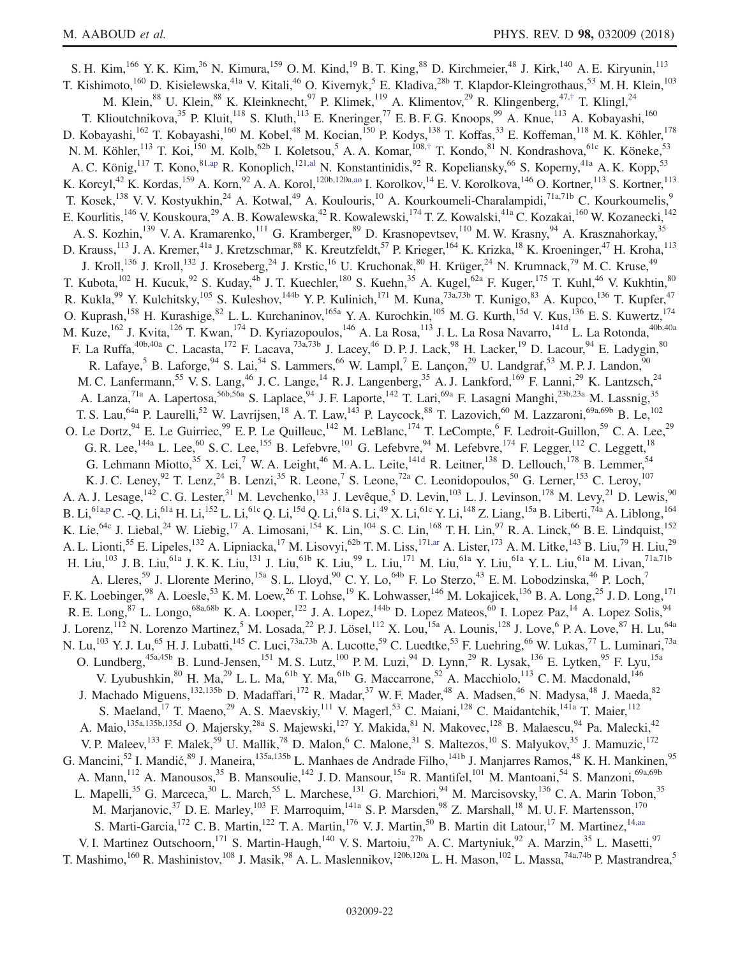<span id="page-21-2"></span><span id="page-21-1"></span><span id="page-21-0"></span>S. H. Kim,<sup>166</sup> Y. K. Kim,<sup>36</sup> N. Kimura,<sup>159</sup> O. M. Kind,<sup>19</sup> B. T. King,<sup>88</sup> D. Kirchmeier,<sup>48</sup> J. Kirk,<sup>140</sup> A. E. Kiryunin,<sup>113</sup> T. Kishimoto,<sup>160</sup> D. Kisielewska,<sup>41a</sup> V. Kitali,<sup>46</sup> O. Kivernyk,<sup>5</sup> E. Kladiva,<sup>28b</sup> T. Klapdor-Kleingrothaus,<sup>53</sup> M. H. Klein,<sup>103</sup> M. Klein,<sup>88</sup> U. Klein,<sup>88</sup> K. Kleinknecht,<sup>97</sup> P. Klimek,<sup>119</sup> A. Klimentov,<sup>29</sup> R. Klingenberg,<sup>47,[†](#page-29-0)</sup> T. Klingl,<sup>24</sup> T. Klioutchnikova,<sup>35</sup> P. Kluit,<sup>118</sup> S. Kluth,<sup>113</sup> E. Kneringer,<sup>77</sup> E. B. F. G. Knoops,<sup>99</sup> A. Knue,<sup>113</sup> A. Kobayashi,<sup>160</sup> D. Kobayashi,<sup>162</sup> T. Kobayashi,<sup>160</sup> M. Kobel,<sup>48</sup> M. Kocian,<sup>150</sup> P. Kodys,<sup>138</sup> T. Koffas,<sup>33</sup> E. Koffeman,<sup>118</sup> M. K. Köhler,<sup>178</sup> N. M. Köhler,<sup>113</sup> T. Koi,<sup>150</sup> M. Kolb,<sup>62b</sup> I. Koletsou,<sup>5</sup> A. A. Komar,<sup>108,[†](#page-29-0)</sup> T. Kondo,<sup>81</sup> N. Kondrashova,<sup>61c</sup> K. Köneke,<sup>53</sup> A. C. König,<sup>117</sup> T. Kono,<sup>8[1,ap](#page-30-22)</sup> R. Konoplich,<sup>12[1,al](#page-30-23)</sup> N. Konstantinidis,<sup>92</sup> R. Kopeliansky,<sup>66</sup> S. Koperny,<sup>41a</sup> A. K. Kopp,<sup>53</sup> K. Korcyl,<sup>42</sup> K. Kordas,<sup>159</sup> A. Korn,<sup>92</sup> A. A. Korol,<sup>120b,120[a,ao](#page-30-24)</sup> I. Korolkov,<sup>14</sup> E. V. Korolkova,<sup>146</sup> O. Kortner,<sup>113</sup> S. Kortner,<sup>113</sup> T. Kosek,<sup>138</sup> V. V. Kostyukhin,<sup>24</sup> A. Kotwal,<sup>49</sup> A. Koulouris,<sup>10</sup> A. Kourkoumeli-Charalampidi,<sup>71a,71b</sup> C. Kourkoumelis,<sup>9</sup> E. Kourlitis,<sup>146</sup> V. Kouskoura,<sup>29</sup> A. B. Kowalewska,<sup>42</sup> R. Kowalewski,<sup>174</sup> T. Z. Kowalski,<sup>41a</sup> C. Kozakai,<sup>160</sup> W. Kozanecki,<sup>142</sup> A. S. Kozhin,<sup>139</sup> V. A. Kramarenko,<sup>111</sup> G. Kramberger,<sup>89</sup> D. Krasnopevtsev,<sup>110</sup> M. W. Krasny,<sup>94</sup> A. Krasznahorkay,<sup>35</sup> D. Krauss,<sup>113</sup> J. A. Kremer,<sup>41a</sup> J. Kretzschmar,<sup>88</sup> K. Kreutzfeldt,<sup>57</sup> P. Krieger,<sup>164</sup> K. Krizka,<sup>18</sup> K. Kroeninger,<sup>47</sup> H. Kroha,<sup>113</sup> J. Kroll,<sup>136</sup> J. Kroll,<sup>132</sup> J. Kroseberg,<sup>24</sup> J. Krstic,<sup>16</sup> U. Kruchonak,<sup>80</sup> H. Krüger,<sup>24</sup> N. Krumnack,<sup>79</sup> M. C. Kruse,<sup>49</sup> T. Kubota,<sup>102</sup> H. Kucuk,<sup>92</sup> S. Kuday,<sup>4b</sup> J. T. Kuechler,<sup>180</sup> S. Kuehn,<sup>35</sup> A. Kugel,<sup>62a</sup> F. Kuger,<sup>175</sup> T. Kuhl,<sup>46</sup> V. Kukhtin,<sup>80</sup> R. Kukla,<sup>99</sup> Y. Kulchitsky,<sup>105</sup> S. Kuleshov,<sup>144b</sup> Y. P. Kulinich,<sup>171</sup> M. Kuna,<sup>73a,73b</sup> T. Kunigo,<sup>83</sup> A. Kupco,<sup>136</sup> T. Kupfer,<sup>47</sup> O. Kuprash,<sup>158</sup> H. Kurashige,<sup>82</sup> L. L. Kurchaninov,<sup>165a</sup> Y. A. Kurochkin,<sup>105</sup> M. G. Kurth,<sup>15d</sup> V. Kus,<sup>136</sup> E. S. Kuwertz,<sup>174</sup> M. Kuze,<sup>162</sup> J. Kvita,<sup>126</sup> T. Kwan,<sup>174</sup> D. Kyriazopoulos,<sup>146</sup> A. La Rosa,<sup>113</sup> J. L. La Rosa Navarro,<sup>141d</sup> L. La Rotonda,<sup>40b,40a</sup> F. La Ruffa,<sup>40b,40a</sup> C. Lacasta,<sup>172</sup> F. Lacava,<sup>73a,73b</sup> J. Lacey,<sup>46</sup> D. P. J. Lack,<sup>98</sup> H. Lacker,<sup>19</sup> D. Lacour,<sup>94</sup> E. Ladygin,<sup>80</sup> R. Lafaye,<sup>5</sup> B. Laforge,<sup>94</sup> S. Lai,<sup>54</sup> S. Lammers,<sup>66</sup> W. Lampl,<sup>7</sup> E. Lançon,<sup>29</sup> U. Landgraf,<sup>53</sup> M. P. J. Landon,<sup>90</sup> M. C. Lanfermann,<sup>55</sup> V. S. Lang,<sup>46</sup> J. C. Lange,<sup>14</sup> R. J. Langenberg,<sup>35</sup> A. J. Lankford,<sup>169</sup> F. Lanni,<sup>29</sup> K. Lantzsch,<sup>24</sup> A. Lanza,<sup>71a</sup> A. Lapertosa,<sup>56b,56a</sup> S. Laplace,<sup>94</sup> J. F. Laporte,<sup>142</sup> T. Lari,<sup>69a</sup> F. Lasagni Manghi,<sup>23b,23a</sup> M. Lassnig,<sup>35</sup> T. S. Lau,<sup>64a</sup> P. Laurelli,<sup>52</sup> W. Lavrijsen,<sup>18</sup> A. T. Law,<sup>143</sup> P. Laycock,<sup>88</sup> T. Lazovich,<sup>60</sup> M. Lazzaroni,<sup>69a,69b</sup> B. Le,<sup>102</sup> O. Le Dortz,  $94$  E. Le Guirriec,  $99$  E. P. Le Quilleuc,  $142$  M. LeBlanc,  $174$  T. LeCompte,  $6$  F. Ledroit-Guillon,  $59$  C. A. Lee,  $29$ G. R. Lee,<sup>144a</sup> L. Lee,<sup>60</sup> S. C. Lee,<sup>155</sup> B. Lefebvre,<sup>101</sup> G. Lefebvre,<sup>94</sup> M. Lefebvre,<sup>174</sup> F. Legger,<sup>112</sup> C. Leggett,<sup>18</sup> G. Lehmann Miotto,<sup>35</sup> X. Lei,<sup>7</sup> W. A. Leight,<sup>46</sup> M. A. L. Leite,<sup>141d</sup> R. Leitner,<sup>138</sup> D. Lellouch,<sup>178</sup> B. Lemmer,<sup>54</sup> K. J. C. Leney, <sup>92</sup> T. Lenz, <sup>24</sup> B. Lenzi, <sup>35</sup> R. Leone, <sup>7</sup> S. Leone, <sup>72a</sup> C. Leonidopoulos, <sup>50</sup> G. Lerner, <sup>153</sup> C. Leroy, <sup>107</sup> A. A. J. Lesage,<sup>142</sup> C. G. Lester,<sup>31</sup> M. Levchenko,<sup>133</sup> J. Levêque,<sup>5</sup> D. Levin,<sup>103</sup> L. J. Levinson,<sup>178</sup> M. Levy,<sup>21</sup> D. Lewis,<sup>90</sup> B. Li, $^{61a,p}$  $^{61a,p}$  $^{61a,p}$  C. -Q. Li, $^{61a}$  H. Li, $^{152}$  L. Li, $^{61c}$  Q. Li, $^{15d}$  Q. Li, $^{61a}$  S. Li, $^{49}$  X. Li, $^{61c}$  Y. Li, $^{148}$  Z. Liang, $^{15a}$  B. Liberti, $^{74a}$  A. Liblong, $^{164}$ K. Lie, <sup>64c</sup> J. Liebal,<sup>24</sup> W. Liebig,<sup>17</sup> A. Limosani,<sup>154</sup> K. Lin,<sup>104</sup> S. C. Lin,<sup>168</sup> T. H. Lin,<sup>97</sup> R. A. Linck,<sup>66</sup> B. E. Lindquist,<sup>152</sup> A. L. Lionti,<sup>55</sup> E. Lipeles,<sup>132</sup> A. Lipniacka,<sup>17</sup> M. Lisovyi,<sup>62b</sup> T. M. Liss,<sup>17[1,ar](#page-30-25)</sup> A. Lister,<sup>173</sup> A. M. Litke,<sup>143</sup> B. Liu,<sup>79</sup> H. Liu,<sup>29</sup> H. Liu,<sup>103</sup> J. B. Liu,<sup>61a</sup> J. K. K. Liu,<sup>131</sup> J. Liu,<sup>61b</sup> K. Liu,<sup>99</sup> L. Liu,<sup>171</sup> M. Liu,<sup>61a</sup> Y. Liu,<sup>61a</sup> Y. L. Liu,<sup>61a</sup> M. Livan,<sup>71a,71b</sup> A. Lleres,<sup>59</sup> J. Llorente Merino,<sup>15a</sup> S. L. Lloyd,<sup>90</sup> C. Y. Lo,<sup>64b</sup> F. Lo Sterzo,<sup>43</sup> E. M. Lobodzinska,<sup>46</sup> P. Loch,<sup>7</sup> F. K. Loebinger,<sup>98</sup> A. Loesle,<sup>53</sup> K. M. Loew,<sup>26</sup> T. Lohse,<sup>19</sup> K. Lohwasser,<sup>146</sup> M. Lokajicek,<sup>136</sup> B. A. Long,<sup>25</sup> J. D. Long,<sup>171</sup> R. E. Long,  $87$  L. Longo,  $68a,68b$  K. A. Looper, <sup>122</sup> J. A. Lopez,  $144b$  D. Lopez Mateos,  $60$  I. Lopez Paz,  $14$  A. Lopez Solis,  $94$ J. Lorenz,<sup>112</sup> N. Lorenzo Martinez,<sup>5</sup> M. Losada,<sup>22</sup> P. J. Lösel,<sup>112</sup> X. Lou,<sup>15a</sup> A. Lounis,<sup>128</sup> J. Love,<sup>6</sup> P. A. Love,<sup>87</sup> H. Lu,<sup>64a</sup> N. Lu,<sup>103</sup> Y. J. Lu,<sup>65</sup> H. J. Lubatti,<sup>145</sup> C. Luci,<sup>73a,73b</sup> A. Lucotte,<sup>59</sup> C. Luedtke,<sup>53</sup> F. Luehring,<sup>66</sup> W. Lukas,<sup>77</sup> L. Luminari,<sup>73a</sup> O. Lundberg,<sup>45a,45b</sup> B. Lund-Jensen,<sup>151</sup> M. S. Lutz,<sup>100</sup> P. M. Luzi,<sup>94</sup> D. Lynn,<sup>29</sup> R. Lysak,<sup>136</sup> E. Lytken,<sup>95</sup> F. Lyu,<sup>15a</sup> V. Lyubushkin,  $80$  H. Ma,  $29$  L. L. Ma,  $61b$  Y. Ma,  $61b$  G. Maccarrone,  $52$  A. Macchiolo,  $113$  C. M. Macdonald,  $146$ J. Machado Miguens,<sup>132,135b</sup> D. Madaffari,<sup>172</sup> R. Madar,<sup>37</sup> W. F. Mader,<sup>48</sup> A. Madsen,<sup>46</sup> N. Madysa,<sup>48</sup> J. Maeda,<sup>82</sup> S. Maeland,<sup>17</sup> T. Maeno,<sup>29</sup> A. S. Maevskiy,<sup>111</sup> V. Magerl,<sup>53</sup> C. Maiani,<sup>128</sup> C. Maidantchik,<sup>141a</sup> T. Maier,<sup>112</sup> A. Maio,<sup>135a,135b,135d</sup> O. Majersky,<sup>28a</sup> S. Majewski,<sup>127</sup> Y. Makida,<sup>81</sup> N. Makovec,<sup>128</sup> B. Malaescu,<sup>94</sup> Pa. Malecki,<sup>42</sup> V. P. Maleev,<sup>133</sup> F. Malek,<sup>59</sup> U. Mallik,<sup>78</sup> D. Malon,<sup>6</sup> C. Malone,<sup>31</sup> S. Maltezos,<sup>10</sup> S. Malyukov,<sup>35</sup> J. Mamuzic,<sup>172</sup> G. Mancini,<sup>52</sup> I. Mandić,<sup>89</sup> J. Maneira,<sup>135a,135b</sup> L. Manhaes de Andrade Filho,<sup>141b</sup> J. Manjarres Ramos,<sup>48</sup> K. H. Mankinen,<sup>95</sup> A. Mann,<sup>112</sup> A. Manousos,<sup>35</sup> B. Mansoulie,<sup>142</sup> J. D. Mansour,<sup>15a</sup> R. Mantifel,<sup>101</sup> M. Mantoani,<sup>54</sup> S. Manzoni,<sup>69a,69b</sup> L. Mapelli,<sup>35</sup> G. Marceca,<sup>30</sup> L. March,<sup>55</sup> L. Marchese,<sup>131</sup> G. Marchiori,<sup>94</sup> M. Marcisovsky,<sup>136</sup> C. A. Marin Tobon,<sup>35</sup> M. Marjanovic,<sup>37</sup> D. E. Marley,<sup>103</sup> F. Marroquim,<sup>141a</sup> S. P. Marsden,<sup>98</sup> Z. Marshall,<sup>18</sup> M. U. F. Martensson,<sup>170</sup> S. Marti-Garcia,<sup>172</sup> C. B. Martin,<sup>122</sup> T. A. Martin,<sup>176</sup> V. J. Martin,<sup>50</sup> B. Martin dit Latour,<sup>17</sup> M. Martinez,<sup>14[,aa](#page-30-14)</sup> V. I. Martinez Outschoorn,<sup>171</sup> S. Martin-Haugh,<sup>140</sup> V. S. Martoiu,<sup>27b</sup> A. C. Martyniuk,<sup>92</sup> A. Marzin,<sup>35</sup> L. Masetti,<sup>97</sup> T. Mashimo,<sup>160</sup> R. Mashinistov,<sup>108</sup> J. Masik,<sup>98</sup> A. L. Maslennikov,<sup>120b,120a</sup> L. H. Mason,<sup>102</sup> L. Massa,<sup>74a,74b</sup> P. Mastrandrea,<sup>5</sup>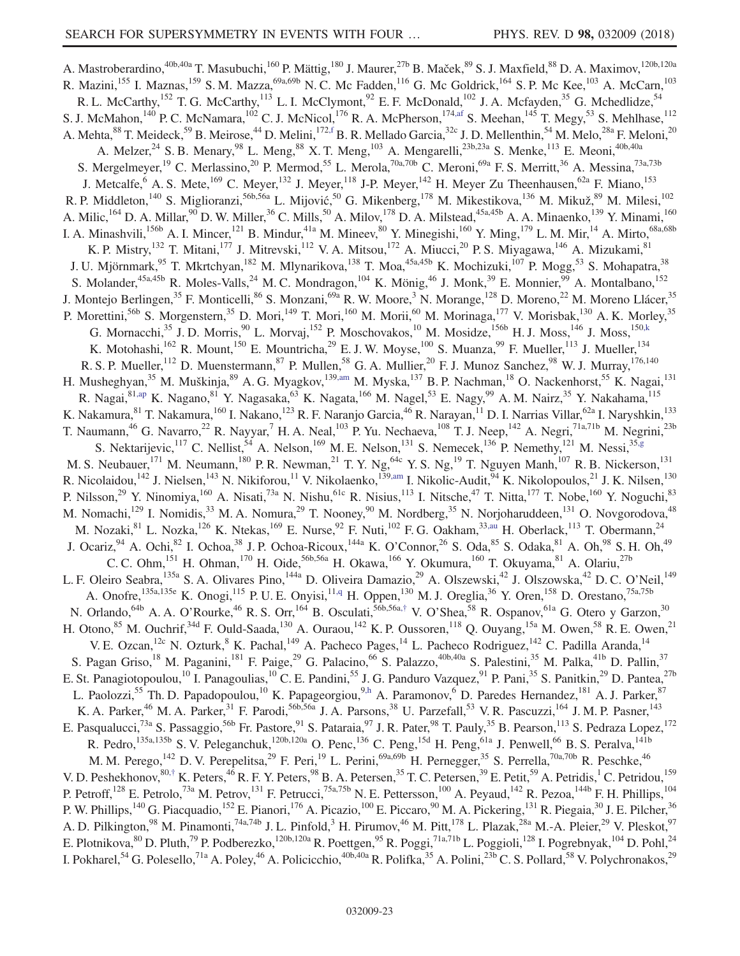<span id="page-22-3"></span><span id="page-22-2"></span><span id="page-22-1"></span><span id="page-22-0"></span>A. Mastroberardino, <sup>40b,40a</sup> T. Masubuchi, <sup>160</sup> P. Mättig, <sup>180</sup> J. Maurer, <sup>27b</sup> B. Maček, <sup>89</sup> S. J. Maxfield, <sup>88</sup> D. A. Maximov, <sup>120b,120a</sup> R. Mazini,<sup>155</sup> I. Maznas,<sup>159</sup> S. M. Mazza,<sup>69a,69b</sup> N. C. Mc Fadden,<sup>116</sup> G. Mc Goldrick,<sup>164</sup> S. P. Mc Kee,<sup>103</sup> A. McCarn,<sup>103</sup> R. L. McCarthy,<sup>152</sup> T. G. McCarthy,<sup>113</sup> L. I. McClymont,<sup>92</sup> E. F. McDonald,<sup>102</sup> J. A. Mcfayden,<sup>35</sup> G. Mchedlidze,<sup>54</sup> S. J. McMahon,<sup>140</sup> P. C. McNamara,<sup>102</sup> C. J. McNicol,<sup>176</sup> R. A. McPherson,<sup>17[4,af](#page-30-9)</sup> S. Meehan,<sup>145</sup> T. Megy,<sup>53</sup> S. Mehlhase,<sup>112</sup> A. Mehta, <sup>88</sup> T. Meideck, <sup>59</sup> B. Meirose, <sup>44</sup> D. Melini, <sup>172, f</sup> B. R. Mellado Garcia, <sup>32c</sup> J. D. Mellenthin, <sup>54</sup> M. Melo, <sup>28a</sup> F. Meloni, <sup>20</sup> A. Melzer,  $2^4$  S. B. Menary,  $9^8$  L. Meng,  $8^8$  X. T. Meng,  $10^3$  A. Mengarelli,  $2^{3b,23a}$  S. Menke,  $11^3$  E. Meoni,  $40b,40a$ S. Mergelmeyer,<sup>19</sup> C. Merlassino,<sup>20</sup> P. Mermod,<sup>55</sup> L. Merola,<sup>70a,70b</sup> C. Meroni,<sup>69a</sup> F. S. Merritt,<sup>36</sup> A. Messina,<sup>73a,73b</sup> J. Metcalfe,<sup>6</sup> A. S. Mete,<sup>169</sup> C. Meyer,<sup>132</sup> J. Meyer,<sup>118</sup> J-P. Meyer,<sup>142</sup> H. Meyer Zu Theenhausen,<sup>62a</sup> F. Miano,<sup>153</sup> R. P. Middleton, <sup>140</sup> S. Miglioranzi, <sup>56b, 56a</sup> L. Mijović, <sup>50</sup> G. Mikenberg, <sup>178</sup> M. Mikestikova, <sup>136</sup> M. Mikuž, <sup>89</sup> M. Milesi, <sup>102</sup> A. Milic,<sup>164</sup> D. A. Millar,<sup>90</sup> D. W. Miller,<sup>36</sup> C. Mills,<sup>50</sup> A. Milov,<sup>178</sup> D. A. Milstead,<sup>45a,45b</sup> A. A. Minaenko,<sup>139</sup> Y. Minami,<sup>160</sup> I. A. Minashvili, <sup>156b</sup> A. I. Mincer, <sup>121</sup> B. Mindur, <sup>41a</sup> M. Mineev, <sup>80</sup> Y. Minegishi, <sup>160</sup> Y. Ming, <sup>179</sup> L. M. Mir, <sup>14</sup> A. Mirto, <sup>68a, 68b</sup> K. P. Mistry,<sup>132</sup> T. Mitani,<sup>177</sup> J. Mitrevski,<sup>112</sup> V. A. Mitsou,<sup>172</sup> A. Miucci,<sup>20</sup> P. S. Miyagawa,<sup>146</sup> A. Mizukami,<sup>81</sup> J. U. Mjörnmark,<sup>95</sup> T. Mkrtchyan,<sup>182</sup> M. Mlynarikova,<sup>138</sup> T. Moa,<sup>45a,45b</sup> K. Mochizuki,<sup>107</sup> P. Mogg,<sup>53</sup> S. Mohapatra,<sup>38</sup> S. Molander,<sup>45a,45b</sup> R. Moles-Valls,<sup>24</sup> M. C. Mondragon,<sup>104</sup> K. Mönig,<sup>46</sup> J. Monk,<sup>39</sup> E. Monnier,<sup>99</sup> A. Montalbano,<sup>152</sup> J. Montejo Berlingen,<sup>35</sup> F. Monticelli,<sup>86</sup> S. Monzani,<sup>69a</sup> R. W. Moore,<sup>3</sup> N. Morange,<sup>128</sup> D. Moreno,<sup>22</sup> M. Moreno Llácer,<sup>35</sup> P. Morettini,<sup>56b</sup> S. Morgenstern,<sup>35</sup> D. Mori,<sup>149</sup> T. Mori,<sup>160</sup> M. Morii,<sup>60</sup> M. Morinaga,<sup>177</sup> V. Morisbak,<sup>130</sup> A. K. Morley,<sup>35</sup> G. Mornacchi,<sup>35</sup> J. D. Morris,<sup>90</sup> L. Morvaj,<sup>152</sup> P. Moschovakos,<sup>10</sup> M. Mosidze,<sup>156b</sup> H. J. Moss,<sup>146</sup> J. Moss,<sup>150[,k](#page-30-26)</sup> K. Motohashi,<sup>162</sup> R. Mount,<sup>150</sup> E. Mountricha,<sup>29</sup> E. J. W. Moyse,<sup>100</sup> S. Muanza,<sup>99</sup> F. Mueller,<sup>113</sup> J. Mueller,<sup>134</sup> R. S. P. Mueller,  $112$  D. Muenstermann,  $87$  P. Mullen,  $58$  G. A. Mullier,  $20$  F. J. Munoz Sanchez,  $98$  W. J. Murray,  $176,140$ H. Musheghyan,<sup>35</sup> M. Muškinja,<sup>89</sup> A. G. Myagkov,<sup>13[9,am](#page-30-27)</sup> M. Myska,<sup>137</sup> B. P. Nachman,<sup>18</sup> O. Nackenhorst,<sup>55</sup> K. Nagai,<sup>131</sup> R. Nagai,<sup>81[,ap](#page-30-22)</sup> K. Nagano,<sup>81</sup> Y. Nagasaka,<sup>63</sup> K. Nagata,<sup>166</sup> M. Nagel,<sup>53</sup> E. Nagy,<sup>99</sup> A. M. Nairz,<sup>35</sup> Y. Nakahama,<sup>115</sup> K. Nakamura, <sup>81</sup> T. Nakamura, <sup>160</sup> I. Nakano, <sup>123</sup> R. F. Naranjo Garcia, <sup>46</sup> R. Narayan, <sup>11</sup> D. I. Narrias Villar, <sup>62a</sup> I. Naryshkin, <sup>133</sup> T. Naumann,<sup>46</sup> G. Navarro,<sup>22</sup> R. Nayyar,<sup>7</sup> H. A. Neal,<sup>103</sup> P. Yu. Nechaeva,<sup>108</sup> T. J. Neep,<sup>142</sup> A. Negri,<sup>71a,71b</sup> M. Negrini,<sup>23b</sup> S. Nektarijevic,<sup>117</sup> C. Nellist,<sup>54</sup> A. Nelson,<sup>169</sup> M. E. Nelson,<sup>131</sup> S. Nemecek,<sup>136</sup> P. Nemethy,<sup>121</sup> M. Nessi,<sup>35[,g](#page-29-9)</sup> M. S. Neubauer,<sup>171</sup> M. Neumann,<sup>180</sup> P. R. Newman,<sup>21</sup> T. Y. Ng,<sup>64c</sup> Y. S. Ng,<sup>19</sup> T. Nguyen Manh,<sup>107</sup> R. B. Nickerson,<sup>131</sup> R. Nicolaidou,<sup>142</sup> J. Nielsen,<sup>143</sup> N. Nikiforou,<sup>11</sup> V. Nikolaenko,<sup>13[9,am](#page-30-27)</sup> I. Nikolic-Audit,<sup>94</sup> K. Nikolopoulos,<sup>21</sup> J. K. Nilsen,<sup>130</sup> P. Nilsson,<sup>29</sup> Y. Ninomiya,<sup>160</sup> A. Nisati,<sup>73a</sup> N. Nishu,<sup>61c</sup> R. Nisius,<sup>113</sup> I. Nitsche,<sup>47</sup> T. Nitta,<sup>177</sup> T. Nobe,<sup>160</sup> Y. Noguchi,<sup>83</sup> M. Nomachi,<sup>129</sup> I. Nomidis,<sup>33</sup> M. A. Nomura,<sup>29</sup> T. Nooney,<sup>90</sup> M. Nordberg,<sup>35</sup> N. Norjoharuddeen,<sup>131</sup> O. Novgorodova,<sup>48</sup> M. Nozaki,  $81$  L. Nozka,  $126$  K. Ntekas,  $169$  E. Nurse,  $92$  F. Nuti,  $102$  F. G. Oakham,  $33,au$  $33,au$  H. Oberlack,  $113$  T. Obermann,  $24$ J. Ocariz,  $94$  A. Ochi,  $82$  I. Ochoa,  $38$  J. P. Ochoa-Ricoux,  $144a$  K. O'Connor,  $26$  S. Oda,  $85$  S. Odaka,  $81$  A. Oh,  $98$  S. H. Oh,  $49$ C. C. Ohm, <sup>151</sup> H. Ohman, <sup>170</sup> H. Oide, <sup>56b, 56a</sup> H. Okawa, <sup>166</sup> Y. Okumura, <sup>160</sup> T. Okuyama, <sup>81</sup> A. Olariu, <sup>27b</sup> L. F. Oleiro Seabra, <sup>135a</sup> S. A. Olivares Pino, <sup>144a</sup> D. Oliveira Damazio, <sup>29</sup> A. Olszewski, <sup>42</sup> J. Olszowska, <sup>42</sup> D. C. O'Neil, <sup>149</sup> A. Onofre,<sup>135a,135e</sup> K. Onogi,<sup>115</sup> P. U. E. Onyisi,<sup>1[1,q](#page-30-19)</sup> H. Oppen,<sup>130</sup> M. J. Oreglia,<sup>36</sup> Y. Oren,<sup>158</sup> D. Orestano,<sup>75a,75b</sup> N. Orlando,<sup>64b</sup> A. A. O'Rourke,<sup>46</sup> R. S. Orr,<sup>164</sup> B. Osculati,<sup>56b,56a,[†](#page-29-0)</sup> V. O'Shea,<sup>58</sup> R. Ospanov,<sup>61a</sup> G. Otero y Garzon,<sup>30</sup> H. Otono,<sup>85</sup> M. Ouchrif,<sup>34d</sup> F. Ould-Saada,<sup>130</sup> A. Ouraou,<sup>142</sup> K. P. Oussoren,<sup>118</sup> Q. Ouyang,<sup>15a</sup> M. Owen,<sup>58</sup> R. E. Owen,<sup>21</sup> V. E. Ozcan, <sup>12c</sup> N. Ozturk, <sup>8</sup> K. Pachal, <sup>149</sup> A. Pacheco Pages, <sup>14</sup> L. Pacheco Rodriguez, <sup>142</sup> C. Padilla Aranda, <sup>14</sup> S. Pagan Griso,<sup>18</sup> M. Paganini,<sup>181</sup> F. Paige,<sup>29</sup> G. Palacino,<sup>66</sup> S. Palazzo,<sup>40b,40a</sup> S. Palestini,<sup>35</sup> M. Palka,<sup>41b</sup> D. Pallin,<sup>37</sup> E. St. Panagiotopoulou,<sup>10</sup> I. Panagoulias,<sup>10</sup> C. E. Pandini,<sup>55</sup> J. G. Panduro Vazquez,<sup>91</sup> P. Pani,<sup>35</sup> S. Panitkin,<sup>29</sup> D. Pantea,<sup>27b</sup> L. Paolozzi,<sup>55</sup> Th. D. Papadopoulou,<sup>10</sup> K. Papageorgiou,<sup>[9,h](#page-29-5)</sup> A. Paramonov,<sup>6</sup> D. Paredes Hernandez,<sup>181</sup> A. J. Parker,<sup>87</sup> K. A. Parker,<sup>46</sup> M. A. Parker,<sup>31</sup> F. Parodi,<sup>56b,56a</sup> J. A. Parsons,<sup>38</sup> U. Parzefall,<sup>53</sup> V. R. Pascuzzi,<sup>164</sup> J. M. P. Pasner,<sup>143</sup> E. Pasqualucci,<sup>73a</sup> S. Passaggio,<sup>56b</sup> Fr. Pastore,<sup>91</sup> S. Pataraia,<sup>97</sup> J. R. Pater,<sup>98</sup> T. Pauly,<sup>35</sup> B. Pearson,<sup>113</sup> S. Pedraza Lopez,<sup>172</sup> R. Pedro,  $^{135a,135b}$  S. V. Peleganchuk,  $^{120b,120a}$  O. Penc,  $^{136}$  C. Peng,  $^{15d}$  H. Peng,  $^{61a}$  J. Penwell,  $^{66}$  B. S. Peralva,  $^{141b}$ M. M. Perego, <sup>142</sup> D. V. Perepelitsa, <sup>29</sup> F. Peri, <sup>19</sup> L. Perini, <sup>69a, 69b</sup> H. Pernegger, <sup>35</sup> S. Perrella, <sup>70a, 70b</sup> R. Peschke, <sup>46</sup> V. D. Peshekhonov,  $80,^{\dagger}$  K. Peters,  $46$  R. F. Y. Peters,  $98$  B. A. Petersen,  $35$  T. C. Petersen,  $39$  E. Petit,  $59$  A. Petridis,  $^{1}$  C. Petridou,  $^{159}$ P. Petroff,<sup>128</sup> E. Petrolo,<sup>73a</sup> M. Petrov,<sup>131</sup> F. Petrucci,<sup>75a,75b</sup> N. E. Pettersson,<sup>100</sup> A. Peyaud,<sup>142</sup> R. Pezoa,<sup>144b</sup> F. H. Phillips,<sup>104</sup> P. W. Phillips,<sup>140</sup> G. Piacquadio,<sup>152</sup> E. Pianori,<sup>176</sup> A. Picazio,<sup>100</sup> E. Piccaro,<sup>90</sup> M. A. Pickering,<sup>131</sup> R. Piegaia,<sup>30</sup> J. E. Pilcher,<sup>36</sup> A. D. Pilkington,<sup>98</sup> M. Pinamonti,<sup>74a,74b</sup> J. L. Pinfold,<sup>3</sup> H. Pirumov,<sup>46</sup> M. Pitt,<sup>178</sup> L. Plazak,<sup>28a</sup> M.-A. Pleier,<sup>29</sup> V. Pleskot,<sup>97</sup> E. Plotnikova,  $80$  D. Pluth,  $79$  P. Podberezko,  $120b, 120a$  R. Poettgen,  $95$  R. Poggi,  $71a, 71b$  L. Poggioli,  $128$  I. Pogrebnyak,  $104$  D. Pohl,  $24$ I. Pokharel,<sup>54</sup> G. Polesello,<sup>71a</sup> A. Poley,<sup>46</sup> A. Policicchio,<sup>40b,40a</sup> R. Polifka,<sup>35</sup> A. Polini,<sup>23b</sup> C. S. Pollard,<sup>58</sup> V. Polychronakos,<sup>29</sup>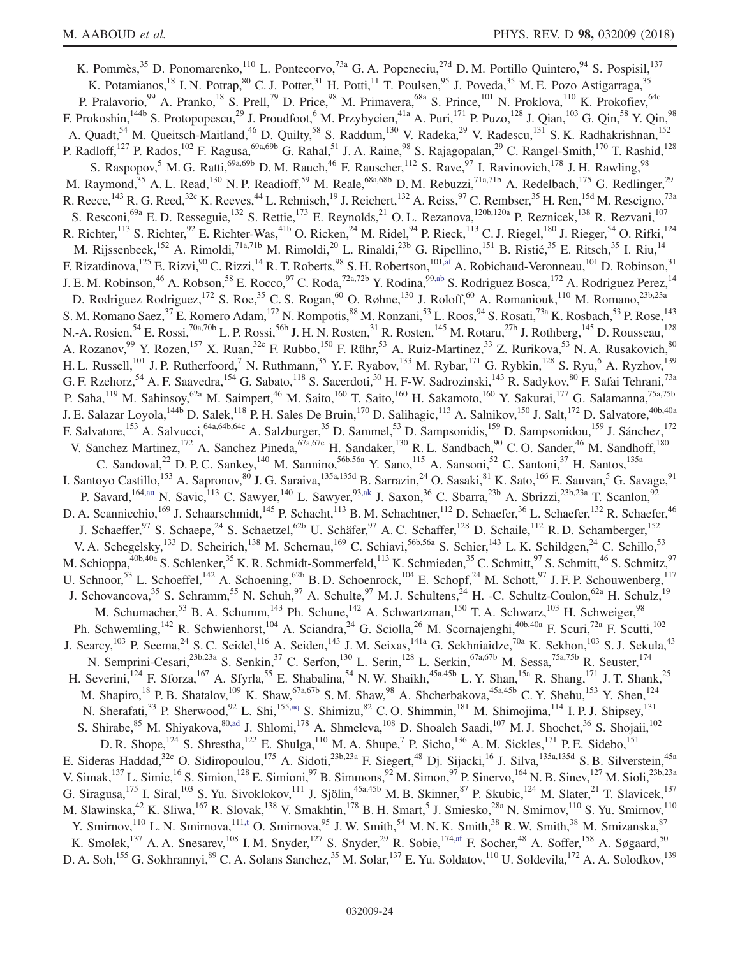<span id="page-23-3"></span><span id="page-23-2"></span><span id="page-23-1"></span><span id="page-23-0"></span>K. Pommès,<sup>35</sup> D. Ponomarenko,<sup>110</sup> L. Pontecorvo,<sup>73a</sup> G. A. Popeneciu,<sup>27d</sup> D. M. Portillo Quintero,<sup>94</sup> S. Pospisil,<sup>137</sup> K. Potamianos,<sup>18</sup> I. N. Potrap,<sup>80</sup> C. J. Potter,<sup>31</sup> H. Potti,<sup>11</sup> T. Poulsen,<sup>95</sup> J. Poveda,<sup>35</sup> M. E. Pozo Astigarraga,<sup>35</sup> P. Pralavorio,<sup>99</sup> A. Pranko,<sup>18</sup> S. Prell,<sup>79</sup> D. Price,<sup>98</sup> M. Primavera,<sup>68a</sup> S. Prince,<sup>101</sup> N. Proklova,<sup>110</sup> K. Prokofiev,<sup>64c</sup> F. Prokoshin,<sup>144b</sup> S. Protopopescu,<sup>29</sup> J. Proudfoot,<sup>6</sup> M. Przybycien,<sup>41a</sup> A. Puri,<sup>171</sup> P. Puzo,<sup>128</sup> J. Qian,<sup>103</sup> G. Qin,<sup>58</sup> Y. Qin,<sup>98</sup> A. Quadt,<sup>54</sup> M. Queitsch-Maitland,<sup>46</sup> D. Quilty,<sup>58</sup> S. Raddum,<sup>130</sup> V. Radeka,<sup>29</sup> V. Radescu,<sup>131</sup> S. K. Radhakrishnan,<sup>152</sup> P. Radloff,<sup>127</sup> P. Rados,<sup>102</sup> F. Ragusa,<sup>69a,69b</sup> G. Rahal,<sup>51</sup> J. A. Raine,<sup>98</sup> S. Rajagopalan,<sup>29</sup> C. Rangel-Smith,<sup>170</sup> T. Rashid,<sup>128</sup> S. Raspopov,<sup>5</sup> M. G. Ratti,<sup>69a,69b</sup> D. M. Rauch,<sup>46</sup> F. Rauscher,<sup>112</sup> S. Rave,<sup>97</sup> I. Ravinovich,<sup>178</sup> J. H. Rawling,<sup>98</sup> M. Raymond,<sup>35</sup> A. L. Read,<sup>130</sup> N. P. Readioff,<sup>59</sup> M. Reale,<sup>68a,68b</sup> D. M. Rebuzzi,<sup>71a,71b</sup> A. Redelbach,<sup>175</sup> G. Redlinger,<sup>29</sup> R. Reece,<sup>143</sup> R. G. Reed,<sup>32c</sup> K. Reeves,<sup>44</sup> L. Rehnisch,<sup>19</sup> J. Reichert,<sup>132</sup> A. Reiss,<sup>97</sup> C. Rembser,<sup>35</sup> H. Ren,<sup>15d</sup> M. Rescigno,<sup>73a</sup> S. Resconi,<sup>69a</sup> E. D. Resseguie,<sup>132</sup> S. Rettie,<sup>173</sup> E. Reynolds,<sup>21</sup> O. L. Rezanova,<sup>120b,120a</sup> P. Reznicek,<sup>138</sup> R. Rezvani,<sup>107</sup> R. Richter,<sup>113</sup> S. Richter,<sup>92</sup> E. Richter-Was,<sup>41b</sup> O. Ricken,<sup>24</sup> M. Ridel,<sup>94</sup> P. Rieck,<sup>113</sup> C. J. Riegel,<sup>180</sup> J. Rieger,<sup>54</sup> O. Rifki,<sup>124</sup> M. Rijssenbeek, <sup>152</sup> A. Rimoldi, <sup>71a,71b</sup> M. Rimoldi, <sup>20</sup> L. Rinaldi, <sup>23b</sup> G. Ripellino, <sup>151</sup> B. Ristić, <sup>35</sup> E. Ritsch, <sup>35</sup> I. Riu, <sup>14</sup> F. Rizatdinova, <sup>125</sup> E. Rizvi, <sup>90</sup> C. Rizzi, <sup>14</sup> R. T. Roberts, <sup>98</sup> S. H. Robertson, <sup>10[1,af](#page-30-9)</sup> A. Robichaud-Veronneau, <sup>101</sup> D. Robinson, <sup>31</sup> J. E. M. Robinson,<sup>46</sup> A. Robson,<sup>58</sup> E. Rocco,<sup>97</sup> C. Roda,<sup>72a,72b</sup> Y. Rodina,<sup>9[9,ab](#page-30-28)</sup> S. Rodriguez Bosca,<sup>172</sup> A. Rodriguez Perez,<sup>14</sup> D. Rodriguez Rodriguez,<sup>172</sup> S. Roe,<sup>35</sup> C. S. Rogan,<sup>60</sup> O. Røhne,<sup>130</sup> J. Roloff,<sup>60</sup> A. Romaniouk,<sup>110</sup> M. Romano,<sup>23b,23a</sup> S. M. Romano Saez,<sup>37</sup> E. Romero Adam,<sup>172</sup> N. Rompotis,<sup>88</sup> M. Ronzani,<sup>53</sup> L. Roos,<sup>94</sup> S. Rosati,<sup>73a</sup> K. Rosbach,<sup>53</sup> P. Rose,<sup>143</sup> N.-A. Rosien,<sup>54</sup> E. Rossi,<sup>70a,70b</sup> L. P. Rossi,<sup>56b</sup> J. H. N. Rosten,<sup>31</sup> R. Rosten,<sup>145</sup> M. Rotaru,<sup>27b</sup> J. Rothberg,<sup>145</sup> D. Rousseau,<sup>128</sup> A. Rozanov,<sup>99</sup> Y. Rozen,<sup>157</sup> X. Ruan,<sup>32c</sup> F. Rubbo,<sup>150</sup> F. Rühr,<sup>53</sup> A. Ruiz-Martinez,<sup>33</sup> Z. Rurikova,<sup>53</sup> N. A. Rusakovich,<sup>80</sup> H. L. Russell,<sup>101</sup> J. P. Rutherfoord,<sup>7</sup> N. Ruthmann,<sup>35</sup> Y. F. Ryabov,<sup>133</sup> M. Rybar,<sup>171</sup> G. Rybkin,<sup>128</sup> S. Ryu,<sup>6</sup> A. Ryzhov,<sup>139</sup> G. F. Rzehorz,<sup>54</sup> A. F. Saavedra,<sup>154</sup> G. Sabato,<sup>118</sup> S. Sacerdoti,<sup>30</sup> H. F-W. Sadrozinski,<sup>143</sup> R. Sadykov,<sup>80</sup> F. Safai Tehrani,<sup>73a</sup> P. Saha,<sup>119</sup> M. Sahinsoy,<sup>62a</sup> M. Saimpert,<sup>46</sup> M. Saito,<sup>160</sup> T. Saito,<sup>160</sup> H. Sakamoto,<sup>160</sup> Y. Sakurai,<sup>177</sup> G. Salamanna,<sup>75a,75b</sup> J. E. Salazar Loyola,<sup>144b</sup> D. Salek,<sup>118</sup> P. H. Sales De Bruin,<sup>170</sup> D. Salihagic,<sup>113</sup> A. Salnikov,<sup>150</sup> J. Salt,<sup>172</sup> D. Salvatore,<sup>40b,40a</sup> F. Salvatore,<sup>153</sup> A. Salvucci,<sup>64a,64b,64c</sup> A. Salzburger,<sup>35</sup> D. Sammel,<sup>53</sup> D. Sampsonidis,<sup>159</sup> D. Sampsonidou,<sup>159</sup> J. Sánchez,<sup>172</sup> V. Sanchez Martinez,  $^{172}$  A. Sanchez Pineda,  $^{67a,67c}$  H. Sandaker,  $^{130}$  R. L. Sandbach,  $^{90}$  C. O. Sander,  $^{46}$  M. Sandhoff,  $^{180}$ C. Sandoval,<sup>22</sup> D. P. C. Sankey,<sup>140</sup> M. Sannino,<sup>56b,56a</sup> Y. Sano,<sup>115</sup> A. Sansoni,<sup>52</sup> C. Santoni,<sup>37</sup> H. Santos,<sup>135a</sup> I. Santoyo Castillo,<sup>153</sup> A. Sapronov,<sup>80</sup> J. G. Saraiva,<sup>135a,135d</sup> B. Sarrazin,<sup>24</sup> O. Sasaki,<sup>81</sup> K. Sato,<sup>166</sup> E. Sauvan,<sup>5</sup> G. Savage,<sup>91</sup> P. Savard,<sup>164[,au](#page-30-2)</sup> N. Savic,<sup>113</sup> C. Sawyer,<sup>140</sup> L. Sawyer,<sup>9[3,ak](#page-30-13)</sup> J. Saxon,<sup>36</sup> C. Sbarra,<sup>23b</sup> A. Sbrizzi,<sup>23b,23a</sup> T. Scanlon,<sup>92</sup> D. A. Scannicchio,<sup>169</sup> J. Schaarschmidt,<sup>145</sup> P. Schacht,<sup>113</sup> B. M. Schachtner,<sup>112</sup> D. Schaefer,<sup>36</sup> L. Schaefer,<sup>132</sup> R. Schaefer,<sup>46</sup> J. Schaeffer,<sup>97</sup> S. Schaepe,<sup>24</sup> S. Schaetzel,<sup>62b</sup> U. Schäfer,<sup>97</sup> A. C. Schaffer,<sup>128</sup> D. Schaile,<sup>112</sup> R. D. Schamberger,<sup>152</sup> V. A. Schegelsky,<sup>133</sup> D. Scheirich,<sup>138</sup> M. Schernau,<sup>169</sup> C. Schiavi,<sup>56b,56a</sup> S. Schier,<sup>143</sup> L. K. Schildgen,<sup>24</sup> C. Schillo,<sup>53</sup> M. Schioppa, <sup>40b, 40a</sup> S. Schlenker, <sup>35</sup> K. R. Schmidt-Sommerfeld, <sup>113</sup> K. Schmieden, <sup>35</sup> C. Schmitt, <sup>97</sup> S. Schmitt, <sup>46</sup> S. Schmitz, <sup>97</sup> U. Schnoor,<sup>53</sup> L. Schoeffel,<sup>142</sup> A. Schoening,<sup>62b</sup> B. D. Schoenrock,<sup>104</sup> E. Schopf,<sup>24</sup> M. Schott,<sup>97</sup> J. F. P. Schouwenberg,<sup>117</sup> J. Schovancova,<sup>35</sup> S. Schramm,<sup>55</sup> N. Schuh,<sup>97</sup> A. Schulte,<sup>97</sup> M. J. Schultens,<sup>24</sup> H. -C. Schultz-Coulon,<sup>62a</sup> H. Schulz,<sup>19</sup> M. Schumacher,<sup>53</sup> B. A. Schumm,<sup>143</sup> Ph. Schune,<sup>142</sup> A. Schwartzman,<sup>150</sup> T. A. Schwarz,<sup>103</sup> H. Schweiger,<sup>98</sup> Ph. Schwemling,<sup>142</sup> R. Schwienhorst,<sup>104</sup> A. Sciandra,<sup>24</sup> G. Sciolla,<sup>26</sup> M. Scornajenghi,<sup>40b,40a</sup> F. Scuri,<sup>72a</sup> F. Scutti,<sup>102</sup> J. Searcy,<sup>103</sup> P. Seema,<sup>24</sup> S. C. Seidel,<sup>116</sup> A. Seiden,<sup>143</sup> J. M. Seixas,<sup>141a</sup> G. Sekhniaidze,<sup>70a</sup> K. Sekhon,<sup>103</sup> S. J. Sekula,<sup>43</sup> N. Semprini-Cesari,<sup>23b,23a</sup> S. Senkin,<sup>37</sup> C. Serfon,<sup>130</sup> L. Serin,<sup>128</sup> L. Serkin,<sup>67a,67b</sup> M. Sessa,<sup>75a,75b</sup> R. Seuster,<sup>174</sup> H. Severini,<sup>124</sup> F. Sforza,<sup>167</sup> A. Sfyrla,<sup>55</sup> E. Shabalina,<sup>54</sup> N.W. Shaikh,<sup>45a,45b</sup> L.Y. Shan,<sup>15a</sup> R. Shang,<sup>171</sup> J.T. Shank,<sup>25</sup> M. Shapiro,<sup>18</sup> P. B. Shatalov,<sup>109</sup> K. Shaw,<sup>67a,67b</sup> S. M. Shaw,<sup>98</sup> A. Shcherbakova,<sup>45a,45b</sup> C. Y. Shehu,<sup>153</sup> Y. Shen,<sup>124</sup> N. Sherafati,<sup>33</sup> P. Sherwood,<sup>92</sup> L. Shi,<sup>15[5,aq](#page-30-29)</sup> S. Shimizu,<sup>82</sup> C. O. Shimmin,<sup>181</sup> M. Shimojima,<sup>114</sup> I. P. J. Shipsey,<sup>131</sup> S. Shirabe,<sup>85</sup> M. Shiyakova,<sup>8[0,ad](#page-30-30)</sup> J. Shlomi,<sup>178</sup> A. Shmeleva,<sup>108</sup> D. Shoaleh Saadi,<sup>107</sup> M. J. Shochet,<sup>36</sup> S. Shojaii,<sup>102</sup> D. R. Shope,<sup>124</sup> S. Shrestha,<sup>122</sup> E. Shulga,<sup>110</sup> M. A. Shupe,<sup>7</sup> P. Sicho,<sup>136</sup> A. M. Sickles,<sup>171</sup> P. E. Sidebo,<sup>151</sup> E. Sideras Haddad,<sup>32c</sup> O. Sidiropoulou,<sup>175</sup> A. Sidoti,<sup>23b,23a</sup> F. Siegert,<sup>48</sup> Dj. Sijacki,<sup>16</sup> J. Silva,<sup>135a,135d</sup> S. B. Silverstein,<sup>45a</sup> V. Simak,<sup>137</sup> L. Simic,<sup>16</sup> S. Simion,<sup>128</sup> E. Simioni,<sup>97</sup> B. Simmons,<sup>92</sup> M. Simon,<sup>97</sup> P. Sinervo,<sup>164</sup> N. B. Sinev,<sup>127</sup> M. Sioli,<sup>23b,23a</sup> G. Siragusa,<sup>175</sup> I. Siral,<sup>103</sup> S. Yu. Sivoklokov,<sup>111</sup> J. Sjölin,<sup>45a,45b</sup> M. B. Skinner,<sup>87</sup> P. Skubic,<sup>124</sup> M. Slater,<sup>21</sup> T. Slavicek,<sup>137</sup> M. Slawinska,<sup>42</sup> K. Sliwa,<sup>167</sup> R. Slovak,<sup>138</sup> V. Smakhtin,<sup>178</sup> B. H. Smart,<sup>5</sup> J. Smiesko,<sup>28a</sup> N. Smirnov,<sup>110</sup> S. Yu. Smirnov,<sup>110</sup> Y. Smirnov,<sup>110</sup> L. N. Smirnova,<sup>11[1,t](#page-30-31)</sup> O. Smirnova,<sup>95</sup> J. W. Smith,<sup>54</sup> M. N. K. Smith,<sup>38</sup> R. W. Smith,<sup>38</sup> M. Smizanska,<sup>87</sup> K. Smolek,<sup>137</sup> A. A. Snesarev,<sup>108</sup> I. M. Snyder,<sup>127</sup> S. Snyder,<sup>29</sup> R. Sobie,<sup>17[4,af](#page-30-9)</sup> F. Socher,<sup>48</sup> A. Soffer,<sup>158</sup> A. Søgaard,<sup>50</sup> D. A. Soh,<sup>155</sup> G. Sokhrannyi,<sup>89</sup> C. A. Solans Sanchez,<sup>35</sup> M. Solar,<sup>137</sup> E. Yu. Soldatov,<sup>110</sup> U. Soldevila,<sup>172</sup> A. A. Solodkov,<sup>139</sup>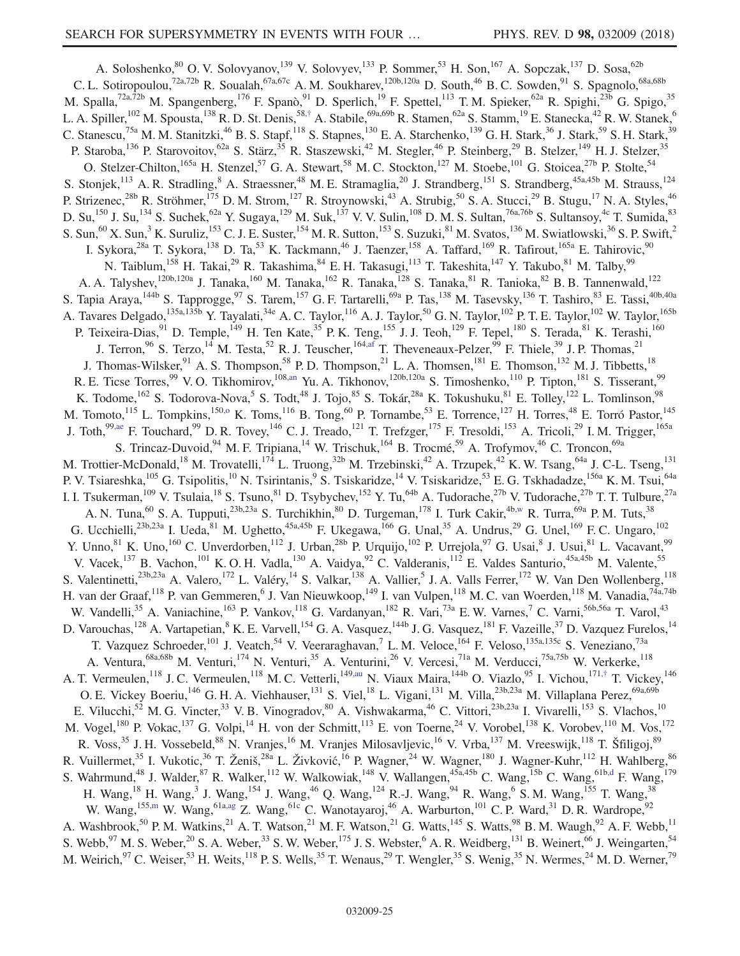<span id="page-24-4"></span><span id="page-24-3"></span><span id="page-24-2"></span><span id="page-24-1"></span><span id="page-24-0"></span>A. Soloshenko,<sup>80</sup> O. V. Solovyanov,<sup>139</sup> V. Solovyev,<sup>133</sup> P. Sommer,<sup>53</sup> H. Son,<sup>167</sup> A. Sopczak,<sup>137</sup> D. Sosa,<sup>62b</sup> C. L. Sotiropoulou,<sup>72a,72b</sup> R. Soualah,<sup>67a,67c</sup> A. M. Soukharev,<sup>120b,120a</sup> D. South,<sup>46</sup> B. C. Sowden,<sup>91</sup> S. Spagnolo,<sup>68a,68b</sup> M. Spalla,<sup>72a,72b</sup> M. Spangenberg,<sup>176</sup> F. Spanò,<sup>91</sup> D. Sperlich,<sup>19</sup> F. Spettel,<sup>113</sup> T.M. Spieker,<sup>62a</sup> R. Spighi,<sup>23b</sup> G. Spigo,<sup>35</sup> L. A. Spiller,  $^{102}$  M. Spousta,  $^{138}$  R. D. St. Denis,  $^{58,\dagger}$  A. Stabile,  $^{69a,69b}$  R. Stamen,  $^{62a}$  S. Stamm,  $^{19}$  E. Stanecka,  $^{42}$  R. W. Stanek,  $^{6}$ C. Stanescu,<sup>75a</sup> M. M. Stanitzki,<sup>46</sup> B. S. Stapf,<sup>118</sup> S. Stapnes,<sup>130</sup> E. A. Starchenko,<sup>139</sup> G. H. Stark,<sup>36</sup> J. Stark,<sup>59</sup> S. H. Stark,<sup>39</sup> P. Staroba, <sup>136</sup> P. Starovoitov, <sup>62a</sup> S. Stärz, <sup>35</sup> R. Staszewski, <sup>42</sup> M. Stegler, <sup>46</sup> P. Steinberg, <sup>29</sup> B. Stelzer, <sup>149</sup> H. J. Stelzer, <sup>35</sup> O. Stelzer-Chilton,<sup>165a</sup> H. Stenzel,<sup>57</sup> G. A. Stewart,<sup>58</sup> M. C. Stockton,<sup>127</sup> M. Stoebe,<sup>101</sup> G. Stoicea,<sup>27b</sup> P. Stolte,<sup>54</sup> S. Stonjek,<sup>113</sup> A. R. Stradling,<sup>8</sup> A. Straessner,<sup>48</sup> M. E. Stramaglia,<sup>20</sup> J. Strandberg,<sup>151</sup> S. Strandberg,<sup>45a,45b</sup> M. Strauss,<sup>124</sup> P. Strizenec,<sup>28b</sup> R. Ströhmer,<sup>175</sup> D. M. Strom,<sup>127</sup> R. Stroynowski,<sup>43</sup> A. Strubig,<sup>50</sup> S. A. Stucci,<sup>29</sup> B. Stugu,<sup>17</sup> N. A. Styles,<sup>46</sup> D. Su,<sup>150</sup> J. Su,<sup>134</sup> S. Suchek,<sup>62a</sup> Y. Sugaya,<sup>129</sup> M. Suk,<sup>137</sup> V. V. Sulin,<sup>108</sup> D. M. S. Sultan,<sup>76a,76b</sup> S. Sultansoy,<sup>4c</sup> T. Sumida,<sup>83</sup> S. Sun,  $^{60}$  X. Sun,  $^3$  K. Suruliz,  $^{153}$  C. J. E. Suster,  $^{154}$  M. R. Sutton,  $^{153}$  S. Suzuki,  $^{81}$  M. Svatos,  $^{136}$  M. Swiatlowski,  $^{36}$  S. P. Swift,  $^{2}$ I. Sykora,<sup>28a</sup> T. Sykora,<sup>138</sup> D. Ta,<sup>53</sup> K. Tackmann,<sup>46</sup> J. Taenzer,<sup>158</sup> A. Taffard,<sup>169</sup> R. Tafirout,<sup>165a</sup> E. Tahirovic,<sup>90</sup> N. Taiblum, <sup>158</sup> H. Takai, <sup>29</sup> R. Takashima, <sup>84</sup> E. H. Takasugi, <sup>113</sup> T. Takeshita, <sup>147</sup> Y. Takubo, <sup>81</sup> M. Talby, <sup>99</sup> A. A. Talyshev,<sup>120b,120a</sup> J. Tanaka,<sup>160</sup> M. Tanaka,<sup>162</sup> R. Tanaka,<sup>128</sup> S. Tanaka,<sup>81</sup> R. Tanioka,<sup>82</sup> B. B. Tannenwald,<sup>122</sup> S. Tapia Araya,<sup>144b</sup> S. Tapprogge,<sup>97</sup> S. Tarem,<sup>157</sup> G. F. Tartarelli,<sup>69a</sup> P. Tas,<sup>138</sup> M. Tasevsky,<sup>136</sup> T. Tashiro,<sup>83</sup> E. Tassi,<sup>40b,40a</sup> A. Tavares Delgado,<sup>135a,135b</sup> Y. Tayalati,<sup>34e</sup> A. C. Taylor,<sup>116</sup> A. J. Taylor,<sup>50</sup> G. N. Taylor,<sup>102</sup> P. T. E. Taylor,<sup>102</sup> W. Taylor,<sup>165b</sup> P. Teixeira-Dias,<sup>91</sup> D. Temple,<sup>149</sup> H. Ten Kate,<sup>35</sup> P. K. Teng,<sup>155</sup> J. J. Teoh,<sup>129</sup> F. Tepel,<sup>180</sup> S. Terada,<sup>81</sup> K. Terashi,<sup>160</sup> J. Terron,  $96$  S. Terzo,  $14$  M. Testa,  $52$  R. J. Teuscher,  $164$ , af T. Theveneaux-Pelzer,  $99$  F. Thiele,  $39$  J. P. Thomas,  $21$ J. Thomas-Wilsker,  $91$  A. S. Thompson,  $^{58}$  P. D. Thompson,  $^{21}$  L. A. Thomsen,  $^{181}$  E. Thomson,  $^{132}$  M. J. Tibbetts,  $^{18}$ R. E. Ticse Torres,<sup>99</sup> V. O. Tikhomirov,<sup>10[8,an](#page-30-32)</sup> Yu. A. Tikhonov,<sup>120b,120a</sup> S. Timoshenko,<sup>110</sup> P. Tipton,<sup>181</sup> S. Tisserant,<sup>99</sup> K. Todome,<sup>162</sup> S. Todorova-Nova,<sup>5</sup> S. Todt,<sup>48</sup> J. Tojo,<sup>85</sup> S. Tokár,<sup>28a</sup> K. Tokushuku,<sup>81</sup> E. Tolley,<sup>122</sup> L. Tomlinson,<sup>98</sup> M. Tomoto,<sup>115</sup> L. Tompkins,<sup>150[,o](#page-30-33)</sup> K. Toms,<sup>116</sup> B. Tong,<sup>60</sup> P. Tornambe,<sup>53</sup> E. Torrence,<sup>127</sup> H. Torres,<sup>48</sup> E. Torró Pastor,<sup>145</sup> J. Toth,<sup>9[9,ae](#page-30-34)</sup> F. Touchard,<sup>99</sup> D. R. Tovey,<sup>146</sup> C. J. Treado,<sup>121</sup> T. Trefzger,<sup>175</sup> F. Tresoldi,<sup>153</sup> A. Tricoli,<sup>29</sup> I. M. Trigger,<sup>165a</sup> S. Trincaz-Duvoid, <sup>94</sup> M. F. Tripiana, <sup>14</sup> W. Trischuk, <sup>164</sup> B. Trocmé, <sup>59</sup> A. Trofymov, <sup>46</sup> C. Troncon, <sup>69a</sup> M. Trottier-McDonald,<sup>18</sup> M. Trovatelli,<sup>174</sup> L. Truong,<sup>32b</sup> M. Trzebinski,<sup>42</sup> A. Trzupek,<sup>42</sup> K. W. Tsang,<sup>64a</sup> J. C-L. Tseng,<sup>131</sup> P. V. Tsiareshka,<sup>105</sup> G. Tsipolitis,<sup>10</sup> N. Tsirintanis,<sup>9</sup> S. Tsiskaridze,<sup>14</sup> V. Tsiskaridze,<sup>53</sup> E. G. Tskhadadze,<sup>156a</sup> K. M. Tsui,<sup>64a</sup> I. I. Tsukerman,<sup>109</sup> V. Tsulaia,<sup>18</sup> S. Tsuno,<sup>81</sup> D. Tsybychev,<sup>152</sup> Y. Tu,<sup>64b</sup> A. Tudorache,<sup>27b</sup> V. Tudorache,<sup>27b</sup> T. T. Tulbure,<sup>27a</sup> A. N. Tuna,<sup>60</sup> S. A. Tupputi,<sup>23b,23a</sup> S. Turchikhin,<sup>80</sup> D. Turgeman,<sup>178</sup> I. Turk Cakir,<sup>4[b,w](#page-30-35)</sup> R. Turra,<sup>69a</sup> P. M. Tuts,<sup>38</sup> G. Ucchielli,<sup>23b,23a</sup> I. Ueda,<sup>81</sup> M. Ughetto,<sup>45a,45b</sup> F. Ukegawa,<sup>166</sup> G. Unal,<sup>35</sup> A. Undrus,<sup>29</sup> G. Unel,<sup>169</sup> F. C. Ungaro,<sup>102</sup> Y. Unno, <sup>81</sup> K. Uno, <sup>160</sup> C. Unverdorben, <sup>112</sup> J. Urban, <sup>28b</sup> P. Urquijo, <sup>102</sup> P. Urrejola, <sup>97</sup> G. Usai, <sup>8</sup> J. Usui, <sup>81</sup> L. Vacavant, <sup>99</sup> V. Vacek,<sup>137</sup> B. Vachon,<sup>101</sup> K. O. H. Vadla,<sup>130</sup> A. Vaidya,<sup>92</sup> C. Valderanis,<sup>112</sup> E. Valdes Santurio,<sup>45a,45b</sup> M. Valente,<sup>55</sup> S. Valentinetti,<sup>23b,23a</sup> A. Valero,<sup>172</sup> L. Valéry,<sup>14</sup> S. Valkar,<sup>138</sup> A. Vallier,<sup>5</sup> J. A. Valls Ferrer,<sup>172</sup> W. Van Den Wollenberg,<sup>118</sup> H. van der Graaf,<sup>118</sup> P. van Gemmeren,<sup>6</sup> J. Van Nieuwkoop,<sup>149</sup> I. van Vulpen,<sup>118</sup> M. C. van Woerden,<sup>118</sup> M. Vanadia,<sup>74a,74b</sup> W. Vandelli,<sup>35</sup> A. Vaniachine,<sup>163</sup> P. Vankov,<sup>118</sup> G. Vardanyan,<sup>182</sup> R. Vari,<sup>73a</sup> E.W. Varnes,<sup>7</sup> C. Varni,<sup>56b,56a</sup> T. Varol,<sup>43</sup> D. Varouchas, <sup>128</sup> A. Vartapetian, <sup>8</sup> K. E. Varvell, <sup>154</sup> G. A. Vasquez, <sup>144b</sup> J. G. Vasquez, <sup>181</sup> F. Vazeille, <sup>37</sup> D. Vazquez Furelos, <sup>14</sup> T. Vazquez Schroeder,<sup>101</sup> J. Veatch,<sup>54</sup> V. Veeraraghavan,<sup>7</sup> L.M. Veloce,<sup>164</sup> F. Veloso,<sup>135a,135c</sup> S. Veneziano,<sup>73a</sup> A. Ventura, <sup>68a, 68b</sup> M. Venturi, <sup>174</sup> N. Venturi, <sup>35</sup> A. Venturini, <sup>26</sup> V. Vercesi, <sup>71a</sup> M. Verducci, <sup>75a, 75b</sup> W. Verkerke, <sup>118</sup> A. T. Vermeulen,<sup>118</sup> J. C. Vermeulen,<sup>118</sup> M. C. Vetterli,<sup>149[,au](#page-30-2)</sup> N. Viaux Maira,<sup>144b</sup> O. Viazlo,<sup>95</sup> I. Vichou,<sup>171,[†](#page-29-0)</sup> T. Vickey,<sup>146</sup> O. E. Vickey Boeriu,<sup>146</sup> G. H. A. Viehhauser,<sup>131</sup> S. Viel,<sup>18</sup> L. Vigani,<sup>131</sup> M. Villa,<sup>23b,23a</sup> M. Villaplana Perez,<sup>69a,69b</sup> E. Vilucchi,<sup>52</sup> M. G. Vincter,<sup>33</sup> V. B. Vinogradov,<sup>80</sup> A. Vishwakarma,<sup>46</sup> C. Vittori,<sup>23b,23a</sup> I. Vivarelli,<sup>153</sup> S. Vlachos,<sup>10</sup> M. Vogel,<sup>180</sup> P. Vokac,<sup>137</sup> G. Volpi,<sup>14</sup> H. von der Schmitt,<sup>113</sup> E. von Toerne,<sup>24</sup> V. Vorobel,<sup>138</sup> K. Vorobev,<sup>110</sup> M. Vos,<sup>172</sup> R. Voss,<sup>35</sup> J. H. Vossebeld,<sup>88</sup> N. Vranjes,<sup>16</sup> M. Vranjes Milosavljevic,<sup>16</sup> V. Vrba,<sup>137</sup> M. Vreeswijk,<sup>118</sup> T. Šfiligoj,<sup>89</sup> R. Vuillermet,<sup>35</sup> I. Vukotic,<sup>36</sup> T. Ženiš,<sup>28a</sup> L. Živković,<sup>16</sup> P. Wagner,<sup>24</sup> W. Wagner,<sup>180</sup> J. Wagner-Kuhr,<sup>112</sup> H. Wahlberg,<sup>86</sup> S. Wahrmund,<sup>48</sup> J. Walder,<sup>87</sup> R. Walker,<sup>112</sup> W. Walkowiak,<sup>148</sup> V. Wallangen,<sup>45a,45b</sup> C. Wang,<sup>15b</sup> C. Wang,<sup>15b</sup> F. Wang,<sup>179</sup> H. Wang,<sup>18</sup> H. Wang,<sup>3</sup> J. Wang,<sup>154</sup> J. Wang,<sup>46</sup> Q. Wang,<sup>124</sup> R.-J. Wang,<sup>94</sup> R. Wang,<sup>6</sup> S. M. Wang,<sup>155</sup> T. Wang,<sup>38</sup> W. Wang,<sup>155[,m](#page-30-36)</sup> W. Wang,<sup>61a[,ag](#page-30-37)</sup> Z. Wang,<sup>61c</sup> C. Wanotayaroj,<sup>46</sup> A. Warburton,<sup>101</sup> C. P. Ward,<sup>31</sup> D. R. Wardrope,<sup>92</sup> A. Washbrook,<sup>50</sup> P. M. Watkins,<sup>21</sup> A. T. Watson,<sup>21</sup> M. F. Watson,<sup>21</sup> G. Watts,<sup>145</sup> S. Watts,<sup>98</sup> B. M. Waugh,<sup>92</sup> A. F. Webb,<sup>11</sup> S. Webb,  $97$  M. S. Weber,  $20$  S. A. Weber,  $33$  S. W. Weber,  $175$  J. S. Webster,  $6$  A. R. Weidberg,  $131$  B. Weinert,  $66$  J. Weingarten,  $54$ M. Weirich,  $97$  C. Weiser,  $53$  H. Weits,  $^{118}$  P. S. Wells,  $^{35}$  T. Wenaus,  $^{29}$  T. Wengler,  $^{35}$  S. Wenig,  $^{35}$  N. Wermes,  $^{24}$  M. D. Werner,  $^{79}$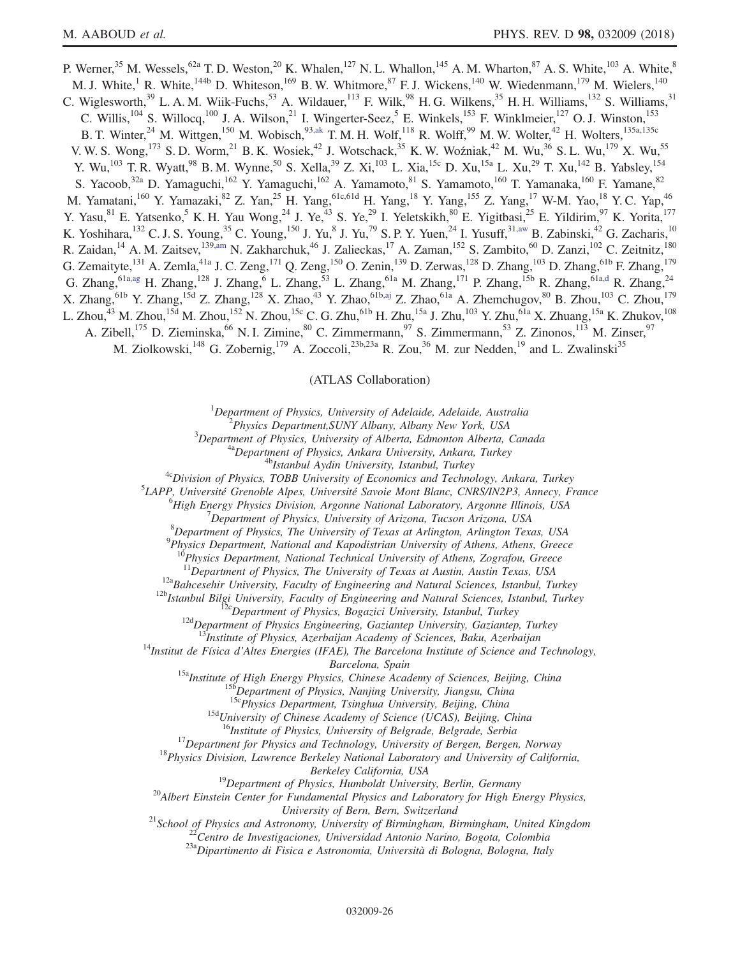<span id="page-25-1"></span>P. Werner,<sup>35</sup> M. Wessels,<sup>62a</sup> T. D. Weston,<sup>20</sup> K. Whalen,<sup>127</sup> N. L. Whallon,<sup>145</sup> A. M. Wharton,<sup>87</sup> A. S. White,<sup>103</sup> A. White,<sup>8</sup> M. J. White,<sup>1</sup> R. White,<sup>144b</sup> D. Whiteson,<sup>169</sup> B. W. Whitmore,<sup>87</sup> F. J. Wickens,<sup>140</sup> W. Wiedenmann,<sup>179</sup> M. Wielers,<sup>140</sup> C. Wiglesworth,<sup>39</sup> L. A. M. Wiik-Fuchs,<sup>53</sup> A. Wildauer,<sup>113</sup> F. Wilk,<sup>98</sup> H. G. Wilkens,<sup>35</sup> H. H. Williams,<sup>132</sup> S. Williams,<sup>31</sup> C. Willis,  $^{104}$  S. Willocq,  $^{100}$  J. A. Wilson,  $^{21}$  I. Wingerter-Seez,  $^5$  E. Winkels,  $^{153}$  F. Winklmeier,  $^{127}$  O. J. Winston,  $^{153}$ B. T. Winter,<sup>24</sup> M. Wittgen,<sup>150</sup> M. Wobisch,<sup>9[3,ak](#page-30-13)</sup> T. M. H. Wolf,<sup>118</sup> R. Wolff,<sup>99</sup> M. W. Wolter,<sup>42</sup> H. Wolters,<sup>135a,135c</sup> V. W. S. Wong,<sup>173</sup> S. D. Worm,<sup>21</sup> B. K. Wosiek,<sup>42</sup> J. Wotschack,<sup>35</sup> K. W. Woźniak,<sup>42</sup> M. Wu,<sup>36</sup> S. L. Wu,<sup>179</sup> X. Wu,<sup>55</sup> Y. Wu,<sup>103</sup> T. R. Wyatt,<sup>98</sup> B. M. Wynne,<sup>50</sup> S. Xella,<sup>39</sup> Z. Xi,<sup>103</sup> L. Xia,<sup>15c</sup> D. Xu,<sup>15a</sup> L. Xu,<sup>29</sup> T. Xu,<sup>142</sup> B. Yabsley,<sup>154</sup> S. Yacoob,<sup>32a</sup> D. Yamaguchi,<sup>162</sup> Y. Yamaguchi,<sup>162</sup> A. Yamamoto,<sup>81</sup> S. Yamamoto,<sup>160</sup> T. Yamanaka,<sup>160</sup> F. Yamane,<sup>82</sup> M. Yamatani,<sup>160</sup> Y. Yamazaki,<sup>82</sup> Z. Yan,<sup>25</sup> H. Yang,<sup>61c,61d</sup> H. Yang,<sup>18</sup> Y. Yang,<sup>155</sup> Z. Yang,<sup>17</sup> W-M. Yao,<sup>18</sup> Y. C. Yap,<sup>46</sup> Y. Yasu,<sup>81</sup> E. Yatsenko,<sup>5</sup> K. H. Yau Wong,<sup>24</sup> J. Ye,<sup>43</sup> S. Ye,<sup>29</sup> I. Yeletskikh,<sup>80</sup> E. Yigitbasi,<sup>25</sup> E. Yildirim,<sup>97</sup> K. Yorita,<sup>177</sup> K. Yoshihara,  $^{132}$  C. J. S. Young,  $^{35}$  C. Young,  $^{150}$  J. Yu,  $^8$  J. Yu,  $^{79}$  S. P. Y. Yuen,  $^{24}$  I. Yusuff,  $^{31,aw}$  $^{31,aw}$  $^{31,aw}$  B. Zabinski,  $^{42}$  G. Zacharis,  $^{10}$ R. Zaidan,<sup>14</sup> A. M. Zaitsev,<sup>13[9,am](#page-30-27)</sup> N. Zakharchuk,<sup>46</sup> J. Zalieckas,<sup>17</sup> A. Zaman,<sup>152</sup> S. Zambito,<sup>60</sup> D. Zanzi,<sup>102</sup> C. Zeitnitz,<sup>180</sup> G. Zemaityte,<sup>131</sup> A. Zemla,<sup>41a</sup> J. C. Zeng,<sup>171</sup> Q. Zeng,<sup>150</sup> O. Zenin,<sup>139</sup> D. Zerwas,<sup>128</sup> D. Zhang,<sup>103</sup> D. Zhang,<sup>61b</sup> F. Zhang,<sup>179</sup> G. Zhang,  $^{61a,ag}$  $^{61a,ag}$  $^{61a,ag}$  H. Zhang, $^{128}$  J. Zhang, $^6$  L. Zhang, $^{53}$  L. Zhang, $^{61a}$  M. Zhang, $^{171}$  P. Zhang, $^{15b}$  R. Zhang, $^{61a,d}$  $^{61a,d}$  $^{61a,d}$  R. Zhang, $^{24}$ X. Zhang, <sup>61b</sup> Y. Zhang, <sup>15d</sup> Z. Zhang, <sup>128</sup> X. Zhao, <sup>43</sup> Y. Zhao, <sup>61[b,aj](#page-30-39)</sup> Z. Zhao, <sup>61a</sup> A. Zhemchugov, <sup>80</sup> B. Zhou, <sup>103</sup> C. Zhou, <sup>179</sup> L. Zhou, $^{43}$  M. Zhou, $^{15d}$  M. Zhou, $^{152}$  N. Zhou, $^{15c}$  C. G. Zhu, $^{61b}$  H. Zhu, $^{15a}$  J. Zhu, $^{103}$  Y. Zhu, $^{61a}$  X. Zhuang, $^{15a}$  K. Zhukov, $^{108}$ A. Zibell,<sup>175</sup> D. Zieminska,<sup>66</sup> N. I. Zimine,<sup>80</sup> C. Zimmermann,<sup>97</sup> S. Zimmermann,<sup>53</sup> Z. Zinonos,<sup>113</sup> M. Zinser,<sup>97</sup> M. Ziolkowski,<sup>148</sup> G. Zobernig,<sup>179</sup> A. Zoccoli,<sup>23b,23a</sup> R. Zou,<sup>36</sup> M. zur Nedden,<sup>19</sup> and L. Zwalinski<sup>35</sup>

(ATLAS Collaboration)

<sup>1</sup>Department of Physics, University of Adelaide, Adelaide, Australia<br><sup>2</sup>Physics Department SUNY Albany, Albany Ngu, York, USA

<span id="page-25-0"></span><sup>2</sup>Physics Department, SUNY Albany, Albany New York, USA<br><sup>3</sup>Department of Physics, University of Alberta, Edmonton Alberta, Canada

<sup>4a</sup>Department of Physics, Ankara University, Ankara, Turkey<br><sup>4b</sup>Istanbul Aydin University, Istanbul, Turkey<br><sup>4c</sup>Division of Physics, TOBB University of Economics and Technology, Ankara, Turkey

 ${}^{5}$ LAPP, Université Grenoble Alpes, Université Savoie Mont Blanc, CNRS/IN2P3, Annecy, France

 ${}^{6}$ High Energy Physics Division, Argonne National Laboratory, Argonne Illinois, USA  $^7$ Department of Physics, University of Arizona, Tucson Arizona, USA

Department of Physics, The University of Texas at Arlington, Arlington Texas, USA

 $^{9}$ Physics Department, National and Kapodistrian University of Athens, Athens, Greece

<sup>10</sup>Physics Department, National Technical University of Athens, Zografou, Greece<br><sup>11</sup>Department of Physics, The University of Texas at Austin, Austin Texas, USA

<sup>12a</sup>Bahcesehir University, Faculty of Engineering and Natural Sciences, Istanbul, Turkey<br><sup>12b</sup>Istanbul Bilgi University, Faculty of Engineering and Natural Sciences, Istanbul, Turkey<br><sup>12b</sup>Istanbul Bilgi University, Facul

 $14$ Institut de Física d'Altes Energies (IFAE), The Barcelona Institute of Science and Technology,

Barcelona, Spain<br>
<sup>15a</sup>Institute of High Energy Physics, Chinese Academy of Sciences, Beijing, China<br>
<sup>156</sup>Department of Physics, Nanjing University, Jiangsu, China<br>
<sup>15c</sup>Physics Department, Tsinghua University, Beijing, C

<sup>15d</sup>University of Chinese Academy of Science (UCAS), Beijing, China  $^{16}$ Institute of Physics, University of Belgrade, Belgrade, Serbia

<sup>17</sup>Department for Physics and Technology, University of Bergen, Bergen, Norway<br><sup>18</sup>Physics Division, Lawrence Berkeley National Laboratory and University of California,

Berkeley California, USA<br><sup>19</sup>Department of Physics, Humboldt University, Berlin, Germany<br><sup>20</sup>Albert Einstein Center for Fundamental Physics and Laboratory for High Energy Physics,<br>University of Bern, Bern, Switzerland

<sup>21</sup>School of Physics and Astronomy, University of Birmingham, Birmingham, United Kingdom<br><sup>22</sup>Centro de Investigaciones, Universidad Antonio Narino, Bogota, Colombia<br><sup>23</sup>a Dipartimento di Fisica e Astronomia, Università d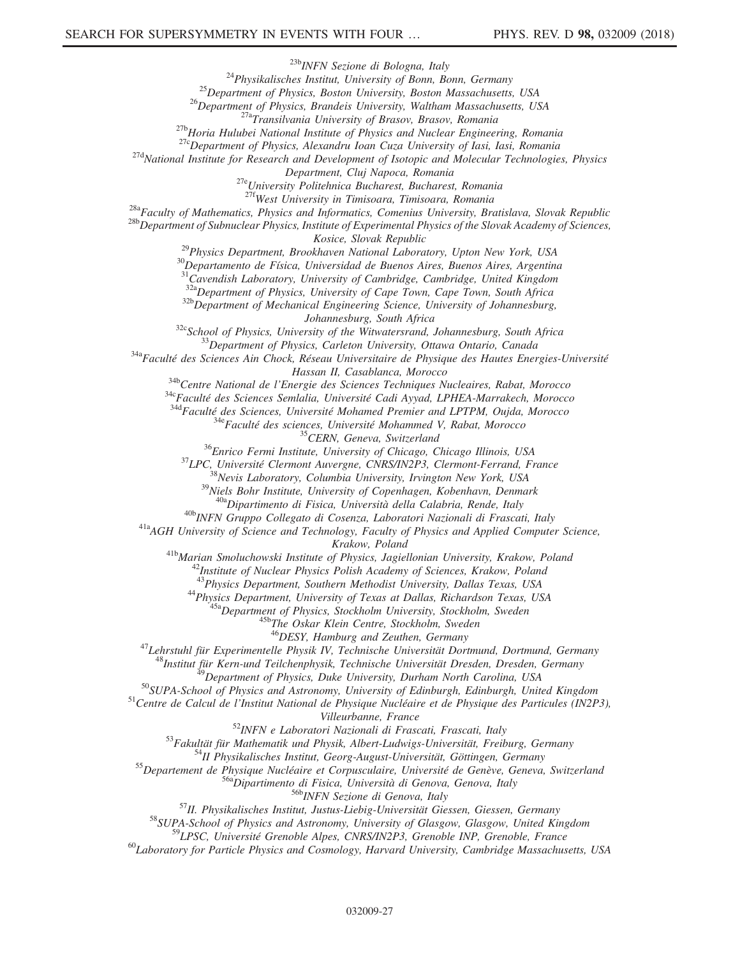<sup>23b</sup>INFN Sezione di Bologna, Italy<br><sup>24</sup>Physikalisches Institut, University of Bonn, Bonn, Germany<br><sup>25</sup>Department of Physics, Boston University, Boston Massachusetts, USA<br><sup>26</sup>Department of Physics, Brandeis University, Wa

Department, Cluj Napoca, Romania<br><sup>27e</sup>University Politehnica Bucharest, Bucharest, Romania<br><sup>27f</sup>West University in Timisoara, Timisoara, Romania

<sup>28a</sup>Faculty of Mathematics, Physics and Informatics, Comenius University, Bratislava, Slovak Republic<br><sup>28b</sup>Department of Subnuclear Physics, Institute of Experimental Physics of the Slovak Academy of Sciences,

Kosice, Slovak Republic<br><sup>29</sup>Physics Department, Brookhaven National Laboratory, Upton New York, USA<br><sup>30</sup>Departamento de Física, Universidad de Buenos Aires, Buenos Aires, Argentina

 ${}^{31}$ Cavendish Laboratory, University of Cambridge, Cambridge, United Kingdom<br> ${}^{32a}$ Department of Physics, University of Cape Town, Cape Town, South Africa

 $32b$ Department of Mechanical Engineering Science, University of Johannesburg,

Johannesburg, South Africa<br><sup>32c</sup>School of Physics, University of the Witwatersrand, Johannesburg, South Africa<br><sup>33</sup>Department of Physics, Carleton University, Ottawa Ontario, Canada<sup>34a</sup>Faculté des Sciences Ain Chock, Rése

Hassan II, Casablanca, Morocco<br>
<sup>346</sup>Centre National de l'Energie des Sciences Techniques Nucleaires, Rabat, Morocco<br>
<sup>346</sup>Faculté des Sciences Semlalia, Université Cadi Ayyad, LPHEA-Marrakech, Morocco<br>
<sup>346</sup>Faculté des Sc

 $^{40b}$ INFN Gruppo Collegato di Cosenza, Laboratori Nazionali di Frascati, Italy<br><sup>41a</sup>AGH University of Science and Technology, Faculty of Physics and Applied Computer Science,

Krakow, Poland<br><sup>41b</sup>Marian Smoluchowski Institute of Physics, Jagiellonian University, Krakow, Poland<br><sup>42</sup>Institute of Nuclear Physics Polish Academy of Sciences, Krakow, Poland<br><sup>43</sup>Physics Department, Southern Methodist U

<sup>44</sup>Physics Department, University of Texas at Dallas, Richardson Texas, USA<br><sup>45a</sup>Department of Physics, Stockholm University, Stockholm, Sweden<br><sup>45b</sup>The Oskar Klein Centre, Stockholm, Sweden<br><sup>46</sup>DESY, Hamburg and Zeuthen

<sup>47</sup>Lehrstuhl für Experimentelle Physik IV, Technische Universität Dortmund, Dortmund, Germany <sup>48</sup>Institut für Kern-und Teilchenphysik, Technische Universität Dresden, Dresden, Germany

<sup>49</sup>Department of Physics, Duke University, Durham North Carolina, USA<br><sup>50</sup>SUPA-School of Physics and Astronomy, University of Edinburgh, Edinburgh, United Kingdom<br><sup>51</sup>Centre de Calcul de l'Institut National de Physique N

Villeurbanne, France<br>
<sup>52</sup>INFN e Laboratori Nazionali di Frascati, Frascati, Italy<br>
<sup>53</sup>Fakultät für Mathematik und Physik, Albert-Ludwigs-Universität, Freiburg, Germany<br>
<sup>54</sup>II Physikalisches Institut, Georg-August-Univer

 $^{60}$ Laboratory for Particle Physics and Cosmology, Harvard University, Cambridge Massachusetts, USA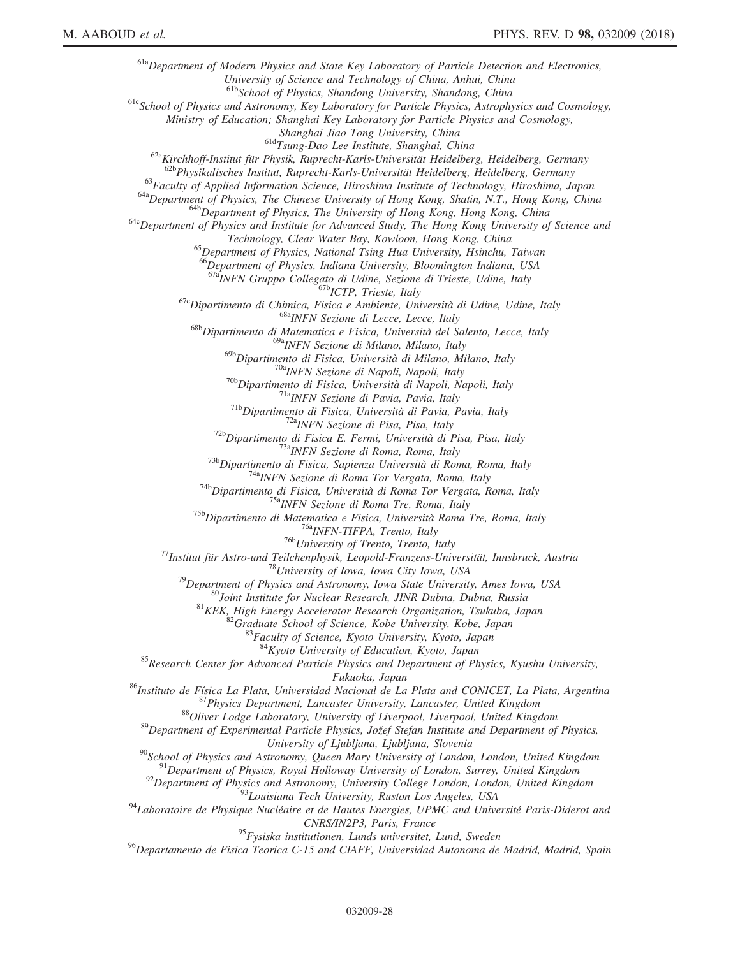<sup>61a</sup>Department of Modern Physics and State Key Laboratory of Particle Detection and Electronics, University of Science and Technology of China, Anhui, China<br><sup>61b</sup>School of Physics, Shandong University, Shandong, China <sup>61c</sup>School of Physics and Astronomy, Key Laboratory for Particle Physics, Astrophysics and Cosmology, Ministry of Education; Shanghai Key Laboratory for Particle Physics and Cosmology,<br>Shanghai Jiao Tong University, China<br><sup>61d</sup>Tsung-Dao Lee Institute, Shanghai, China <sup>62a</sup>Kirchhoff-Institut für Physik, Ruprecht-Karls-Universität Heidelberg, Heidelberg, Germany<br><sup>62b</sup>Physikalisches Institut, Ruprecht-Karls-Universität Heidelberg, Heidelberg, Germany <sup>63</sup>Faculty of Applied Information Science, Hiroshima Institute of Technology, Hiroshima, Japan<br><sup>64a</sup>Department of Physics, The Chinese University of Hong Kong, Shatin, N.T., Hong Kong, China<br><sup>64b</sup>Department of Physics, T Technology, Clear Water Bay, Kowloon, Hong Kong, China<br><sup>65</sup>Department of Physics, National Tsing Hua University, Hsinchu, Taiwan <sup>66</sup>Department of Physics, Indiana University, Bloomington Indiana, USA<br><sup>67a</sup>INFN Gruppo Collegato di Udine, Sezione di Trieste, Udine, Italy <sup>67c</sup>Dipartimento di Chimica, Fisica e Ambiente, Università di Udine, Udine, Italy<br><sup>68c</sup>Dipartimento di Chimica, Fisica e Ambiente, Università di Udine, Udine, Italy<br><sup>68b</sup>Dipartimento di Matematica e Fisica, Università de <sup>69a</sup>INFN Sezione di Milano, Milano, Italy<br><sup>69b</sup>Dipartimento di Fisica, Università di Milano, Milano, Italy <sup>69b</sup> Dipartimento di Fisica, Università di Milano, Milano, Italy<br>
<sup>70b</sup> Dipartimento di Napoli, Napoli, Napoli, Italy<br>
<sup>70b</sup> Dipartimento di Fisica, Università di Napoli, Napoli, Italy<br>
<sup>71b</sup> Dipartimento di Fisica, Univ  $^{84}$ Kyoto University of Education, Kyoto, Japan<br><sup>85</sup>Research Center for Advanced Particle Physics and Department of Physics, Kyushu University, Fukuoka, Japan<br><sup>86</sup>Instituto de Física La Plata, Universidad Nacional de La Plata and CONICET, La Plata, Argentina<br><sup>87</sup>Physics Department, Lancaster University, Lancaster, United Kingdom<br><sup>88</sup>Oliver Lodge Laboratory, Univer <sup>90</sup>School of Physics and Astronomy, Queen Mary University of London, London, United Kingdom<br><sup>91</sup>Department of Physics, Royal Holloway University of London, Surrey, United Kingdom<br><sup>91</sup>Department of Physics, Royal Holloway CNRS/IN2P3, Paris, France

 $95$ Fysiska institutionen, Lunds universitet, Lund, Sweden

<sup>96</sup>Departamento de Fisica Teorica C-15 and CIAFF, Universidad Autonoma de Madrid, Madrid, Spain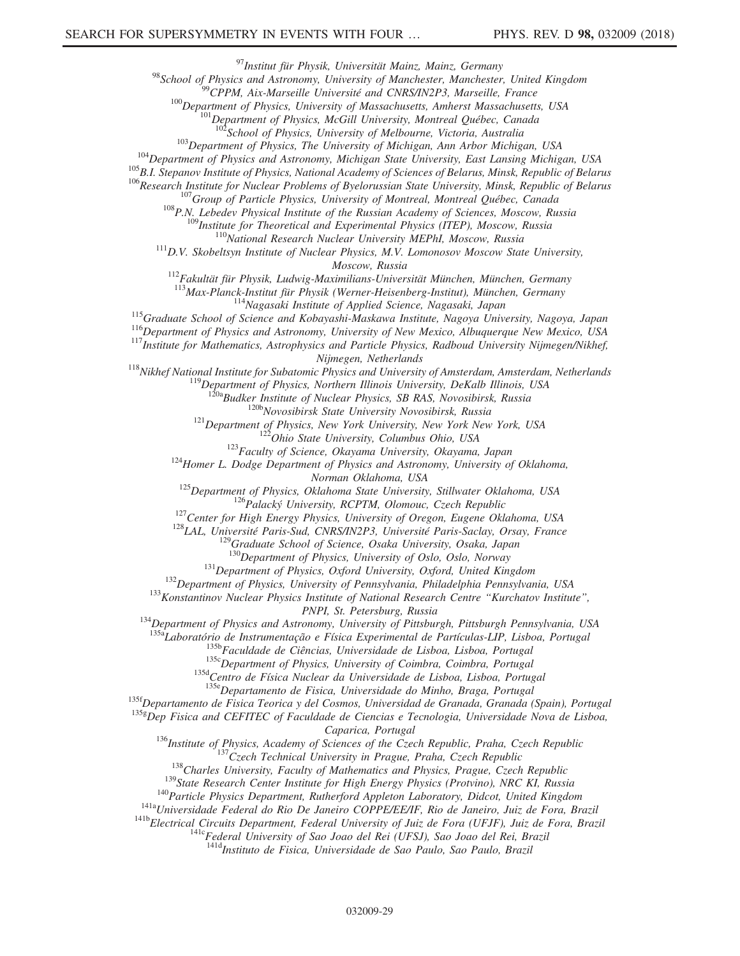<sup>97</sup>Institut für Physik, Universität Mainz, Mainz, Germany<br><sup>98</sup>School of Physics and Astronomy, University of Manchester, Manchester, United Kingdom<br><sup>99</sup>OPPM, Aix-Marseille University and CNRS/IN2P3, Marseille, France<br><sup>10</sup>

Moscow, Russia<br><sup>112</sup>Fakultät für Physik, Ludwig-Maximilians-Universität München, München, Germany<br><sup>113</sup>Max-Planck-Institut für Physik (Werner-Heisenberg-Institut), München, Germany

<sup>114</sup>Nagasaki Institute of Applied Science, Nagasaki, Japan<br><sup>115</sup>Graduate School of Science and Kobayashi-Maskawa Institute, Nagoya University, Nagoya, Japan<br><sup>116</sup>Department of Physics and Astronomy, University of New Mex

<sup>118</sup>Nikhef National Institute for Subatomic Physics and University of Amsterdam, Amsterdam, Netherlands <sup>119</sup>Department of Physics, Northern Illinois University, DeKalb Illinois, USA <sup>120a</sup>Budker Institute of Nuclear Phy

<sup>120b</sup>Novosibirsk State University Novosibirsk, Russia<br><sup>121</sup>Department of Physics, New York University, New York New York, USA<br><sup>122</sup>Ohio State University, Columbus Ohio, USA<br><sup>123</sup>Faculty of Science, Okayama University, Ok

Norman Oklahoma, USA<br>
<sup>125</sup>Department of Physics, Oklahoma State University, Stillwater Oklahoma, USA<br>
<sup>126</sup>Palacký University, RCPTM, Olomouc, Czech Republic<br>
<sup>127</sup>Center for High Energy Physics, University of Oregon, Eug

<sup>131</sup>Department of Physics, Oxford University, Oxford, United Kingdom<br><sup>132</sup>Department of Physics, University of Pennsylvania, Philadelphia Pennsylvania, USA<br><sup>133</sup>Konstantinov Nuclear Physics Institute of National Research

PNPI, St. Petersburg, Russia<br><sup>134</sup>Department of Physics and Astronomy, University of Pittsburgh, Pittsburgh Pennsylvania, USA

<sup>135a</sup>Laboratório de Instrumentação e Física Experimental de Partículas-LIP, Lisboa, Portugal<br><sup>135b</sup>Faculdade de Ciências, Universidade de Lisboa, Lisboa, Portugal<br><sup>135c</sup>Department of Physics, University of Coimbra, Coimb

<sup>135f</sup>Departamento de Fisica Teorica y del Cosmos, Universidad de Granada, Granada (Spain), Portugal

 $^{135g}$ Dep Fisica and CEFITEC of Faculdade de Ciencias e Tecnologia, Universidade Nova de Lisboa,

Caparica, Portugal<br>
<sup>136</sup>Institute of Physics, Academy of Sciences of the Czech Republic, Praha, Czech Republic<br>
<sup>137</sup>Czech Technical University in Prague, Praha, Czech Republic<br>
<sup>139</sup>State Research Center Institute for H

<sup>141d</sup>Instituto de Fisica, Universidade de Sao Paulo, Sao Paulo, Brazil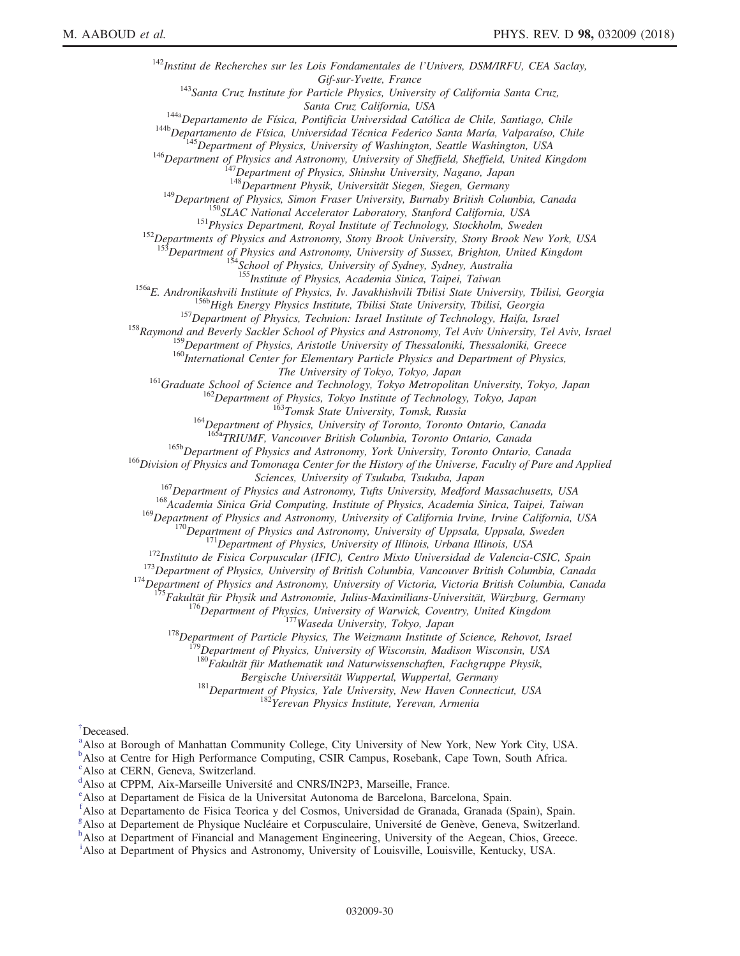$142$ Institut de Recherches sur les Lois Fondamentales de l'Univers, DSM/IRFU, CEA Saclay, Gif-sur-Yvette, France<br><sup>143</sup>Santa Cruz Institute for Particle Physics, University of California Santa Cruz,<br>Santa Cruz California, USA <sup>144</sup>aDepartamento de Física, Pontificia Universidad Católica de Chile, Santiago, Chile<br><sup>144b</sup>Departamento de Física, Universidad Técnica Federico Santa María, Valparaíso, Chile<br><sup>145</sup>Department of Physics, University of W <sup>149</sup>Department of Physics, Simon Fraser University, Burnaby British Columbia, Canada<br><sup>150</sup>SLAC National Accelerator Laboratory, Stanford California, USA<br><sup>151</sup>Physics Department, Royal Institute of Technology, Stockholm, <sup>3</sup>Department of Physics and Astronomy, University of Sussex, Brighton, United Kingdom <sup>154</sup>School of Physics, University of Sydney, Sydney, Australia<br><sup>155</sup>Institute of Physics, Academia Sinica, Taipei, Taiwan <sup>156a</sup>E. Andronikashvili Institute of Physics, Iv. Javakhishvili Tbilisi State University, Tbilisi, Georgia<br><sup>156b</sup>High Energy Physics Institute, Tbilisi State University, Tbilisi, Georgia<br><sup>157</sup>Department of Physics, Techn 169 International Center for Elementary Particle Physics and Department of Physics, <sup>161</sup>Graduate School of Science and Technology, Tokyo, Japan<br><sup>161</sup>Graduate School of Science and Technology, Tokyo Metropolitan University, Tokyo, Japan<br><sup>162</sup>Department of Physics, Tokyo Institute of Technology, Tokyo, Jap <sup>165b</sup>Department of Physics and Astronomy, York University, Toronto Ontario, Canada<br><sup>166</sup>Division of Physics and Tomonaga Center for the History of the Universe, Faculty of Pure and Applied<br>Sciences, University of Tsukuba, <sup>167</sup>Department of Physics and Astronomy, Tufts University, Medford Massachusetts, USA<br><sup>168</sup>Academia Sinica Grid Computing, Institute of Physics, Academia Sinica, Taipei, Taiwan<br><sup>169</sup>Department of Physics and Astronomy, Un <sup>170</sup>Department of Physics and Astronomy, University of Uppsala, Uppsala, Sweden<br><sup>171</sup>Department of Physics, University of Illinois, Urbana Illinois, USA<br><sup>172</sup>Instituto de Fisica Corpuscular (IFIC), Centro Mixto Universid 180<sub>Fakultät für Mathematik und Naturwissenschaften, Fachgruppe Physik,<br>Bergische Universität Wuppertal, Wuppertal, Germany</sub>  $^{181}$ Department of Physics, Yale University, New Haven Connecticut, USA  $^{182}$ Yerevan Physics Institute, Yerevan, Armenia [†](#page-17-14) Deceased. <sup>[a](#page-19-0)</sup> Also at Borough of Manhattan Community College, City University of New York, New York City, USA.

<span id="page-29-4"></span><span id="page-29-0"></span>

<span id="page-29-6"></span><sup>[b](#page-20-0)</sup>Also at Centre for High Performance Computing, CSIR Campus, Rosebank, Cape Town, South Africa.

<span id="page-29-7"></span>[c](#page-20-1) Also at CERN, Geneva, Switzerland.

<span id="page-29-3"></span> $\alpha^d$  $\alpha^d$ Also at CPPM, Aix-Mars[e](#page-18-0)ille Université and CNRS/IN2P3, Marseille, France.

<span id="page-29-2"></span>Also at Departament de Fisica de la Universitat Autonoma de Barcelona, Barcelona, Spain.

<span id="page-29-8"></span>[f](#page-22-0) Also at Departamento de Fisica Teorica y del Cosmos, Universidad de Granada, Granada (Spain), Spain.

<span id="page-29-9"></span> ${}^{\text{g}}$  ${}^{\text{g}}$  ${}^{\text{g}}$ Also at Departement de P[h](#page-19-2)ysique Nucléaire et Corpusculaire, Université de Genève, Geneva, Switzerland. h

<span id="page-29-5"></span><sup>h</sup>Also at Department of Financial and Management Engineering, University of the Aegean, Chios, Greece.

<span id="page-29-1"></span><sup>[i](#page-17-15)</sup>Also at Department of Physics and Astronomy, University of Louisville, Louisville, Kentucky, USA.